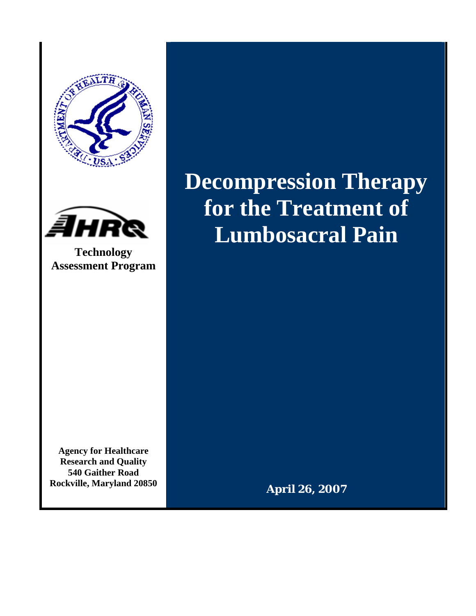



**Technology Assessment Program** 

**Agency for Healthcare Research and Quality 540 Gaither Road Rockville, Maryland 20850**  **Decompression Therapy for the Treatment of Lumbosacral Pain** 

**April 26, 2007**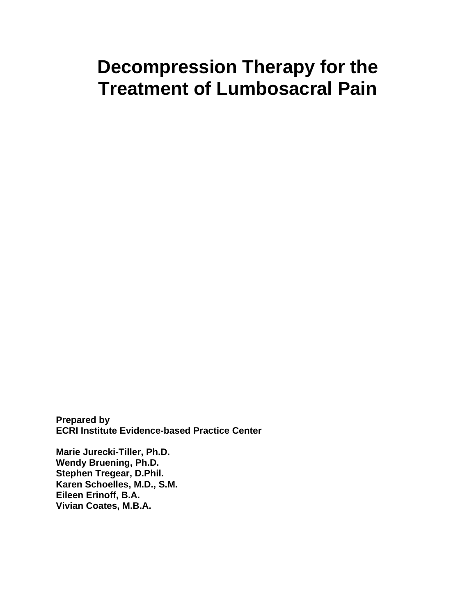# **Decompression Therapy for the Treatment of Lumbosacral Pain**

**Prepared by ECRI Institute Evidence-based Practice Center** 

**Marie Jurecki-Tiller, Ph.D. Wendy Bruening, Ph.D. Stephen Tregear, D.Phil. Karen Schoelles, M.D., S.M. Eileen Erinoff, B.A. Vivian Coates, M.B.A.**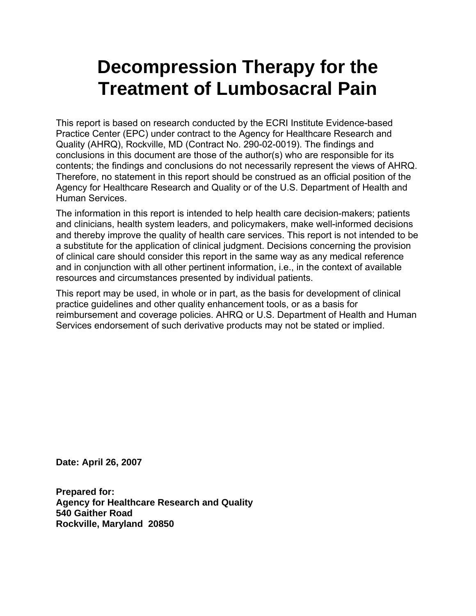# **Decompression Therapy for the Treatment of Lumbosacral Pain**

This report is based on research conducted by the ECRI Institute Evidence-based Practice Center (EPC) under contract to the Agency for Healthcare Research and Quality (AHRQ), Rockville, MD (Contract No. 290-02-0019). The findings and conclusions in this document are those of the author(s) who are responsible for its contents; the findings and conclusions do not necessarily represent the views of AHRQ. Therefore, no statement in this report should be construed as an official position of the Agency for Healthcare Research and Quality or of the U.S. Department of Health and Human Services.

The information in this report is intended to help health care decision-makers; patients and clinicians, health system leaders, and policymakers, make well-informed decisions and thereby improve the quality of health care services. This report is not intended to be a substitute for the application of clinical judgment. Decisions concerning the provision of clinical care should consider this report in the same way as any medical reference and in conjunction with all other pertinent information, i.e., in the context of available resources and circumstances presented by individual patients.

This report may be used, in whole or in part, as the basis for development of clinical practice guidelines and other quality enhancement tools, or as a basis for reimbursement and coverage policies. AHRQ or U.S. Department of Health and Human Services endorsement of such derivative products may not be stated or implied.

**Date: April 26, 2007** 

**Prepared for: Agency for Healthcare Research and Quality 540 Gaither Road Rockville, Maryland 20850**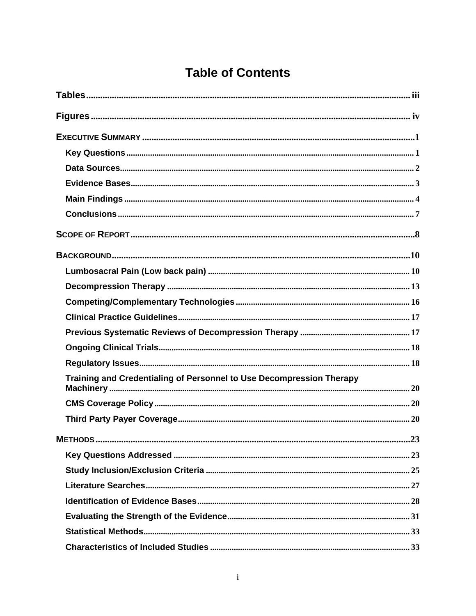## **Table of Contents**

| Training and Credentialing of Personnel to Use Decompression Therapy |
|----------------------------------------------------------------------|
|                                                                      |
|                                                                      |
|                                                                      |
|                                                                      |
|                                                                      |
|                                                                      |
|                                                                      |
|                                                                      |
|                                                                      |
|                                                                      |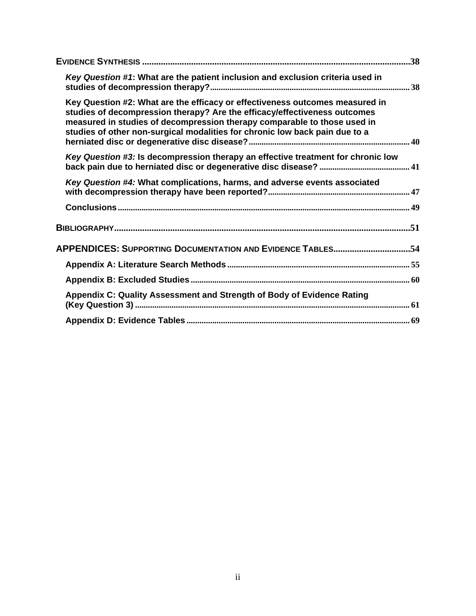| .38                                                                                                                                                                                                                                                                                                                  |
|----------------------------------------------------------------------------------------------------------------------------------------------------------------------------------------------------------------------------------------------------------------------------------------------------------------------|
| Key Question #1: What are the patient inclusion and exclusion criteria used in                                                                                                                                                                                                                                       |
| Key Question #2: What are the efficacy or effectiveness outcomes measured in<br>studies of decompression therapy? Are the efficacy/effectiveness outcomes<br>measured in studies of decompression therapy comparable to those used in<br>studies of other non-surgical modalities for chronic low back pain due to a |
| Key Question #3: Is decompression therapy an effective treatment for chronic low                                                                                                                                                                                                                                     |
| Key Question #4: What complications, harms, and adverse events associated                                                                                                                                                                                                                                            |
|                                                                                                                                                                                                                                                                                                                      |
|                                                                                                                                                                                                                                                                                                                      |
| APPENDICES: SUPPORTING DOCUMENTATION AND EVIDENCE TABLES54                                                                                                                                                                                                                                                           |
|                                                                                                                                                                                                                                                                                                                      |
|                                                                                                                                                                                                                                                                                                                      |
| Appendix C: Quality Assessment and Strength of Body of Evidence Rating                                                                                                                                                                                                                                               |
|                                                                                                                                                                                                                                                                                                                      |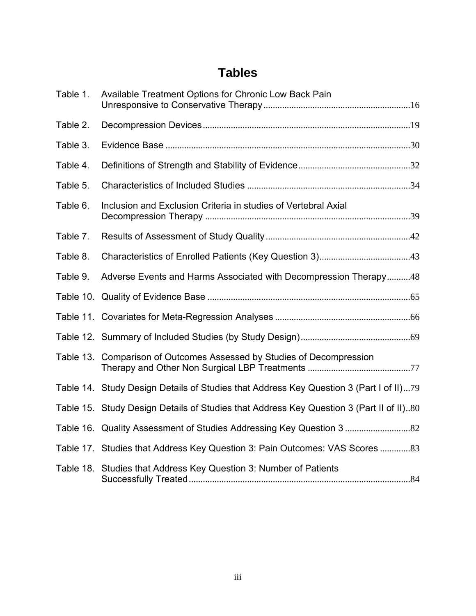## **Tables**

<span id="page-5-0"></span>

| Table 1. | Available Treatment Options for Chronic Low Back Pain                                   |
|----------|-----------------------------------------------------------------------------------------|
| Table 2. |                                                                                         |
| Table 3. |                                                                                         |
| Table 4. |                                                                                         |
| Table 5. |                                                                                         |
| Table 6. | Inclusion and Exclusion Criteria in studies of Vertebral Axial                          |
| Table 7. |                                                                                         |
| Table 8. |                                                                                         |
| Table 9. | Adverse Events and Harms Associated with Decompression Therapy48                        |
|          |                                                                                         |
|          |                                                                                         |
|          |                                                                                         |
|          | Table 13. Comparison of Outcomes Assessed by Studies of Decompression                   |
|          | Table 14. Study Design Details of Studies that Address Key Question 3 (Part I of II)79  |
|          | Table 15. Study Design Details of Studies that Address Key Question 3 (Part II of II)80 |
|          |                                                                                         |
|          | Table 17. Studies that Address Key Question 3: Pain Outcomes: VAS Scores 83             |
|          | Table 18. Studies that Address Key Question 3: Number of Patients                       |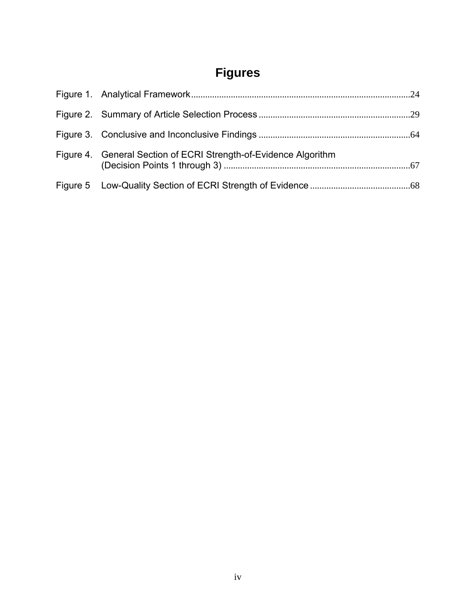# **Figures**

<span id="page-6-0"></span>

| Figure 4. General Section of ECRI Strength-of-Evidence Algorithm |
|------------------------------------------------------------------|
|                                                                  |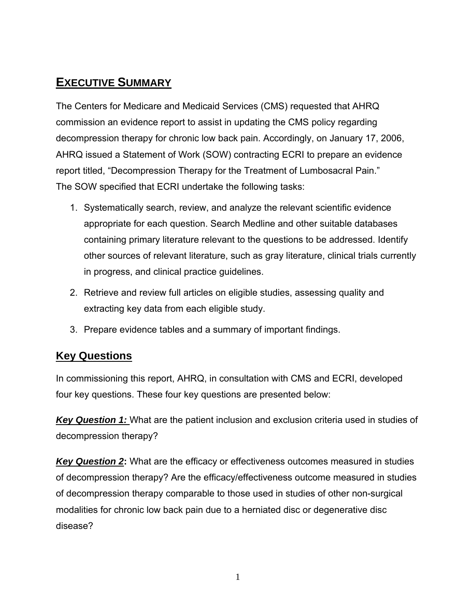## <span id="page-7-0"></span>**EXECUTIVE SUMMARY**

The Centers for Medicare and Medicaid Services (CMS) requested that AHRQ commission an evidence report to assist in updating the CMS policy regarding decompression therapy for chronic low back pain. Accordingly, on January 17, 2006, AHRQ issued a Statement of Work (SOW) contracting ECRI to prepare an evidence report titled, "Decompression Therapy for the Treatment of Lumbosacral Pain." The SOW specified that ECRI undertake the following tasks:

- 1. Systematically search, review, and analyze the relevant scientific evidence appropriate for each question. Search Medline and other suitable databases containing primary literature relevant to the questions to be addressed. Identify other sources of relevant literature, such as gray literature, clinical trials currently in progress, and clinical practice guidelines.
- 2. Retrieve and review full articles on eligible studies, assessing quality and extracting key data from each eligible study.
- 3. Prepare evidence tables and a summary of important findings.

## **Key Questions**

In commissioning this report, AHRQ, in consultation with CMS and ECRI, developed four key questions. These four key questions are presented below:

*Key Question 1:* What are the patient inclusion and exclusion criteria used in studies of decompression therapy?

**Key Question 2:** What are the efficacy or effectiveness outcomes measured in studies of decompression therapy? Are the efficacy/effectiveness outcome measured in studies of decompression therapy comparable to those used in studies of other non-surgical modalities for chronic low back pain due to a herniated disc or degenerative disc disease?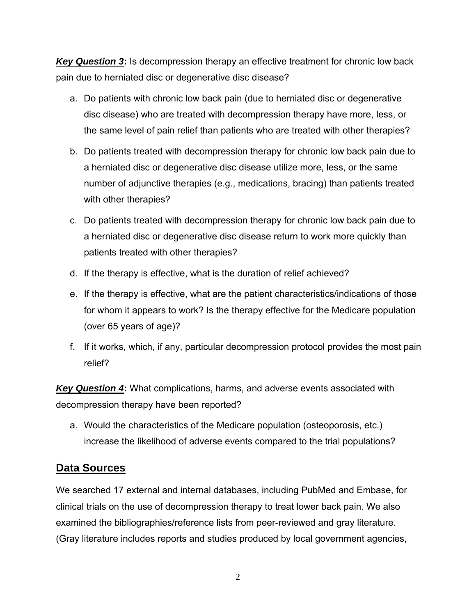<span id="page-8-0"></span>*Key Question 3***:** Is decompression therapy an effective treatment for chronic low back pain due to herniated disc or degenerative disc disease?

- a. Do patients with chronic low back pain (due to herniated disc or degenerative disc disease) who are treated with decompression therapy have more, less, or the same level of pain relief than patients who are treated with other therapies?
- b. Do patients treated with decompression therapy for chronic low back pain due to a herniated disc or degenerative disc disease utilize more, less, or the same number of adjunctive therapies (e.g., medications, bracing) than patients treated with other therapies?
- c. Do patients treated with decompression therapy for chronic low back pain due to a herniated disc or degenerative disc disease return to work more quickly than patients treated with other therapies?
- d. If the therapy is effective, what is the duration of relief achieved?
- e. If the therapy is effective, what are the patient characteristics/indications of those for whom it appears to work? Is the therapy effective for the Medicare population (over 65 years of age)?
- f. If it works, which, if any, particular decompression protocol provides the most pain relief?

*Key Question 4***:** What complications, harms, and adverse events associated with decompression therapy have been reported?

a. Would the characteristics of the Medicare population (osteoporosis, etc.) increase the likelihood of adverse events compared to the trial populations?

#### **Data Sources**

We searched 17 external and internal databases, including PubMed and Embase, for clinical trials on the use of decompression therapy to treat lower back pain. We also examined the bibliographies/reference lists from peer-reviewed and gray literature. (Gray literature includes reports and studies produced by local government agencies,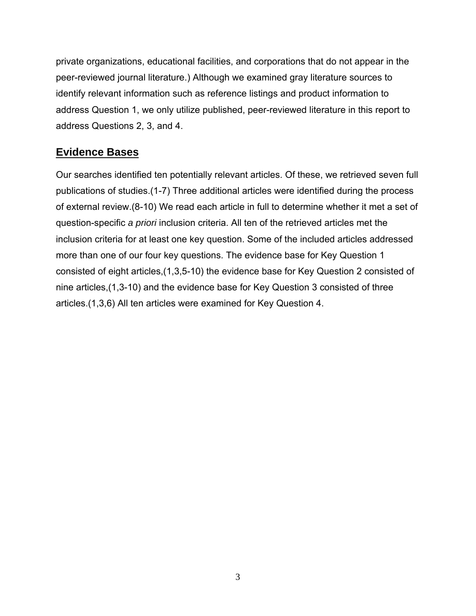<span id="page-9-0"></span>private organizations, educational facilities, and corporations that do not appear in the peer-reviewed journal literature.) Although we examined gray literature sources to identify relevant information such as reference listings and product information to address Question 1, we only utilize published, peer-reviewed literature in this report to address Questions 2, 3, and 4.

#### **Evidence Bases**

Our searches identified ten potentially relevant articles. Of these, we retrieved seven full publications of studies.(1-7) Three additional articles were identified during the process of external review.(8-10) We read each article in full to determine whether it met a set of question-specific *a priori* inclusion criteria. All ten of the retrieved articles met the inclusion criteria for at least one key question. Some of the included articles addressed more than one of our four key questions. The evidence base for Key Question 1 consisted of eight articles,(1,3,5-10) the evidence base for Key Question 2 consisted of nine articles,(1,3-10) and the evidence base for Key Question 3 consisted of three articles.(1,3,6) All ten articles were examined for Key Question 4.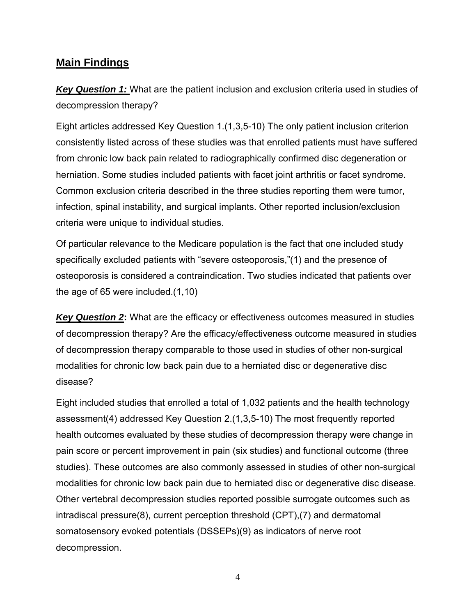#### <span id="page-10-0"></span>**Main Findings**

*Key Question 1:* What are the patient inclusion and exclusion criteria used in studies of decompression therapy?

Eight articles addressed Key Question 1.(1,3,5-10) The only patient inclusion criterion consistently listed across of these studies was that enrolled patients must have suffered from chronic low back pain related to radiographically confirmed disc degeneration or herniation. Some studies included patients with facet joint arthritis or facet syndrome. Common exclusion criteria described in the three studies reporting them were tumor, infection, spinal instability, and surgical implants. Other reported inclusion/exclusion criteria were unique to individual studies.

Of particular relevance to the Medicare population is the fact that one included study specifically excluded patients with "severe osteoporosis,"(1) and the presence of osteoporosis is considered a contraindication. Two studies indicated that patients over the age of 65 were included.(1,10)

*Key Question 2***:** What are the efficacy or effectiveness outcomes measured in studies of decompression therapy? Are the efficacy/effectiveness outcome measured in studies of decompression therapy comparable to those used in studies of other non-surgical modalities for chronic low back pain due to a herniated disc or degenerative disc disease?

Eight included studies that enrolled a total of 1,032 patients and the health technology assessment(4) addressed Key Question 2.(1,3,5-10) The most frequently reported health outcomes evaluated by these studies of decompression therapy were change in pain score or percent improvement in pain (six studies) and functional outcome (three studies). These outcomes are also commonly assessed in studies of other non-surgical modalities for chronic low back pain due to herniated disc or degenerative disc disease. Other vertebral decompression studies reported possible surrogate outcomes such as intradiscal pressure(8), current perception threshold (CPT),(7) and dermatomal somatosensory evoked potentials (DSSEPs)(9) as indicators of nerve root decompression.

4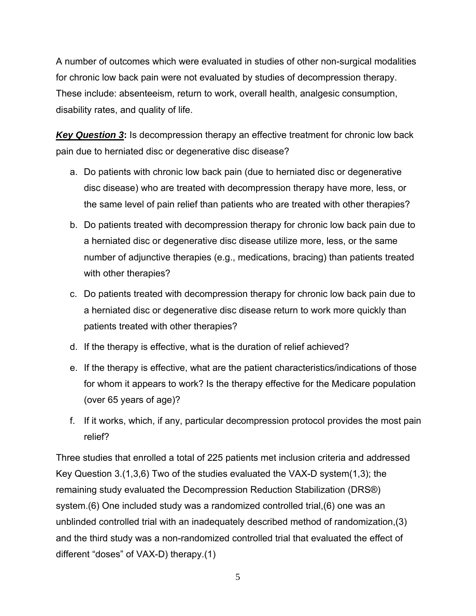A number of outcomes which were evaluated in studies of other non-surgical modalities for chronic low back pain were not evaluated by studies of decompression therapy. These include: absenteeism, return to work, overall health, analgesic consumption, disability rates, and quality of life.

*Key Question 3***:** Is decompression therapy an effective treatment for chronic low back pain due to herniated disc or degenerative disc disease?

- a. Do patients with chronic low back pain (due to herniated disc or degenerative disc disease) who are treated with decompression therapy have more, less, or the same level of pain relief than patients who are treated with other therapies?
- b. Do patients treated with decompression therapy for chronic low back pain due to a herniated disc or degenerative disc disease utilize more, less, or the same number of adjunctive therapies (e.g., medications, bracing) than patients treated with other therapies?
- c. Do patients treated with decompression therapy for chronic low back pain due to a herniated disc or degenerative disc disease return to work more quickly than patients treated with other therapies?
- d. If the therapy is effective, what is the duration of relief achieved?
- e. If the therapy is effective, what are the patient characteristics/indications of those for whom it appears to work? Is the therapy effective for the Medicare population (over 65 years of age)?
- f. If it works, which, if any, particular decompression protocol provides the most pain relief?

Three studies that enrolled a total of 225 patients met inclusion criteria and addressed Key Question 3.(1,3,6) Two of the studies evaluated the VAX-D system(1,3); the remaining study evaluated the Decompression Reduction Stabilization (DRS®) system.(6) One included study was a randomized controlled trial,(6) one was an unblinded controlled trial with an inadequately described method of randomization,(3) and the third study was a non-randomized controlled trial that evaluated the effect of different "doses" of VAX-D) therapy.(1)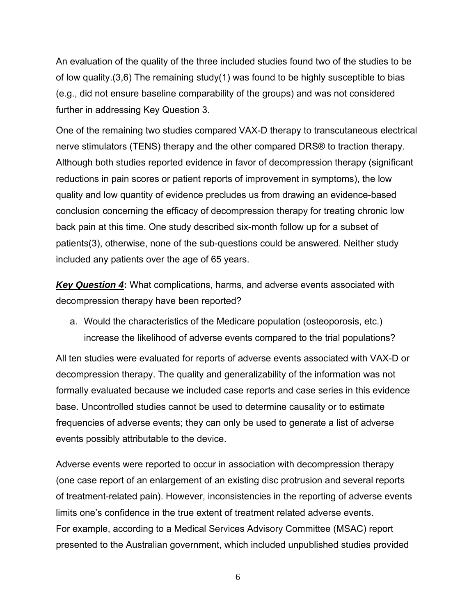An evaluation of the quality of the three included studies found two of the studies to be of low quality.(3,6) The remaining study(1) was found to be highly susceptible to bias (e.g., did not ensure baseline comparability of the groups) and was not considered further in addressing Key Question 3.

One of the remaining two studies compared VAX-D therapy to transcutaneous electrical nerve stimulators (TENS) therapy and the other compared DRS® to traction therapy. Although both studies reported evidence in favor of decompression therapy (significant reductions in pain scores or patient reports of improvement in symptoms), the low quality and low quantity of evidence precludes us from drawing an evidence-based conclusion concerning the efficacy of decompression therapy for treating chronic low back pain at this time. One study described six-month follow up for a subset of patients(3), otherwise, none of the sub-questions could be answered. Neither study included any patients over the age of 65 years.

*Key Question 4***:** What complications, harms, and adverse events associated with decompression therapy have been reported?

a. Would the characteristics of the Medicare population (osteoporosis, etc.) increase the likelihood of adverse events compared to the trial populations?

All ten studies were evaluated for reports of adverse events associated with VAX-D or decompression therapy. The quality and generalizability of the information was not formally evaluated because we included case reports and case series in this evidence base. Uncontrolled studies cannot be used to determine causality or to estimate frequencies of adverse events; they can only be used to generate a list of adverse events possibly attributable to the device.

Adverse events were reported to occur in association with decompression therapy (one case report of an enlargement of an existing disc protrusion and several reports of treatment-related pain). However, inconsistencies in the reporting of adverse events limits one's confidence in the true extent of treatment related adverse events. For example, according to a Medical Services Advisory Committee (MSAC) report presented to the Australian government, which included unpublished studies provided

6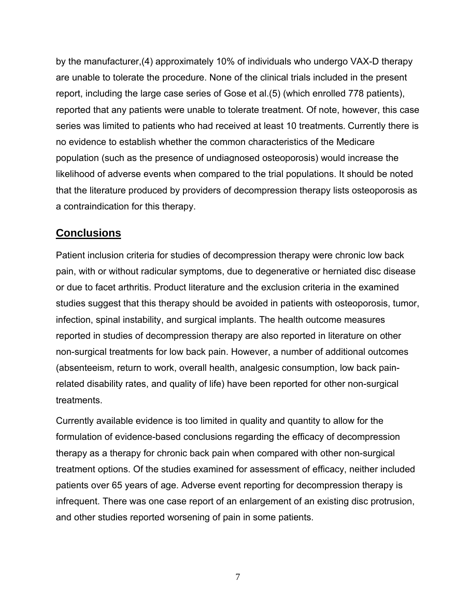<span id="page-13-0"></span>by the manufacturer,(4) approximately 10% of individuals who undergo VAX-D therapy are unable to tolerate the procedure. None of the clinical trials included in the present report, including the large case series of Gose et al.(5) (which enrolled 778 patients), reported that any patients were unable to tolerate treatment. Of note, however, this case series was limited to patients who had received at least 10 treatments. Currently there is no evidence to establish whether the common characteristics of the Medicare population (such as the presence of undiagnosed osteoporosis) would increase the likelihood of adverse events when compared to the trial populations. It should be noted that the literature produced by providers of decompression therapy lists osteoporosis as a contraindication for this therapy.

#### **Conclusions**

Patient inclusion criteria for studies of decompression therapy were chronic low back pain, with or without radicular symptoms, due to degenerative or herniated disc disease or due to facet arthritis. Product literature and the exclusion criteria in the examined studies suggest that this therapy should be avoided in patients with osteoporosis, tumor, infection, spinal instability, and surgical implants. The health outcome measures reported in studies of decompression therapy are also reported in literature on other non-surgical treatments for low back pain. However, a number of additional outcomes (absenteeism, return to work, overall health, analgesic consumption, low back painrelated disability rates, and quality of life) have been reported for other non-surgical treatments.

Currently available evidence is too limited in quality and quantity to allow for the formulation of evidence-based conclusions regarding the efficacy of decompression therapy as a therapy for chronic back pain when compared with other non-surgical treatment options. Of the studies examined for assessment of efficacy, neither included patients over 65 years of age. Adverse event reporting for decompression therapy is infrequent. There was one case report of an enlargement of an existing disc protrusion, and other studies reported worsening of pain in some patients.

7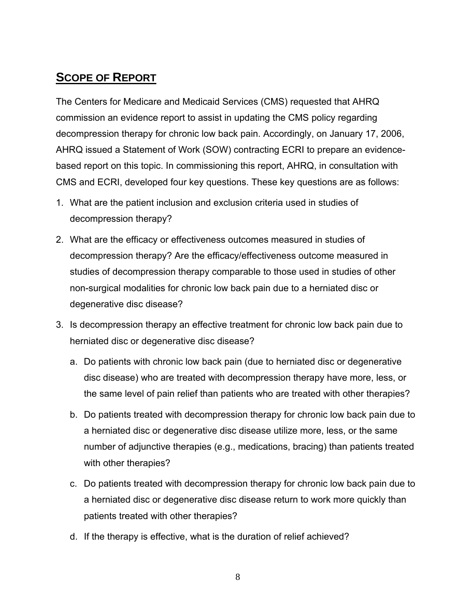## <span id="page-14-0"></span>**SCOPE OF REPORT**

The Centers for Medicare and Medicaid Services (CMS) requested that AHRQ commission an evidence report to assist in updating the CMS policy regarding decompression therapy for chronic low back pain. Accordingly, on January 17, 2006, AHRQ issued a Statement of Work (SOW) contracting ECRI to prepare an evidencebased report on this topic. In commissioning this report, AHRQ, in consultation with CMS and ECRI, developed four key questions. These key questions are as follows:

- 1. What are the patient inclusion and exclusion criteria used in studies of decompression therapy?
- 2. What are the efficacy or effectiveness outcomes measured in studies of decompression therapy? Are the efficacy/effectiveness outcome measured in studies of decompression therapy comparable to those used in studies of other non-surgical modalities for chronic low back pain due to a herniated disc or degenerative disc disease?
- 3. Is decompression therapy an effective treatment for chronic low back pain due to herniated disc or degenerative disc disease?
	- a. Do patients with chronic low back pain (due to herniated disc or degenerative disc disease) who are treated with decompression therapy have more, less, or the same level of pain relief than patients who are treated with other therapies?
	- b. Do patients treated with decompression therapy for chronic low back pain due to a herniated disc or degenerative disc disease utilize more, less, or the same number of adjunctive therapies (e.g., medications, bracing) than patients treated with other therapies?
	- c. Do patients treated with decompression therapy for chronic low back pain due to a herniated disc or degenerative disc disease return to work more quickly than patients treated with other therapies?
	- d. If the therapy is effective, what is the duration of relief achieved?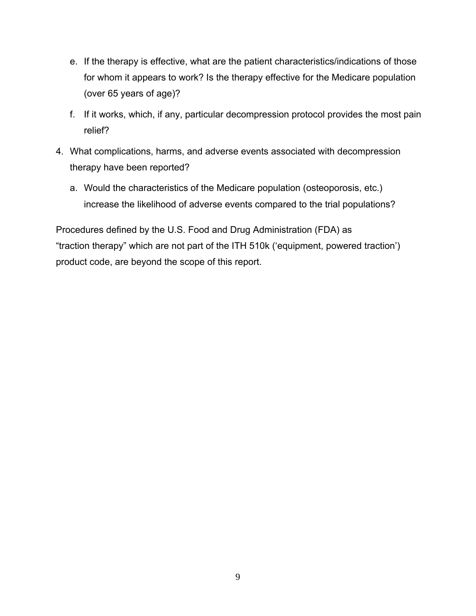- e. If the therapy is effective, what are the patient characteristics/indications of those for whom it appears to work? Is the therapy effective for the Medicare population (over 65 years of age)?
- f. If it works, which, if any, particular decompression protocol provides the most pain relief?
- 4. What complications, harms, and adverse events associated with decompression therapy have been reported?
	- a. Would the characteristics of the Medicare population (osteoporosis, etc.) increase the likelihood of adverse events compared to the trial populations?

Procedures defined by the U.S. Food and Drug Administration (FDA) as "traction therapy" which are not part of the ITH 510k ('equipment, powered traction') product code, are beyond the scope of this report.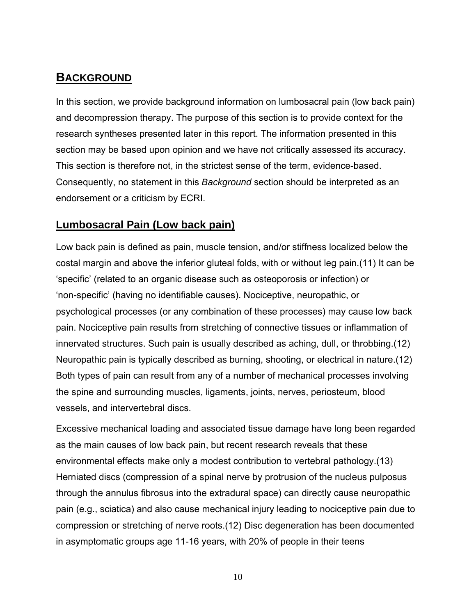## <span id="page-16-0"></span>**BACKGROUND**

In this section, we provide background information on lumbosacral pain (low back pain) and decompression therapy. The purpose of this section is to provide context for the research syntheses presented later in this report. The information presented in this section may be based upon opinion and we have not critically assessed its accuracy. This section is therefore not, in the strictest sense of the term, evidence-based. Consequently, no statement in this *Background* section should be interpreted as an endorsement or a criticism by ECRI.

#### **Lumbosacral Pain (Low back pain)**

Low back pain is defined as pain, muscle tension, and/or stiffness localized below the costal margin and above the inferior gluteal folds, with or without leg pain.(11) It can be 'specific' (related to an organic disease such as osteoporosis or infection) or 'non-specific' (having no identifiable causes). Nociceptive, neuropathic, or psychological processes (or any combination of these processes) may cause low back pain. Nociceptive pain results from stretching of connective tissues or inflammation of innervated structures. Such pain is usually described as aching, dull, or throbbing.(12) Neuropathic pain is typically described as burning, shooting, or electrical in nature.(12) Both types of pain can result from any of a number of mechanical processes involving the spine and surrounding muscles, ligaments, joints, nerves, periosteum, blood vessels, and intervertebral discs.

Excessive mechanical loading and associated tissue damage have long been regarded as the main causes of low back pain, but recent research reveals that these environmental effects make only a modest contribution to vertebral pathology.(13) Herniated discs (compression of a spinal nerve by protrusion of the nucleus pulposus through the annulus fibrosus into the extradural space) can directly cause neuropathic pain (e.g., sciatica) and also cause mechanical injury leading to nociceptive pain due to compression or stretching of nerve roots.(12) Disc degeneration has been documented in asymptomatic groups age 11-16 years, with 20% of people in their teens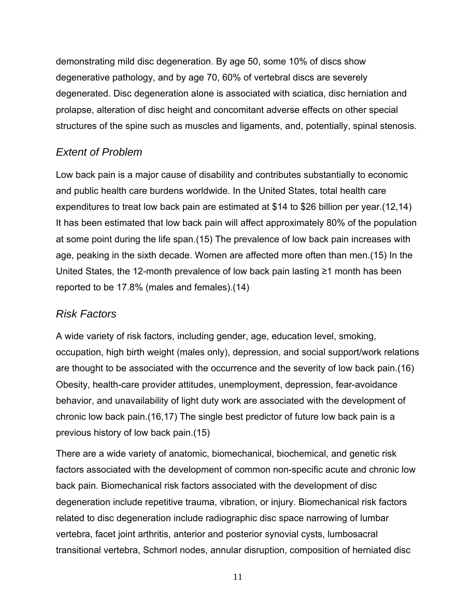demonstrating mild disc degeneration. By age 50, some 10% of discs show degenerative pathology, and by age 70, 60% of vertebral discs are severely degenerated. Disc degeneration alone is associated with sciatica, disc herniation and prolapse, alteration of disc height and concomitant adverse effects on other special structures of the spine such as muscles and ligaments, and, potentially, spinal stenosis.

#### *Extent of Problem*

Low back pain is a major cause of disability and contributes substantially to economic and public health care burdens worldwide. In the United States, total health care expenditures to treat low back pain are estimated at \$14 to \$26 billion per year.(12,14) It has been estimated that low back pain will affect approximately 80% of the population at some point during the life span.(15) The prevalence of low back pain increases with age, peaking in the sixth decade. Women are affected more often than men.(15) In the United States, the 12-month prevalence of low back pain lasting ≥1 month has been reported to be 17.8% (males and females).(14)

## *Risk Factors*

A wide variety of risk factors, including gender, age, education level, smoking, occupation, high birth weight (males only), depression, and social support/work relations are thought to be associated with the occurrence and the severity of low back pain.(16) Obesity, health-care provider attitudes, unemployment, depression, fear-avoidance behavior, and unavailability of light duty work are associated with the development of chronic low back pain.(16,17) The single best predictor of future low back pain is a previous history of low back pain.(15)

There are a wide variety of anatomic, biomechanical, biochemical, and genetic risk factors associated with the development of common non-specific acute and chronic low back pain. Biomechanical risk factors associated with the development of disc degeneration include repetitive trauma, vibration, or injury. Biomechanical risk factors related to disc degeneration include radiographic disc space narrowing of lumbar vertebra, facet joint arthritis, anterior and posterior synovial cysts, lumbosacral transitional vertebra, Schmorl nodes, annular disruption, composition of herniated disc

11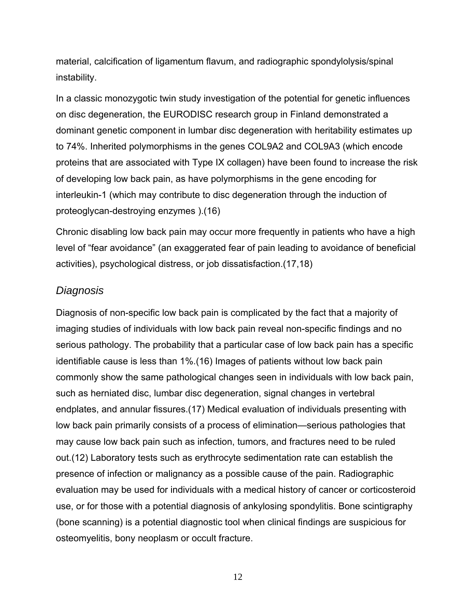material, calcification of ligamentum flavum, and radiographic spondylolysis/spinal instability.

In a classic monozygotic twin study investigation of the potential for genetic influences on disc degeneration, the EURODISC research group in Finland demonstrated a dominant genetic component in lumbar disc degeneration with heritability estimates up to 74%. Inherited polymorphisms in the genes COL9A2 and COL9A3 (which encode proteins that are associated with Type IX collagen) have been found to increase the risk of developing low back pain, as have polymorphisms in the gene encoding for interleukin-1 (which may contribute to disc degeneration through the induction of proteoglycan-destroying enzymes ).(16)

Chronic disabling low back pain may occur more frequently in patients who have a high level of "fear avoidance" (an exaggerated fear of pain leading to avoidance of beneficial activities), psychological distress, or job dissatisfaction.(17,18)

#### *Diagnosis*

Diagnosis of non-specific low back pain is complicated by the fact that a majority of imaging studies of individuals with low back pain reveal non-specific findings and no serious pathology. The probability that a particular case of low back pain has a specific identifiable cause is less than 1%.(16) Images of patients without low back pain commonly show the same pathological changes seen in individuals with low back pain, such as herniated disc, lumbar disc degeneration, signal changes in vertebral endplates, and annular fissures.(17) Medical evaluation of individuals presenting with low back pain primarily consists of a process of elimination—serious pathologies that may cause low back pain such as infection, tumors, and fractures need to be ruled out.(12) Laboratory tests such as erythrocyte sedimentation rate can establish the presence of infection or malignancy as a possible cause of the pain. Radiographic evaluation may be used for individuals with a medical history of cancer or corticosteroid use, or for those with a potential diagnosis of ankylosing spondylitis. Bone scintigraphy (bone scanning) is a potential diagnostic tool when clinical findings are suspicious for osteomyelitis, bony neoplasm or occult fracture.

12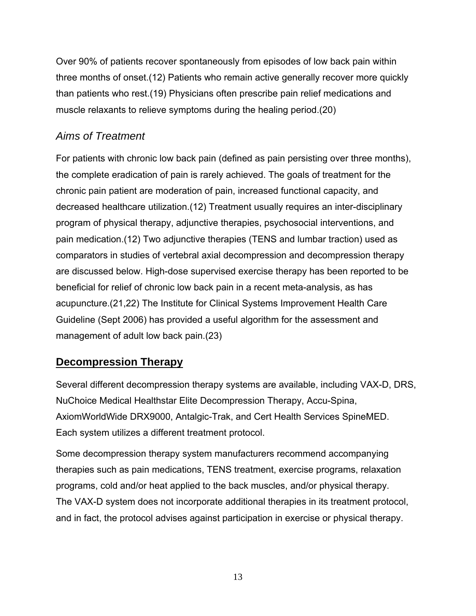<span id="page-19-0"></span>Over 90% of patients recover spontaneously from episodes of low back pain within three months of onset.(12) Patients who remain active generally recover more quickly than patients who rest.(19) Physicians often prescribe pain relief medications and muscle relaxants to relieve symptoms during the healing period.(20)

## *Aims of Treatment*

For patients with chronic low back pain (defined as pain persisting over three months), the complete eradication of pain is rarely achieved. The goals of treatment for the chronic pain patient are moderation of pain, increased functional capacity, and decreased healthcare utilization.(12) Treatment usually requires an inter-disciplinary program of physical therapy, adjunctive therapies, psychosocial interventions, and pain medication.(12) Two adjunctive therapies (TENS and lumbar traction) used as comparators in studies of vertebral axial decompression and decompression therapy are discussed below. High-dose supervised exercise therapy has been reported to be beneficial for relief of chronic low back pain in a recent meta-analysis, as has acupuncture.(21,22) The Institute for Clinical Systems Improvement Health Care Guideline (Sept 2006) has provided a useful algorithm for the assessment and management of adult low back pain.(23)

## **Decompression Therapy**

Several different decompression therapy systems are available, including VAX-D, DRS, NuChoice Medical Healthstar Elite Decompression Therapy, Accu-Spina, AxiomWorldWide DRX9000, Antalgic-Trak, and Cert Health Services SpineMED. Each system utilizes a different treatment protocol.

Some decompression therapy system manufacturers recommend accompanying therapies such as pain medications, TENS treatment, exercise programs, relaxation programs, cold and/or heat applied to the back muscles, and/or physical therapy. The VAX-D system does not incorporate additional therapies in its treatment protocol, and in fact, the protocol advises against participation in exercise or physical therapy.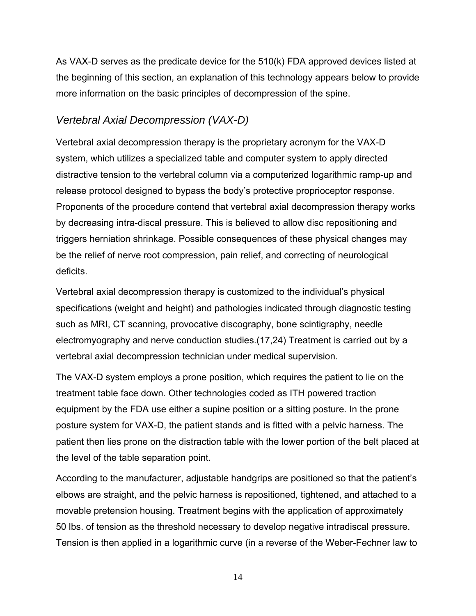As VAX-D serves as the predicate device for the 510(k) FDA approved devices listed at the beginning of this section, an explanation of this technology appears below to provide more information on the basic principles of decompression of the spine.

## *Vertebral Axial Decompression (VAX-D)*

Vertebral axial decompression therapy is the proprietary acronym for the VAX-D system, which utilizes a specialized table and computer system to apply directed distractive tension to the vertebral column via a computerized logarithmic ramp-up and release protocol designed to bypass the body's protective proprioceptor response. Proponents of the procedure contend that vertebral axial decompression therapy works by decreasing intra-discal pressure. This is believed to allow disc repositioning and triggers herniation shrinkage. Possible consequences of these physical changes may be the relief of nerve root compression, pain relief, and correcting of neurological deficits.

Vertebral axial decompression therapy is customized to the individual's physical specifications (weight and height) and pathologies indicated through diagnostic testing such as MRI, CT scanning, provocative discography, bone scintigraphy, needle electromyography and nerve conduction studies.(17,24) Treatment is carried out by a vertebral axial decompression technician under medical supervision.

The VAX-D system employs a prone position, which requires the patient to lie on the treatment table face down. Other technologies coded as ITH powered traction equipment by the FDA use either a supine position or a sitting posture. In the prone posture system for VAX-D, the patient stands and is fitted with a pelvic harness. The patient then lies prone on the distraction table with the lower portion of the belt placed at the level of the table separation point.

According to the manufacturer, adjustable handgrips are positioned so that the patient's elbows are straight, and the pelvic harness is repositioned, tightened, and attached to a movable pretension housing. Treatment begins with the application of approximately 50 lbs. of tension as the threshold necessary to develop negative intradiscal pressure. Tension is then applied in a logarithmic curve (in a reverse of the Weber-Fechner law to

14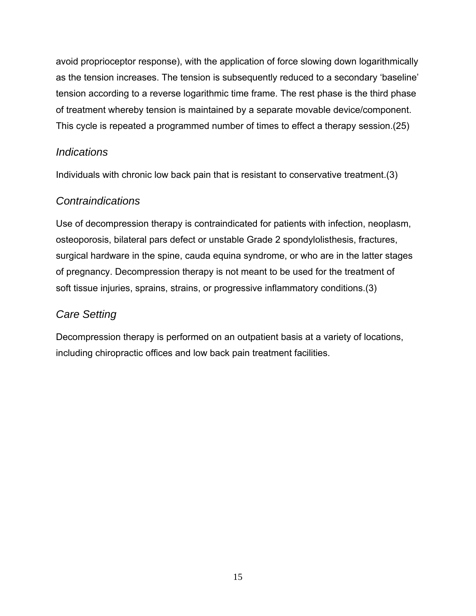avoid proprioceptor response), with the application of force slowing down logarithmically as the tension increases. The tension is subsequently reduced to a secondary 'baseline' tension according to a reverse logarithmic time frame. The rest phase is the third phase of treatment whereby tension is maintained by a separate movable device/component. This cycle is repeated a programmed number of times to effect a therapy session.(25)

#### *Indications*

Individuals with chronic low back pain that is resistant to conservative treatment.(3)

#### *Contraindications*

Use of decompression therapy is contraindicated for patients with infection, neoplasm, osteoporosis, bilateral pars defect or unstable Grade 2 spondylolisthesis, fractures, surgical hardware in the spine, cauda equina syndrome, or who are in the latter stages of pregnancy. Decompression therapy is not meant to be used for the treatment of soft tissue injuries, sprains, strains, or progressive inflammatory conditions.(3)

## *Care Setting*

Decompression therapy is performed on an outpatient basis at a variety of locations, including chiropractic offices and low back pain treatment facilities.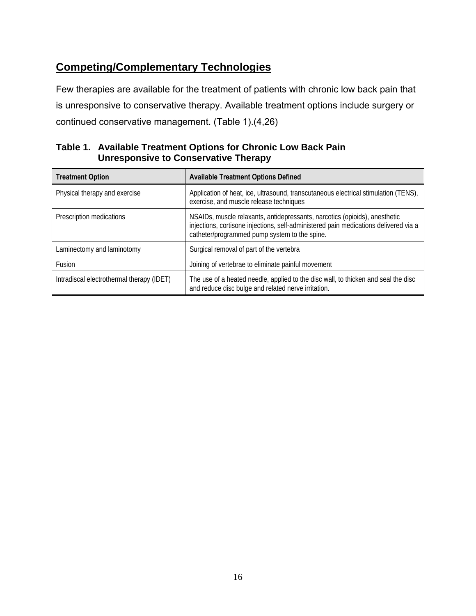## <span id="page-22-0"></span>**Competing/Complementary Technologies**

Few therapies are available for the treatment of patients with chronic low back pain that is unresponsive to conservative therapy. Available treatment options include surgery or continued conservative management. (Table 1).(4,26)

#### **Table 1. Available Treatment Options for Chronic Low Back Pain Unresponsive to Conservative Therapy**

| <b>Treatment Option</b>                   | <b>Available Treatment Options Defined</b>                                                                                                                                                                          |  |
|-------------------------------------------|---------------------------------------------------------------------------------------------------------------------------------------------------------------------------------------------------------------------|--|
| Physical therapy and exercise             | Application of heat, ice, ultrasound, transcutaneous electrical stimulation (TENS),<br>exercise, and muscle release techniques                                                                                      |  |
| Prescription medications                  | NSAIDs, muscle relaxants, antidepressants, narcotics (opioids), anesthetic<br>injections, cortisone injections, self-administered pain medications delivered via a<br>catheter/programmed pump system to the spine. |  |
| Laminectomy and laminotomy                | Surgical removal of part of the vertebra                                                                                                                                                                            |  |
| Fusion                                    | Joining of vertebrae to eliminate painful movement                                                                                                                                                                  |  |
| Intradiscal electrothermal therapy (IDET) | The use of a heated needle, applied to the disc wall, to thicken and seal the disc<br>and reduce disc bulge and related nerve irritation.                                                                           |  |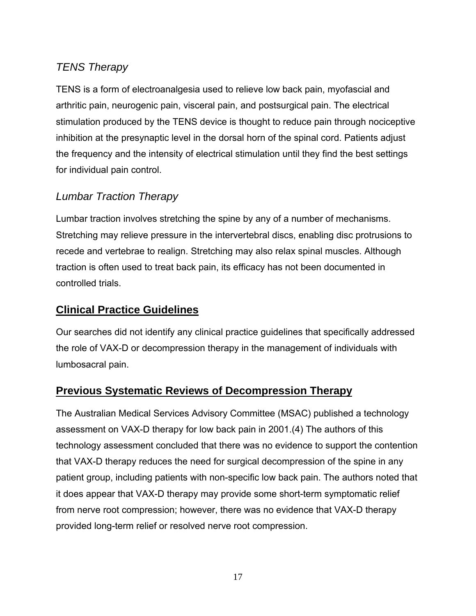## <span id="page-23-0"></span>*TENS Therapy*

TENS is a form of electroanalgesia used to relieve low back pain, myofascial and arthritic pain, neurogenic pain, visceral pain, and postsurgical pain. The electrical stimulation produced by the TENS device is thought to reduce pain through nociceptive inhibition at the presynaptic level in the dorsal horn of the spinal cord. Patients adjust the frequency and the intensity of electrical stimulation until they find the best settings for individual pain control.

#### *Lumbar Traction Therapy*

Lumbar traction involves stretching the spine by any of a number of mechanisms. Stretching may relieve pressure in the intervertebral discs, enabling disc protrusions to recede and vertebrae to realign. Stretching may also relax spinal muscles. Although traction is often used to treat back pain, its efficacy has not been documented in controlled trials.

#### **Clinical Practice Guidelines**

Our searches did not identify any clinical practice guidelines that specifically addressed the role of VAX-D or decompression therapy in the management of individuals with lumbosacral pain.

#### **Previous Systematic Reviews of Decompression Therapy**

The Australian Medical Services Advisory Committee (MSAC) published a technology assessment on VAX-D therapy for low back pain in 2001.(4) The authors of this technology assessment concluded that there was no evidence to support the contention that VAX-D therapy reduces the need for surgical decompression of the spine in any patient group, including patients with non-specific low back pain. The authors noted that it does appear that VAX-D therapy may provide some short-term symptomatic relief from nerve root compression; however, there was no evidence that VAX-D therapy provided long-term relief or resolved nerve root compression.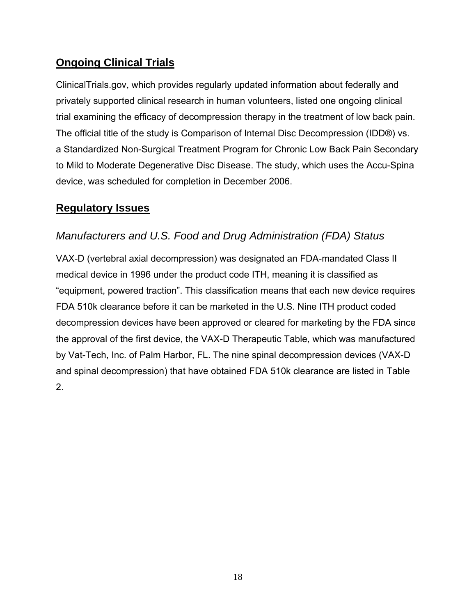## <span id="page-24-0"></span>**Ongoing Clinical Trials**

ClinicalTrials.gov, which provides regularly updated information about federally and privately supported clinical research in human volunteers, listed one ongoing clinical trial examining the efficacy of decompression therapy in the treatment of low back pain. The official title of the study is Comparison of Internal Disc Decompression (IDD®) vs. a Standardized Non-Surgical Treatment Program for Chronic Low Back Pain Secondary to Mild to Moderate Degenerative Disc Disease. The study, which uses the Accu-Spina device, was scheduled for completion in December 2006.

## **Regulatory Issues**

## *Manufacturers and U.S. Food and Drug Administration (FDA) Status*

VAX-D (vertebral axial decompression) was designated an FDA-mandated Class II medical device in 1996 under the product code ITH, meaning it is classified as "equipment, powered traction". This classification means that each new device requires FDA 510k clearance before it can be marketed in the U.S. Nine ITH product coded decompression devices have been approved or cleared for marketing by the FDA since the approval of the first device, the VAX-D Therapeutic Table, which was manufactured by Vat-Tech, Inc. of Palm Harbor, FL. The nine spinal decompression devices (VAX-D and spinal decompression) that have obtained FDA 510k clearance are listed in Table 2.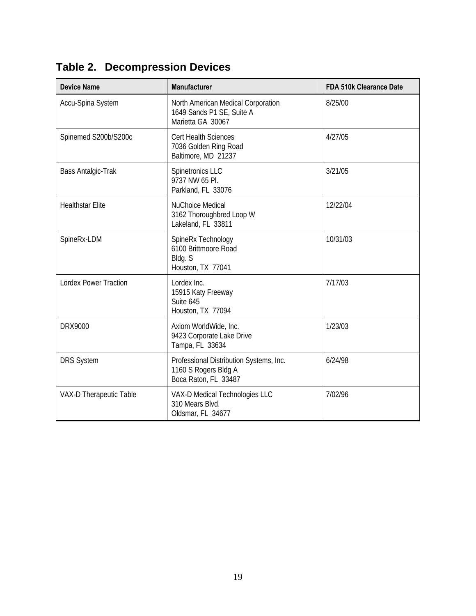| <b>Device Name</b>           | <b>Manufacturer</b>                                                                     | <b>FDA 510k Clearance Date</b> |
|------------------------------|-----------------------------------------------------------------------------------------|--------------------------------|
| Accu-Spina System            | North American Medical Corporation<br>1649 Sands P1 SE, Suite A<br>Marietta GA 30067    | 8/25/00                        |
| Spinemed S200b/S200c         | <b>Cert Health Sciences</b><br>7036 Golden Ring Road<br>Baltimore, MD 21237             | 4/27/05                        |
| Bass Antalgic-Trak           | Spinetronics LLC<br>9737 NW 65 Pl.<br>Parkland, FL 33076                                | 3/21/05                        |
| <b>Healthstar Elite</b>      | <b>NuChoice Medical</b><br>3162 Thoroughbred Loop W<br>Lakeland, FL 33811               | 12/22/04                       |
| SpineRx-LDM                  | SpineRx Technology<br>6100 Brittmoore Road<br>Bldg. S<br>Houston, TX 77041              | 10/31/03                       |
| <b>Lordex Power Traction</b> | Lordex Inc.<br>15915 Katy Freeway<br>Suite 645<br>Houston, TX 77094                     | 7/17/03                        |
| <b>DRX9000</b>               | Axiom WorldWide, Inc.<br>9423 Corporate Lake Drive<br>Tampa, FL 33634                   | 1/23/03                        |
| <b>DRS System</b>            | Professional Distribution Systems, Inc.<br>1160 S Rogers Bldg A<br>Boca Raton, FL 33487 | 6/24/98                        |
| VAX-D Therapeutic Table      | VAX-D Medical Technologies LLC<br>310 Mears Blvd.<br>Oldsmar, FL 34677                  | 7/02/96                        |

<span id="page-25-0"></span>**Table 2. Decompression Devices**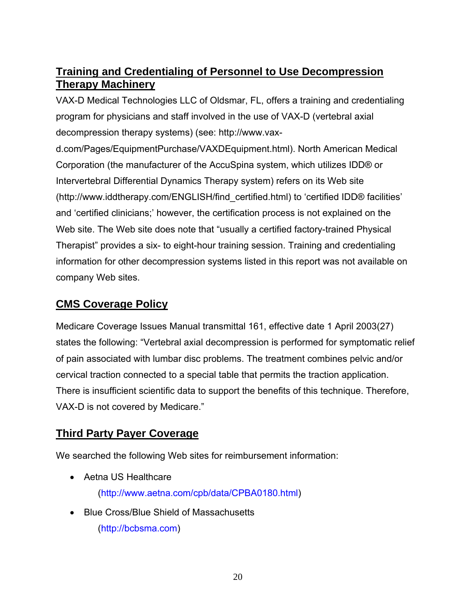## <span id="page-26-0"></span>**Training and Credentialing of Personnel to Use Decompression Therapy Machinery**

VAX-D Medical Technologies LLC of Oldsmar, FL, offers a training and credentialing program for physicians and staff involved in the use of VAX-D (vertebral axial decompression therapy systems) (see: http://www.vax-

d.com/Pages/EquipmentPurchase/VAXDEquipment.html). North American Medical Corporation (the manufacturer of the AccuSpina system, which utilizes IDD® or Intervertebral Differential Dynamics Therapy system) refers on its Web site (http://www.iddtherapy.com/ENGLISH/find\_certified.html) to 'certified IDD® facilities' and 'certified clinicians;' however, the certification process is not explained on the Web site. The Web site does note that "usually a certified factory-trained Physical Therapist" provides a six- to eight-hour training session. Training and credentialing information for other decompression systems listed in this report was not available on company Web sites.

## **CMS Coverage Policy**

Medicare Coverage Issues Manual transmittal 161, effective date 1 April 2003(27) states the following: "Vertebral axial decompression is performed for symptomatic relief of pain associated with lumbar disc problems. The treatment combines pelvic and/or cervical traction connected to a special table that permits the traction application. There is insufficient scientific data to support the benefits of this technique. Therefore, VAX-D is not covered by Medicare."

## **Third Party Payer Coverage**

We searched the following Web sites for reimbursement information:

- Aetna US Healthcare (http://www.aetna.com/cpb/data/CPBA0180.html)
- Blue Cross/Blue Shield of Massachusetts (http://bcbsma.com)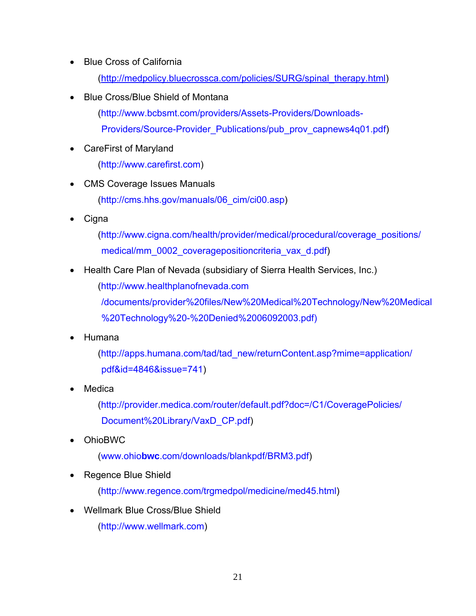- Blue Cross of California (http://medpolicy.bluecrossca.com/policies/SURG/spinal\_therapy.html)
- Blue Cross/Blue Shield of Montana
	- (http://www.bcbsmt.com/providers/Assets-Providers/Downloads-Providers/Source-Provider\_Publications/pub\_prov\_capnews4q01.pdf)
- CareFirst of Maryland

(http://www.carefirst.com)

- CMS Coverage Issues Manuals (http://cms.hhs.gov/manuals/06\_cim/ci00.asp)
- Cigna

 (http://www.cigna.com/health/provider/medical/procedural/coverage\_positions/ medical/mm\_0002\_coveragepositioncriteria\_vax\_d.pdf)

• Health Care Plan of Nevada (subsidiary of Sierra Health Services, Inc.)

(http://www.healthplanofnevada.com

/documents/provider%20files/New%20Medical%20Technology/New%20Medical %20Technology%20-%20Denied%2006092003.pdf)

• Humana

(http://apps.humana.com/tad/tad\_new/returnContent.asp?mime=application/ pdf&id=4846&issue=741)

**Medica** 

(http://provider.medica.com/router/default.pdf?doc=/C1/CoveragePolicies/ Document%20Library/VaxD\_CP.pdf)

• OhioBWC

(www.ohio**bwc**.com/downloads/blankpdf/BRM3.pdf)

• Regence Blue Shield

(http://www.regence.com/trgmedpol/medicine/med45.html)

• Wellmark Blue Cross/Blue Shield

(http://www.wellmark.com)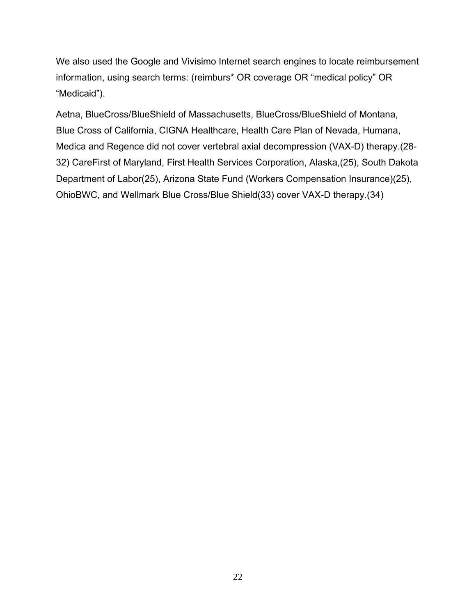We also used the Google and Vivisimo Internet search engines to locate reimbursement information, using search terms: (reimburs\* OR coverage OR "medical policy" OR "Medicaid").

Aetna, BlueCross/BlueShield of Massachusetts, BlueCross/BlueShield of Montana, Blue Cross of California, CIGNA Healthcare, Health Care Plan of Nevada, Humana, Medica and Regence did not cover vertebral axial decompression (VAX-D) therapy.(28 32) CareFirst of Maryland, First Health Services Corporation, Alaska,(25), South Dakota Department of Labor(25), Arizona State Fund (Workers Compensation Insurance)(25), OhioBWC, and Wellmark Blue Cross/Blue Shield(33) cover VAX-D therapy.(34)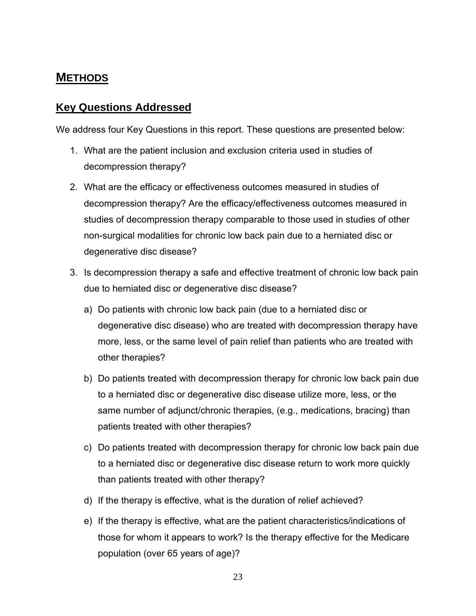## <span id="page-29-0"></span>**METHODS**

#### **Key Questions Addressed**

We address four Key Questions in this report. These questions are presented below:

- 1. What are the patient inclusion and exclusion criteria used in studies of decompression therapy?
- 2. What are the efficacy or effectiveness outcomes measured in studies of decompression therapy? Are the efficacy/effectiveness outcomes measured in studies of decompression therapy comparable to those used in studies of other non-surgical modalities for chronic low back pain due to a herniated disc or degenerative disc disease?
- 3. Is decompression therapy a safe and effective treatment of chronic low back pain due to herniated disc or degenerative disc disease?
	- a) Do patients with chronic low back pain (due to a herniated disc or degenerative disc disease) who are treated with decompression therapy have more, less, or the same level of pain relief than patients who are treated with other therapies?
	- b) Do patients treated with decompression therapy for chronic low back pain due to a herniated disc or degenerative disc disease utilize more, less, or the same number of adjunct/chronic therapies, (e.g., medications, bracing) than patients treated with other therapies?
	- c) Do patients treated with decompression therapy for chronic low back pain due to a herniated disc or degenerative disc disease return to work more quickly than patients treated with other therapy?
	- d) If the therapy is effective, what is the duration of relief achieved?
	- e) If the therapy is effective, what are the patient characteristics/indications of those for whom it appears to work? Is the therapy effective for the Medicare population (over 65 years of age)?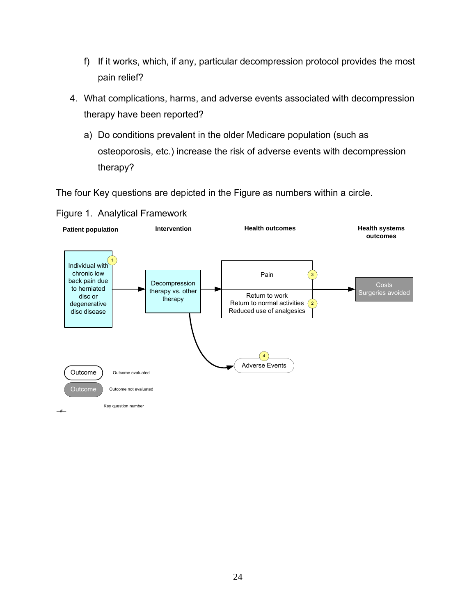- f) If it works, which, if any, particular decompression protocol provides the most pain relief?
- 4. What complications, harms, and adverse events associated with decompression therapy have been reported?
	- a) Do conditions prevalent in the older Medicare population (such as osteoporosis, etc.) increase the risk of adverse events with decompression therapy?

The four Key questions are depicted in the Figure as numbers within a circle.



#### Figure 1. Analytical Framework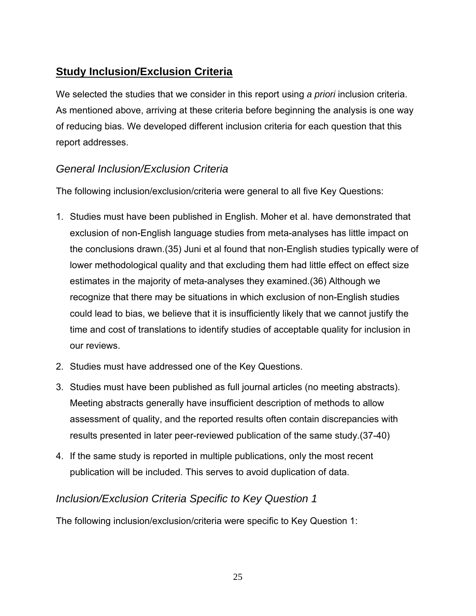## <span id="page-31-0"></span>**Study Inclusion/Exclusion Criteria**

We selected the studies that we consider in this report using *a priori* inclusion criteria. As mentioned above, arriving at these criteria before beginning the analysis is one way of reducing bias. We developed different inclusion criteria for each question that this report addresses.

## *General Inclusion/Exclusion Criteria*

The following inclusion/exclusion/criteria were general to all five Key Questions:

- 1. Studies must have been published in English. Moher et al. have demonstrated that exclusion of non-English language studies from meta-analyses has little impact on the conclusions drawn.(35) Juni et al found that non-English studies typically were of lower methodological quality and that excluding them had little effect on effect size estimates in the majority of meta-analyses they examined.(36) Although we recognize that there may be situations in which exclusion of non-English studies could lead to bias, we believe that it is insufficiently likely that we cannot justify the time and cost of translations to identify studies of acceptable quality for inclusion in our reviews.
- 2. Studies must have addressed one of the Key Questions.
- 3. Studies must have been published as full journal articles (no meeting abstracts). Meeting abstracts generally have insufficient description of methods to allow assessment of quality, and the reported results often contain discrepancies with results presented in later peer-reviewed publication of the same study.(37-40)
- 4. If the same study is reported in multiple publications, only the most recent publication will be included. This serves to avoid duplication of data.

#### *Inclusion/Exclusion Criteria Specific to Key Question 1*

The following inclusion/exclusion/criteria were specific to Key Question 1: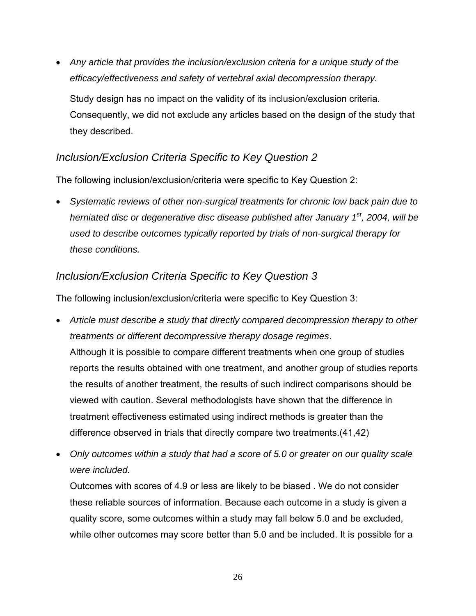• *Any article that provides the inclusion/exclusion criteria for a unique study of the efficacy/effectiveness and safety of vertebral axial decompression therapy.*  Study design has no impact on the validity of its inclusion/exclusion criteria. Consequently, we did not exclude any articles based on the design of the study that

#### *Inclusion/Exclusion Criteria Specific to Key Question 2*

they described.

The following inclusion/exclusion/criteria were specific to Key Question 2:

• *Systematic reviews of other non-surgical treatments for chronic low back pain due to herniated disc or degenerative disc disease published after January 1st, 2004, will be used to describe outcomes typically reported by trials of non-surgical therapy for these conditions.* 

#### *Inclusion/Exclusion Criteria Specific to Key Question 3*

The following inclusion/exclusion/criteria were specific to Key Question 3:

- *Article must describe a study that directly compared decompression therapy to other treatments or different decompressive therapy dosage regimes*. Although it is possible to compare different treatments when one group of studies reports the results obtained with one treatment, and another group of studies reports the results of another treatment, the results of such indirect comparisons should be viewed with caution. Several methodologists have shown that the difference in treatment effectiveness estimated using indirect methods is greater than the difference observed in trials that directly compare two treatments.(41,42)
- *Only outcomes within a study that had a score of 5.0 or greater on our quality scale were included.*

Outcomes with scores of 4.9 or less are likely to be biased . We do not consider these reliable sources of information. Because each outcome in a study is given a quality score, some outcomes within a study may fall below 5.0 and be excluded, while other outcomes may score better than 5.0 and be included. It is possible for a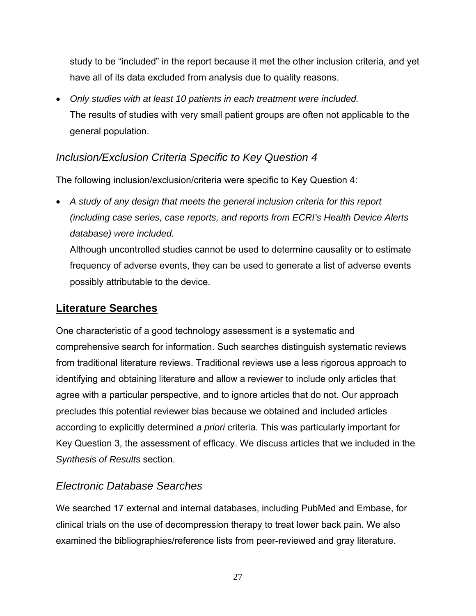<span id="page-33-0"></span>study to be "included" in the report because it met the other inclusion criteria, and yet have all of its data excluded from analysis due to quality reasons.

• *Only studies with at least 10 patients in each treatment were included.*  The results of studies with very small patient groups are often not applicable to the general population.

#### *Inclusion/Exclusion Criteria Specific to Key Question 4*

The following inclusion/exclusion/criteria were specific to Key Question 4:

• *A study of any design that meets the general inclusion criteria for this report (including case series, case reports, and reports from ECRI's Health Device Alerts database) were included.* 

Although uncontrolled studies cannot be used to determine causality or to estimate frequency of adverse events, they can be used to generate a list of adverse events possibly attributable to the device.

#### **Literature Searches**

One characteristic of a good technology assessment is a systematic and comprehensive search for information. Such searches distinguish systematic reviews from traditional literature reviews. Traditional reviews use a less rigorous approach to identifying and obtaining literature and allow a reviewer to include only articles that agree with a particular perspective, and to ignore articles that do not. Our approach precludes this potential reviewer bias because we obtained and included articles according to explicitly determined *a priori* criteria. This was particularly important for Key Question 3, the assessment of efficacy. We discuss articles that we included in the *Synthesis of Results* section.

#### *Electronic Database Searches*

We searched 17 external and internal databases, including PubMed and Embase, for clinical trials on the use of decompression therapy to treat lower back pain. We also examined the bibliographies/reference lists from peer-reviewed and gray literature.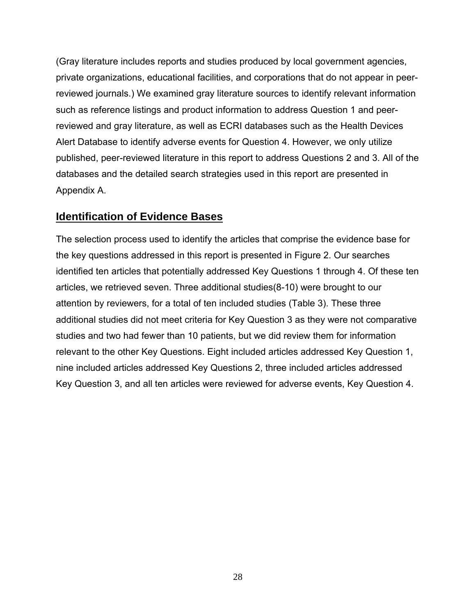<span id="page-34-0"></span>(Gray literature includes reports and studies produced by local government agencies, private organizations, educational facilities, and corporations that do not appear in peerreviewed journals.) We examined gray literature sources to identify relevant information such as reference listings and product information to address Question 1 and peerreviewed and gray literature, as well as ECRI databases such as the Health Devices Alert Database to identify adverse events for Question 4. However, we only utilize published, peer-reviewed literature in this report to address Questions 2 and 3. All of the databases and the detailed search strategies used in this report are presented in Appendix A.

#### **Identification of Evidence Bases**

The selection process used to identify the articles that comprise the evidence base for the key questions addressed in this report is presented in Figure 2. Our searches identified ten articles that potentially addressed Key Questions 1 through 4. Of these ten articles, we retrieved seven. Three additional studies(8-10) were brought to our attention by reviewers, for a total of ten included studies (Table 3). These three additional studies did not meet criteria for Key Question 3 as they were not comparative studies and two had fewer than 10 patients, but we did review them for information relevant to the other Key Questions. Eight included articles addressed Key Question 1, nine included articles addressed Key Questions 2, three included articles addressed Key Question 3, and all ten articles were reviewed for adverse events, Key Question 4.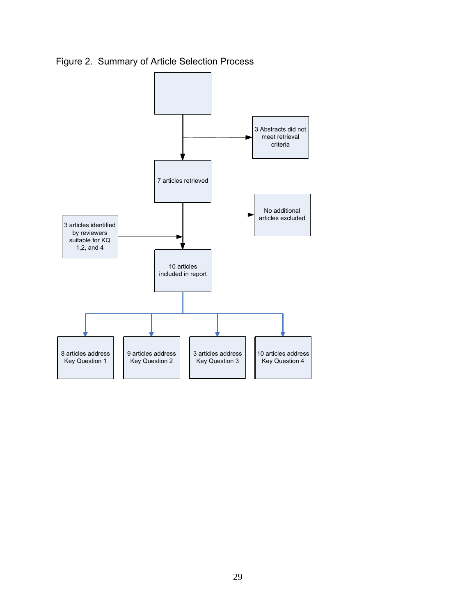Figure 2. Summary of Article Selection Process

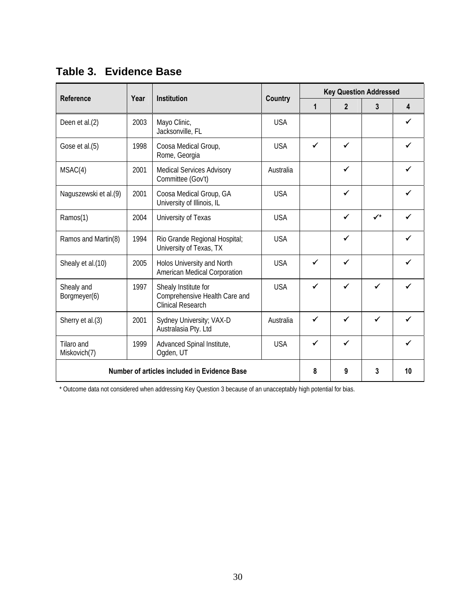| <b>Reference</b>           | Year                                         | <b>Institution</b>                                                                |                |              | <b>Key Question Addressed</b> |              |                         |  |
|----------------------------|----------------------------------------------|-----------------------------------------------------------------------------------|----------------|--------------|-------------------------------|--------------|-------------------------|--|
|                            |                                              |                                                                                   | <b>Country</b> | $\mathbf{1}$ | $\overline{2}$                | 3            | $\overline{\mathbf{4}}$ |  |
| Deen et al.(2)             | 2003                                         | Mayo Clinic,<br>Jacksonville, FL                                                  | <b>USA</b>     |              |                               |              | ✓                       |  |
| Gose et al.(5)             | 1998                                         | Coosa Medical Group,<br>Rome, Georgia                                             | <b>USA</b>     | $\checkmark$ | ✓                             |              | ✓                       |  |
| MSAC(4)                    | 2001                                         | <b>Medical Services Advisory</b><br>Committee (Gov't)                             | Australia      |              | ✓                             |              | $\checkmark$            |  |
| Naguszewski et al.(9)      | 2001                                         | Coosa Medical Group, GA<br>University of Illinois, IL                             | <b>USA</b>     |              | $\checkmark$                  |              | ✓                       |  |
| Ramos(1)                   | 2004                                         | University of Texas                                                               | <b>USA</b>     |              | $\checkmark$                  | $\checkmark$ | ✔                       |  |
| Ramos and Martin(8)        | 1994                                         | Rio Grande Regional Hospital;<br>University of Texas, TX                          | <b>USA</b>     |              | $\checkmark$                  |              | ✓                       |  |
| Shealy et al.(10)          | 2005                                         | Holos University and North<br>American Medical Corporation                        | <b>USA</b>     | ✓            | ✔                             |              | ✓                       |  |
| Shealy and<br>Borgmeyer(6) | 1997                                         | Shealy Institute for<br>Comprehensive Health Care and<br><b>Clinical Research</b> | <b>USA</b>     |              |                               | ✓            |                         |  |
| Sherry et al.(3)           | 2001                                         | Sydney University; VAX-D<br>Australasia Pty. Ltd                                  | Australia      | ✓            | ✓                             | ✓            |                         |  |
| Tilaro and<br>Miskovich(7) | 1999                                         | Advanced Spinal Institute,<br>Ogden, UT                                           | <b>USA</b>     | ✓            |                               |              |                         |  |
|                            | Number of articles included in Evidence Base | 8                                                                                 | 9              | 3            | 10                            |              |                         |  |

**Table 3. Evidence Base** 

\* Outcome data not considered when addressing Key Question 3 because of an unacceptably high potential for bias.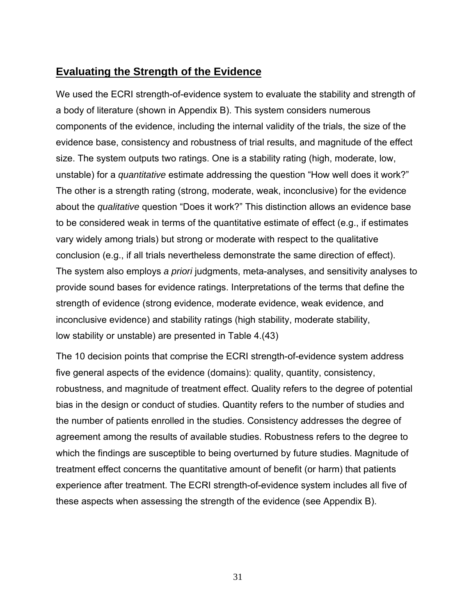## **Evaluating the Strength of the Evidence**

We used the ECRI strength-of-evidence system to evaluate the stability and strength of a body of literature (shown in Appendix B). This system considers numerous components of the evidence, including the internal validity of the trials, the size of the evidence base, consistency and robustness of trial results, and magnitude of the effect size. The system outputs two ratings. One is a stability rating (high, moderate, low, unstable) for a *quantitative* estimate addressing the question "How well does it work?" The other is a strength rating (strong, moderate, weak, inconclusive) for the evidence about the *qualitative* question "Does it work?" This distinction allows an evidence base to be considered weak in terms of the quantitative estimate of effect (e.g., if estimates vary widely among trials) but strong or moderate with respect to the qualitative conclusion (e.g., if all trials nevertheless demonstrate the same direction of effect). The system also employs *a priori* judgments, meta-analyses, and sensitivity analyses to provide sound bases for evidence ratings. Interpretations of the terms that define the strength of evidence (strong evidence, moderate evidence, weak evidence, and inconclusive evidence) and stability ratings (high stability, moderate stability, low stability or unstable) are presented in Table 4.(43)

The 10 decision points that comprise the ECRI strength-of-evidence system address five general aspects of the evidence (domains): quality, quantity, consistency, robustness, and magnitude of treatment effect. Quality refers to the degree of potential bias in the design or conduct of studies. Quantity refers to the number of studies and the number of patients enrolled in the studies. Consistency addresses the degree of agreement among the results of available studies. Robustness refers to the degree to which the findings are susceptible to being overturned by future studies. Magnitude of treatment effect concerns the quantitative amount of benefit (or harm) that patients experience after treatment. The ECRI strength-of-evidence system includes all five of these aspects when assessing the strength of the evidence (see Appendix B).

31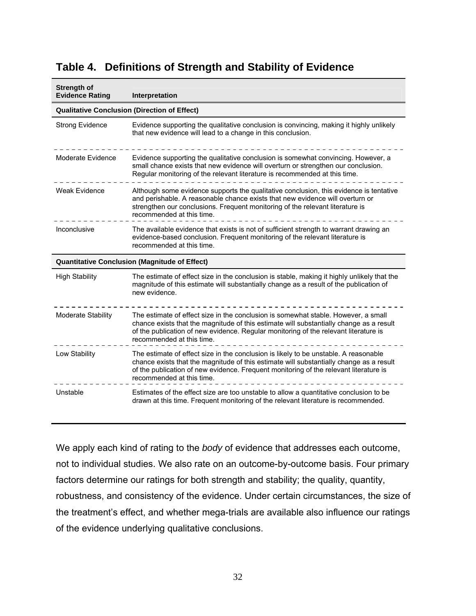| Strength of<br><b>Evidence Rating</b> | Interpretation                                                                                                                                                                                                                                                                                        |  |  |  |  |  |  |  |
|---------------------------------------|-------------------------------------------------------------------------------------------------------------------------------------------------------------------------------------------------------------------------------------------------------------------------------------------------------|--|--|--|--|--|--|--|
|                                       | <b>Qualitative Conclusion (Direction of Effect)</b>                                                                                                                                                                                                                                                   |  |  |  |  |  |  |  |
| <b>Strong Evidence</b>                | Evidence supporting the qualitative conclusion is convincing, making it highly unlikely<br>that new evidence will lead to a change in this conclusion.                                                                                                                                                |  |  |  |  |  |  |  |
| Moderate Evidence                     | Evidence supporting the qualitative conclusion is somewhat convincing. However, a<br>small chance exists that new evidence will overturn or strengthen our conclusion.<br>Regular monitoring of the relevant literature is recommended at this time.                                                  |  |  |  |  |  |  |  |
| <b>Weak Evidence</b>                  | Although some evidence supports the qualitative conclusion, this evidence is tentative<br>and perishable. A reasonable chance exists that new evidence will overturn or<br>strengthen our conclusions. Frequent monitoring of the relevant literature is<br>recommended at this time.                 |  |  |  |  |  |  |  |
| Inconclusive                          | The available evidence that exists is not of sufficient strength to warrant drawing an<br>evidence-based conclusion. Frequent monitoring of the relevant literature is<br>recommended at this time.                                                                                                   |  |  |  |  |  |  |  |
|                                       | <b>Quantitative Conclusion (Magnitude of Effect)</b>                                                                                                                                                                                                                                                  |  |  |  |  |  |  |  |
| <b>High Stability</b>                 | The estimate of effect size in the conclusion is stable, making it highly unlikely that the<br>magnitude of this estimate will substantially change as a result of the publication of<br>new evidence.                                                                                                |  |  |  |  |  |  |  |
| <b>Moderate Stability</b>             | The estimate of effect size in the conclusion is somewhat stable. However, a small<br>chance exists that the magnitude of this estimate will substantially change as a result<br>of the publication of new evidence. Regular monitoring of the relevant literature is<br>recommended at this time.    |  |  |  |  |  |  |  |
| Low Stability                         | The estimate of effect size in the conclusion is likely to be unstable. A reasonable<br>chance exists that the magnitude of this estimate will substantially change as a result<br>of the publication of new evidence. Frequent monitoring of the relevant literature is<br>recommended at this time. |  |  |  |  |  |  |  |
| Unstable                              | Estimates of the effect size are too unstable to allow a quantitative conclusion to be<br>drawn at this time. Frequent monitoring of the relevant literature is recommended.                                                                                                                          |  |  |  |  |  |  |  |

## **Table 4. Definitions of Strength and Stability of Evidence**

We apply each kind of rating to the *body* of evidence that addresses each outcome, not to individual studies. We also rate on an outcome-by-outcome basis. Four primary factors determine our ratings for both strength and stability; the quality, quantity, robustness, and consistency of the evidence. Under certain circumstances, the size of the treatment's effect, and whether mega-trials are available also influence our ratings of the evidence underlying qualitative conclusions.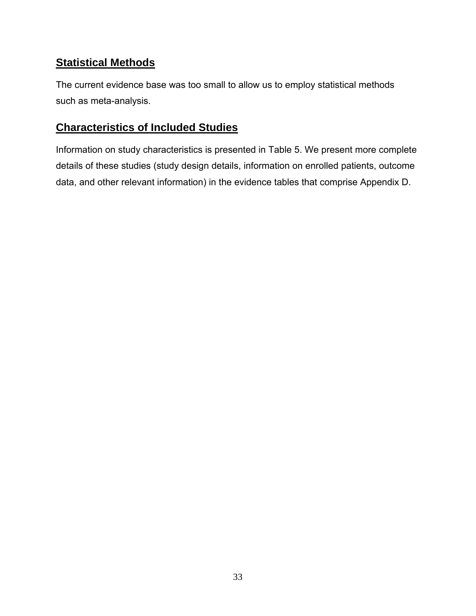# **Statistical Methods**

The current evidence base was too small to allow us to employ statistical methods such as meta-analysis.

## **Characteristics of Included Studies**

Information on study characteristics is presented in Table 5. We present more complete details of these studies (study design details, information on enrolled patients, outcome data, and other relevant information) in the evidence tables that comprise Appendix D.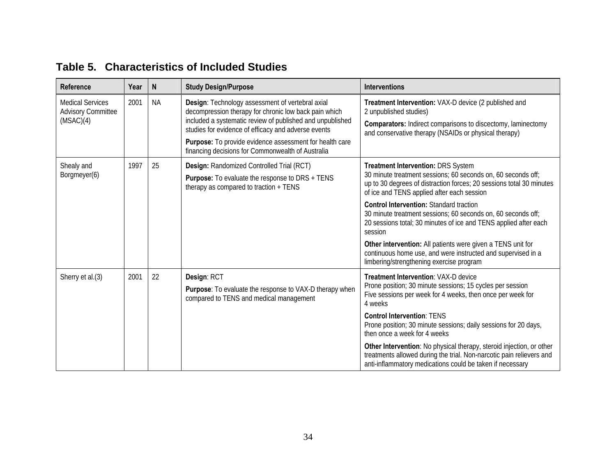| Reference                                                         | Year | $\mathsf{N}$ | <b>Study Design/Purpose</b>                                                                                                                                                                                                                                                                                                                   | <b>Interventions</b>                                                                                                                                                                                                     |
|-------------------------------------------------------------------|------|--------------|-----------------------------------------------------------------------------------------------------------------------------------------------------------------------------------------------------------------------------------------------------------------------------------------------------------------------------------------------|--------------------------------------------------------------------------------------------------------------------------------------------------------------------------------------------------------------------------|
| <b>Medical Services</b><br><b>Advisory Committee</b><br>(MSAC)(4) | 2001 | <b>NA</b>    | Design: Technology assessment of vertebral axial<br>decompression therapy for chronic low back pain which<br>included a systematic review of published and unpublished<br>studies for evidence of efficacy and adverse events<br>Purpose: To provide evidence assessment for health care<br>financing decisions for Commonwealth of Australia | Treatment Intervention: VAX-D device (2 published and<br>2 unpublished studies)<br><b>Comparators:</b> Indirect comparisons to discectomy, laminectomy<br>and conservative therapy (NSAIDs or physical therapy)          |
| Shealy and<br>Borgmeyer(6)                                        | 1997 | 25           | <b>Design: Randomized Controlled Trial (RCT)</b><br><b>Purpose:</b> To evaluate the response to DRS + TENS<br>therapy as compared to traction + TENS                                                                                                                                                                                          | Treatment Intervention: DRS System<br>30 minute treatment sessions; 60 seconds on, 60 seconds off;<br>up to 30 degrees of distraction forces; 20 sessions total 30 minutes<br>of ice and TENS applied after each session |
|                                                                   |      |              |                                                                                                                                                                                                                                                                                                                                               | <b>Control Intervention: Standard traction</b><br>30 minute treatment sessions; 60 seconds on, 60 seconds off;<br>20 sessions total; 30 minutes of ice and TENS applied after each<br>session                            |
|                                                                   |      |              |                                                                                                                                                                                                                                                                                                                                               | Other intervention: All patients were given a TENS unit for<br>continuous home use, and were instructed and supervised in a<br>limbering/strengthening exercise program                                                  |
| Sherry et al.(3)                                                  | 2001 | 22           | Design: RCT<br>Purpose: To evaluate the response to VAX-D therapy when<br>compared to TENS and medical management                                                                                                                                                                                                                             | Treatment Intervention: VAX-D device<br>Prone position; 30 minute sessions; 15 cycles per session<br>Five sessions per week for 4 weeks, then once per week for<br>4 weeks                                               |
|                                                                   |      |              |                                                                                                                                                                                                                                                                                                                                               | <b>Control Intervention: TENS</b><br>Prone position; 30 minute sessions; daily sessions for 20 days,<br>then once a week for 4 weeks                                                                                     |
|                                                                   |      |              |                                                                                                                                                                                                                                                                                                                                               | Other Intervention: No physical therapy, steroid injection, or other<br>treatments allowed during the trial. Non-narcotic pain relievers and<br>anti-inflammatory medications could be taken if necessary                |

#### **Table 5. Characteristics of Included Studies**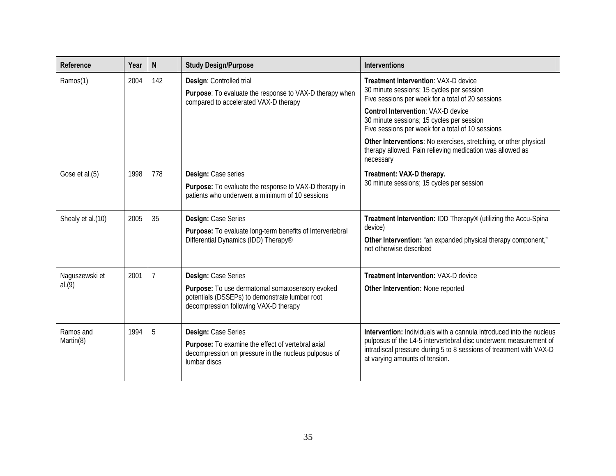| Reference         | Year | N              | <b>Study Design/Purpose</b>                                                                                                                | <b>Interventions</b>                                                                                                                                                       |
|-------------------|------|----------------|--------------------------------------------------------------------------------------------------------------------------------------------|----------------------------------------------------------------------------------------------------------------------------------------------------------------------------|
| Ramos(1)          | 2004 | 142            | Design: Controlled trial<br>Purpose: To evaluate the response to VAX-D therapy when<br>compared to accelerated VAX-D therapy               | <b>Treatment Intervention: VAX-D device</b><br>30 minute sessions; 15 cycles per session<br>Five sessions per week for a total of 20 sessions                              |
|                   |      |                |                                                                                                                                            | <b>Control Intervention: VAX-D device</b><br>30 minute sessions; 15 cycles per session<br>Five sessions per week for a total of 10 sessions                                |
|                   |      |                |                                                                                                                                            | Other Interventions: No exercises, stretching, or other physical<br>therapy allowed. Pain relieving medication was allowed as<br>necessary                                 |
| Gose et al.(5)    | 1998 | 778            | Design: Case series                                                                                                                        | Treatment: VAX-D therapy.                                                                                                                                                  |
|                   |      |                | Purpose: To evaluate the response to VAX-D therapy in<br>patients who underwent a minimum of 10 sessions                                   | 30 minute sessions; 15 cycles per session                                                                                                                                  |
| Shealy et al.(10) | 2005 | 35             | Design: Case Series                                                                                                                        | Treatment Intervention: IDD Therapy® (utilizing the Accu-Spina<br>device)                                                                                                  |
|                   |      |                | Purpose: To evaluate long-term benefits of Intervertebral<br>Differential Dynamics (IDD) Therapy <sup>®</sup>                              | Other Intervention: "an expanded physical therapy component,"<br>not otherwise described                                                                                   |
| Naguszewski et    | 2001 | $\overline{7}$ | Design: Case Series                                                                                                                        | <b>Treatment Intervention: VAX-D device</b>                                                                                                                                |
| al.(9)            |      |                | Purpose: To use dermatomal somatosensory evoked<br>potentials (DSSEPs) to demonstrate lumbar root<br>decompression following VAX-D therapy | Other Intervention: None reported                                                                                                                                          |
| Ramos and         | 1994 | 5              | Design: Case Series                                                                                                                        | Intervention: Individuals with a cannula introduced into the nucleus                                                                                                       |
| Martin(8)         |      |                | Purpose: To examine the effect of vertebral axial<br>decompression on pressure in the nucleus pulposus of<br>lumbar discs                  | pulposus of the L4-5 intervertebral disc underwent measurement of<br>intradiscal pressure during 5 to 8 sessions of treatment with VAX-D<br>at varying amounts of tension. |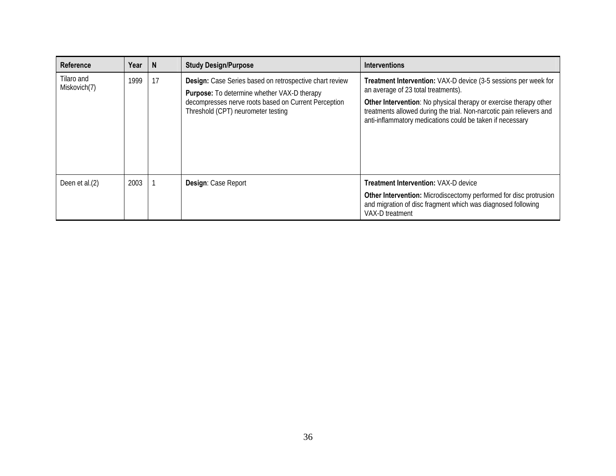| Reference                  | Year | <b>N</b> | <b>Study Design/Purpose</b>                                                                                                                                                                                        | <b>Interventions</b>                                                                                                                                                                                                                                                                                                           |
|----------------------------|------|----------|--------------------------------------------------------------------------------------------------------------------------------------------------------------------------------------------------------------------|--------------------------------------------------------------------------------------------------------------------------------------------------------------------------------------------------------------------------------------------------------------------------------------------------------------------------------|
| Tilaro and<br>Miskovich(7) | 1999 | 17       | <b>Design:</b> Case Series based on retrospective chart review<br><b>Purpose:</b> To determine whether VAX-D therapy<br>decompresses nerve roots based on Current Perception<br>Threshold (CPT) neurometer testing | <b>Treatment Intervention:</b> VAX-D device (3-5 sessions per week for<br>an average of 23 total treatments).<br><b>Other Intervention:</b> No physical therapy or exercise therapy other<br>treatments allowed during the trial. Non-narcotic pain relievers and<br>anti-inflammatory medications could be taken if necessary |
| Deen et al.(2)             | 2003 |          | Design: Case Report                                                                                                                                                                                                | <b>Treatment Intervention: VAX-D device</b><br><b>Other Intervention:</b> Microdiscectomy performed for disc protrusion<br>and migration of disc fragment which was diagnosed following<br>VAX-D treatment                                                                                                                     |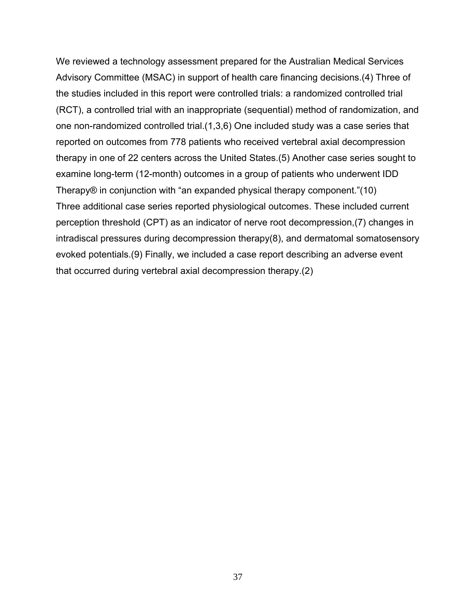We reviewed a technology assessment prepared for the Australian Medical Services Advisory Committee (MSAC) in support of health care financing decisions.(4) Three of the studies included in this report were controlled trials: a randomized controlled trial (RCT), a controlled trial with an inappropriate (sequential) method of randomization, and one non-randomized controlled trial.(1,3,6) One included study was a case series that reported on outcomes from 778 patients who received vertebral axial decompression therapy in one of 22 centers across the United States.(5) Another case series sought to examine long-term (12-month) outcomes in a group of patients who underwent IDD Therapy® in conjunction with "an expanded physical therapy component."(10) Three additional case series reported physiological outcomes. These included current perception threshold (CPT) as an indicator of nerve root decompression,(7) changes in intradiscal pressures during decompression therapy(8), and dermatomal somatosensory evoked potentials.(9) Finally, we included a case report describing an adverse event that occurred during vertebral axial decompression therapy.(2)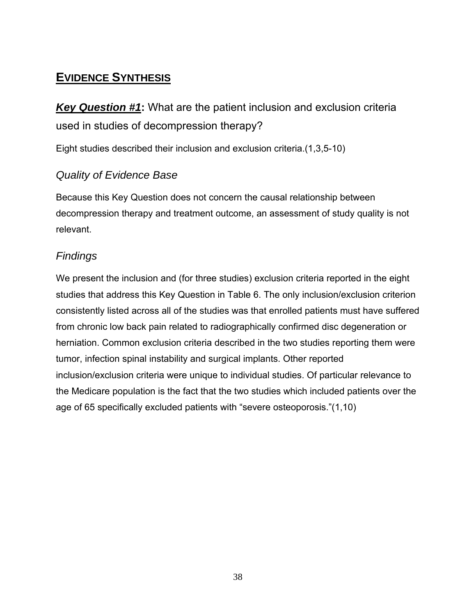# **EVIDENCE SYNTHESIS**

# *Key Question #1***:** What are the patient inclusion and exclusion criteria used in studies of decompression therapy?

Eight studies described their inclusion and exclusion criteria.(1,3,5-10)

## *Quality of Evidence Base*

Because this Key Question does not concern the causal relationship between decompression therapy and treatment outcome, an assessment of study quality is not relevant.

## *Findings*

We present the inclusion and (for three studies) exclusion criteria reported in the eight studies that address this Key Question in Table 6. The only inclusion/exclusion criterion consistently listed across all of the studies was that enrolled patients must have suffered from chronic low back pain related to radiographically confirmed disc degeneration or herniation. Common exclusion criteria described in the two studies reporting them were tumor, infection spinal instability and surgical implants. Other reported inclusion/exclusion criteria were unique to individual studies. Of particular relevance to the Medicare population is the fact that the two studies which included patients over the age of 65 specifically excluded patients with "severe osteoporosis."(1,10)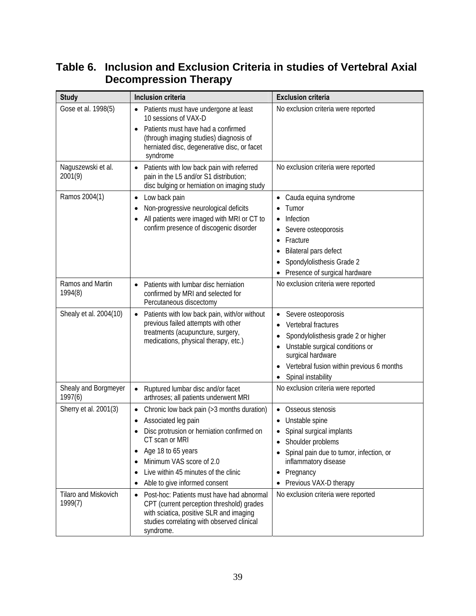| <b>Study</b>                    | Inclusion criteria                                                                                                                                                                                                                                                                                                                         | <b>Exclusion criteria</b>                                                                                                                                                                                            |
|---------------------------------|--------------------------------------------------------------------------------------------------------------------------------------------------------------------------------------------------------------------------------------------------------------------------------------------------------------------------------------------|----------------------------------------------------------------------------------------------------------------------------------------------------------------------------------------------------------------------|
| Gose et al. 1998(5)             | Patients must have undergone at least<br>$\bullet$<br>10 sessions of VAX-D<br>Patients must have had a confirmed<br>$\bullet$<br>(through imaging studies) diagnosis of<br>herniated disc, degenerative disc, or facet<br>syndrome                                                                                                         | No exclusion criteria were reported                                                                                                                                                                                  |
| Naguszewski et al.<br>2001(9)   | Patients with low back pain with referred<br>$\bullet$<br>pain in the L5 and/or S1 distribution;<br>disc bulging or herniation on imaging study                                                                                                                                                                                            | No exclusion criteria were reported                                                                                                                                                                                  |
| Ramos 2004(1)                   | Low back pain<br>$\bullet$<br>Non-progressive neurological deficits<br>$\bullet$<br>All patients were imaged with MRI or CT to<br>confirm presence of discogenic disorder                                                                                                                                                                  | Cauda equina syndrome<br>Tumor<br>Infection<br>Severe osteoporosis<br>Fracture<br>$\bullet$<br>Bilateral pars defect<br>Spondylolisthesis Grade 2<br>Presence of surgical hardware                                   |
| Ramos and Martin<br>1994(8)     | Patients with lumbar disc herniation<br>confirmed by MRI and selected for<br>Percutaneous discectomy                                                                                                                                                                                                                                       | No exclusion criteria were reported                                                                                                                                                                                  |
| Shealy et al. 2004(10)          | Patients with low back pain, with/or without<br>$\bullet$<br>previous failed attempts with other<br>treatments (acupuncture, surgery,<br>medications, physical therapy, etc.)                                                                                                                                                              | Severe osteoporosis<br>Vertebral fractures<br>Spondylolisthesis grade 2 or higher<br>Unstable surgical conditions or<br>surgical hardware<br>Vertebral fusion within previous 6 months<br>Spinal instability         |
| Shealy and Borgmeyer<br>1997(6) | Ruptured lumbar disc and/or facet<br>$\bullet$<br>arthroses; all patients underwent MRI                                                                                                                                                                                                                                                    | No exclusion criteria were reported                                                                                                                                                                                  |
| Sherry et al. 2001(3)           | Chronic low back pain (>3 months duration)<br>$\bullet$<br>Associated leg pain<br>Disc protrusion or herniation confirmed on<br>$\bullet$<br>CT scan or MRI<br>Age 18 to 65 years<br>$\bullet$<br>Minimum VAS score of 2.0<br>$\bullet$<br>Live within 45 minutes of the clinic<br>$\bullet$<br>Able to give informed consent<br>$\bullet$ | Osseous stenosis<br>$\bullet$<br>Unstable spine<br>Spinal surgical implants<br>Shoulder problems<br>٠<br>Spinal pain due to tumor, infection, or<br>inflammatory disease<br>Pregnancy<br>٠<br>Previous VAX-D therapy |
| Tilaro and Miskovich<br>1999(7) | Post-hoc: Patients must have had abnormal<br>$\bullet$<br>CPT (current perception threshold) grades<br>with sciatica, positive SLR and imaging<br>studies correlating with observed clinical<br>syndrome.                                                                                                                                  | No exclusion criteria were reported                                                                                                                                                                                  |

# **Table 6. Inclusion and Exclusion Criteria in studies of Vertebral Axial Decompression Therapy**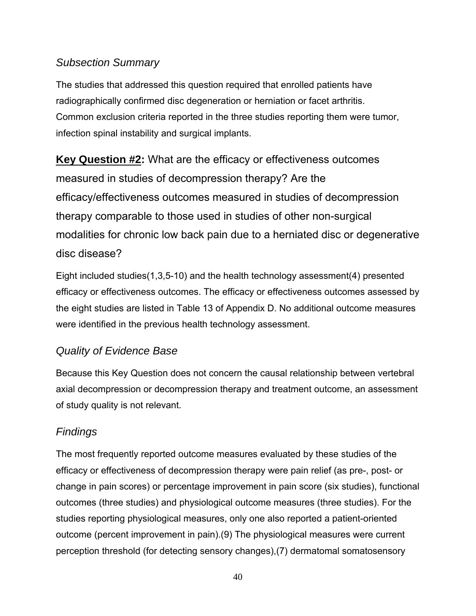## *Subsection Summary*

The studies that addressed this question required that enrolled patients have radiographically confirmed disc degeneration or herniation or facet arthritis. Common exclusion criteria reported in the three studies reporting them were tumor, infection spinal instability and surgical implants.

**Key Question #2:** What are the efficacy or effectiveness outcomes measured in studies of decompression therapy? Are the efficacy/effectiveness outcomes measured in studies of decompression therapy comparable to those used in studies of other non-surgical modalities for chronic low back pain due to a herniated disc or degenerative disc disease?

Eight included studies(1,3,5-10) and the health technology assessment(4) presented efficacy or effectiveness outcomes. The efficacy or effectiveness outcomes assessed by the eight studies are listed in Table 13 of Appendix D. No additional outcome measures were identified in the previous health technology assessment.

## *Quality of Evidence Base*

Because this Key Question does not concern the causal relationship between vertebral axial decompression or decompression therapy and treatment outcome, an assessment of study quality is not relevant.

## *Findings*

The most frequently reported outcome measures evaluated by these studies of the efficacy or effectiveness of decompression therapy were pain relief (as pre-, post- or change in pain scores) or percentage improvement in pain score (six studies), functional outcomes (three studies) and physiological outcome measures (three studies). For the studies reporting physiological measures, only one also reported a patient-oriented outcome (percent improvement in pain).(9) The physiological measures were current perception threshold (for detecting sensory changes),(7) dermatomal somatosensory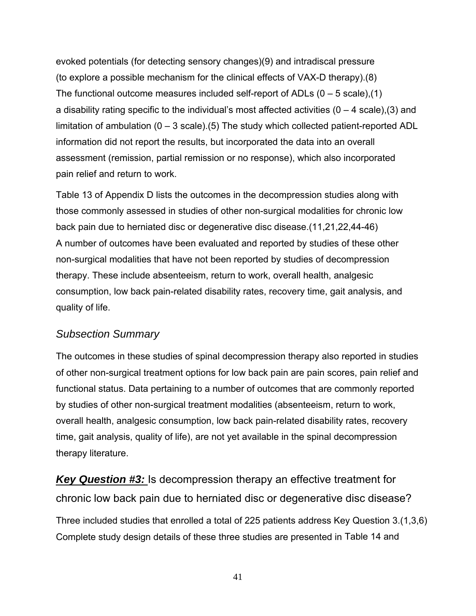evoked potentials (for detecting sensory changes)(9) and intradiscal pressure (to explore a possible mechanism for the clinical effects of VAX-D therapy).(8) The functional outcome measures included self-report of ADLs  $(0 - 5$  scale), (1) a disability rating specific to the individual's most affected activities  $(0 - 4 \text{ scale})$ , (3) and limitation of ambulation (0 – 3 scale).(5) The study which collected patient-reported ADL information did not report the results, but incorporated the data into an overall assessment (remission, partial remission or no response), which also incorporated pain relief and return to work.

Table 13 of Appendix D lists the outcomes in the decompression studies along with those commonly assessed in studies of other non-surgical modalities for chronic low back pain due to herniated disc or degenerative disc disease.(11,21,22,44-46) A number of outcomes have been evaluated and reported by studies of these other non-surgical modalities that have not been reported by studies of decompression therapy. These include absenteeism, return to work, overall health, analgesic consumption, low back pain-related disability rates, recovery time, gait analysis, and quality of life.

#### *Subsection Summary*

The outcomes in these studies of spinal decompression therapy also reported in studies of other non-surgical treatment options for low back pain are pain scores, pain relief and functional status. Data pertaining to a number of outcomes that are commonly reported by studies of other non-surgical treatment modalities (absenteeism, return to work, overall health, analgesic consumption, low back pain-related disability rates, recovery time, gait analysis, quality of life), are not yet available in the spinal decompression therapy literature.

*Key Question #3:* Is decompression therapy an effective treatment for chronic low back pain due to herniated disc or degenerative disc disease? Three included studies that enrolled a total of 225 patients address Key Question 3.(1,3,6) Complete study design details of these three studies are presented in Table 14 and

41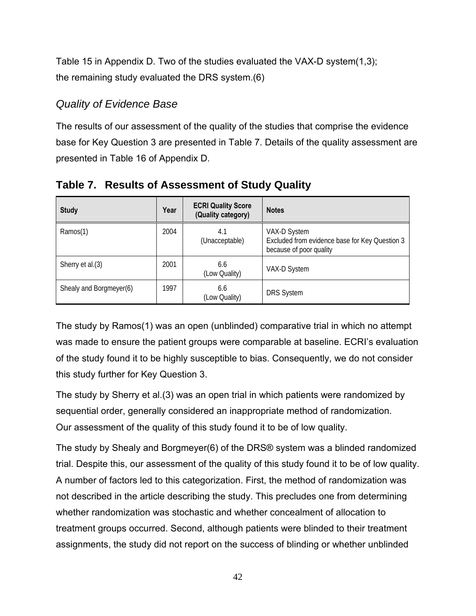Table 15 in Appendix D. Two of the studies evaluated the VAX-D system(1,3); the remaining study evaluated the DRS system.(6)

### *Quality of Evidence Base*

The results of our assessment of the quality of the studies that comprise the evidence base for Key Question 3 are presented in Table 7. Details of the quality assessment are presented in Table 16 of Appendix D.

| <b>Study</b>            | Year | <b>ECRI Quality Score</b><br>(Quality category) | <b>Notes</b>                                                                              |
|-------------------------|------|-------------------------------------------------|-------------------------------------------------------------------------------------------|
| Ramos(1)                | 2004 | 4.1<br>(Unacceptable)                           | VAX-D System<br>Excluded from evidence base for Key Question 3<br>because of poor quality |
| Sherry et al.(3)        | 2001 | 6.6<br>(Low Quality)                            | VAX-D System                                                                              |
| Shealy and Borgmeyer(6) | 1997 | 6.6<br>(Low Quality)                            | <b>DRS System</b>                                                                         |

**Table 7. Results of Assessment of Study Quality** 

The study by Ramos(1) was an open (unblinded) comparative trial in which no attempt was made to ensure the patient groups were comparable at baseline. ECRI's evaluation of the study found it to be highly susceptible to bias. Consequently, we do not consider this study further for Key Question 3.

The study by Sherry et al.(3) was an open trial in which patients were randomized by sequential order, generally considered an inappropriate method of randomization. Our assessment of the quality of this study found it to be of low quality.

The study by Shealy and Borgmeyer(6) of the DRS® system was a blinded randomized trial. Despite this, our assessment of the quality of this study found it to be of low quality. A number of factors led to this categorization. First, the method of randomization was not described in the article describing the study. This precludes one from determining whether randomization was stochastic and whether concealment of allocation to treatment groups occurred. Second, although patients were blinded to their treatment assignments, the study did not report on the success of blinding or whether unblinded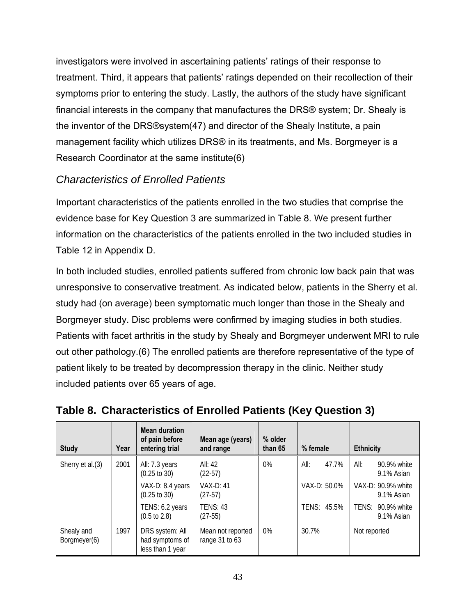investigators were involved in ascertaining patients' ratings of their response to treatment. Third, it appears that patients' ratings depended on their recollection of their symptoms prior to entering the study. Lastly, the authors of the study have significant financial interests in the company that manufactures the DRS® system; Dr. Shealy is the inventor of the DRS®system(47) and director of the Shealy Institute, a pain management facility which utilizes DRS® in its treatments, and Ms. Borgmeyer is a Research Coordinator at the same institute(6)

## *Characteristics of Enrolled Patients*

Important characteristics of the patients enrolled in the two studies that comprise the evidence base for Key Question 3 are summarized in Table 8. We present further information on the characteristics of the patients enrolled in the two included studies in Table 12 in Appendix D.

In both included studies, enrolled patients suffered from chronic low back pain that was unresponsive to conservative treatment. As indicated below, patients in the Sherry et al. study had (on average) been symptomatic much longer than those in the Shealy and Borgmeyer study. Disc problems were confirmed by imaging studies in both studies. Patients with facet arthritis in the study by Shealy and Borgmeyer underwent MRI to rule out other pathology.(6) The enrolled patients are therefore representative of the type of patient likely to be treated by decompression therapy in the clinic. Neither study included patients over 65 years of age.

| <b>Study</b>               | Year | <b>Mean duration</b><br>of pain before<br>entering trial | Mean age (years)<br>and range       | % older<br>than 65 | % female      | <b>Ethnicity</b>                  |
|----------------------------|------|----------------------------------------------------------|-------------------------------------|--------------------|---------------|-----------------------------------|
| Sherry et al.(3)           | 2001 | All: 7.3 years<br>$(0.25 \text{ to } 30)$                | All: 42<br>$(22-57)$                | $0\%$              | All:<br>47.7% | All:<br>90.9% white<br>9.1% Asian |
|                            |      | VAX-D: 8.4 years<br>$(0.25 \text{ to } 30)$              | <b>VAX-D: 41</b><br>$(27-57)$       |                    | VAX-D: 50.0%  | VAX-D: 90.9% white<br>9.1% Asian  |
|                            |      | TENS: 6.2 years<br>$(0.5 \text{ to } 2.8)$               | <b>TENS: 43</b><br>$(27-55)$        |                    | TENS: 45.5%   | TENS: 90.9% white<br>9.1% Asian   |
| Shealy and<br>Borgmeyer(6) | 1997 | DRS system: All<br>had symptoms of<br>less than 1 year   | Mean not reported<br>range 31 to 63 | $0\%$              | 30.7%         | Not reported                      |

**Table 8. Characteristics of Enrolled Patients (Key Question 3)**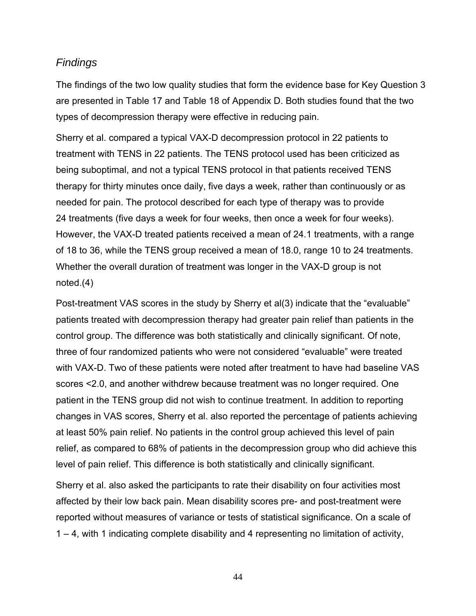#### *Findings*

The findings of the two low quality studies that form the evidence base for Key Question 3 are presented in Table 17 and Table 18 of Appendix D. Both studies found that the two types of decompression therapy were effective in reducing pain.

Sherry et al. compared a typical VAX-D decompression protocol in 22 patients to treatment with TENS in 22 patients. The TENS protocol used has been criticized as being suboptimal, and not a typical TENS protocol in that patients received TENS therapy for thirty minutes once daily, five days a week, rather than continuously or as needed for pain. The protocol described for each type of therapy was to provide 24 treatments (five days a week for four weeks, then once a week for four weeks). However, the VAX-D treated patients received a mean of 24.1 treatments, with a range of 18 to 36, while the TENS group received a mean of 18.0, range 10 to 24 treatments. Whether the overall duration of treatment was longer in the VAX-D group is not noted.(4)

Post-treatment VAS scores in the study by Sherry et al(3) indicate that the "evaluable" patients treated with decompression therapy had greater pain relief than patients in the control group. The difference was both statistically and clinically significant. Of note, three of four randomized patients who were not considered "evaluable" were treated with VAX-D. Two of these patients were noted after treatment to have had baseline VAS scores <2.0, and another withdrew because treatment was no longer required. One patient in the TENS group did not wish to continue treatment. In addition to reporting changes in VAS scores, Sherry et al. also reported the percentage of patients achieving at least 50% pain relief. No patients in the control group achieved this level of pain relief, as compared to 68% of patients in the decompression group who did achieve this level of pain relief. This difference is both statistically and clinically significant.

Sherry et al. also asked the participants to rate their disability on four activities most affected by their low back pain. Mean disability scores pre- and post-treatment were reported without measures of variance or tests of statistical significance. On a scale of 1 – 4, with 1 indicating complete disability and 4 representing no limitation of activity,

44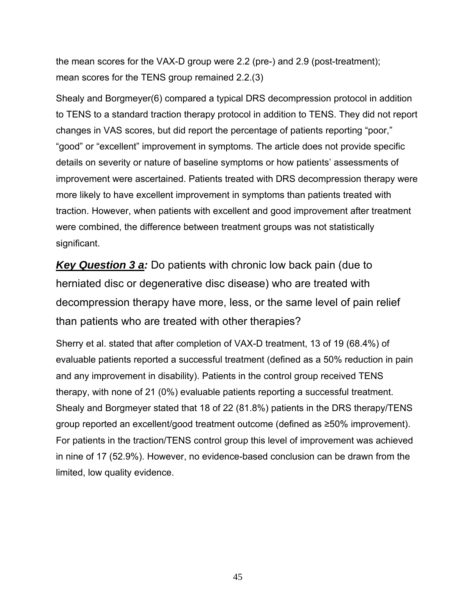the mean scores for the VAX-D group were 2.2 (pre-) and 2.9 (post-treatment); mean scores for the TENS group remained 2.2.(3)

Shealy and Borgmeyer(6) compared a typical DRS decompression protocol in addition to TENS to a standard traction therapy protocol in addition to TENS. They did not report changes in VAS scores, but did report the percentage of patients reporting "poor," "good" or "excellent" improvement in symptoms. The article does not provide specific details on severity or nature of baseline symptoms or how patients' assessments of improvement were ascertained. Patients treated with DRS decompression therapy were more likely to have excellent improvement in symptoms than patients treated with traction. However, when patients with excellent and good improvement after treatment were combined, the difference between treatment groups was not statistically significant.

*Key Question 3 a:* Do patients with chronic low back pain (due to herniated disc or degenerative disc disease) who are treated with decompression therapy have more, less, or the same level of pain relief than patients who are treated with other therapies?

Sherry et al. stated that after completion of VAX-D treatment, 13 of 19 (68.4%) of evaluable patients reported a successful treatment (defined as a 50% reduction in pain and any improvement in disability). Patients in the control group received TENS therapy, with none of 21 (0%) evaluable patients reporting a successful treatment. Shealy and Borgmeyer stated that 18 of 22 (81.8%) patients in the DRS therapy/TENS group reported an excellent/good treatment outcome (defined as ≥50% improvement). For patients in the traction/TENS control group this level of improvement was achieved in nine of 17 (52.9%). However, no evidence-based conclusion can be drawn from the limited, low quality evidence.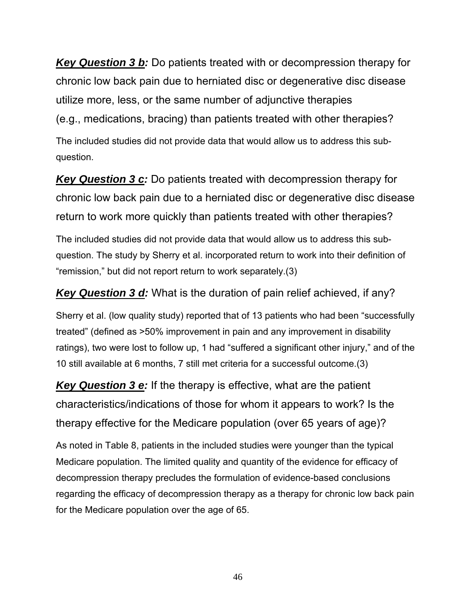*Key Question 3 b:* Do patients treated with or decompression therapy for chronic low back pain due to herniated disc or degenerative disc disease utilize more, less, or the same number of adjunctive therapies (e.g., medications, bracing) than patients treated with other therapies? The included studies did not provide data that would allow us to address this subquestion.

*Key Question 3 c:* Do patients treated with decompression therapy for chronic low back pain due to a herniated disc or degenerative disc disease return to work more quickly than patients treated with other therapies?

The included studies did not provide data that would allow us to address this subquestion. The study by Sherry et al. incorporated return to work into their definition of "remission," but did not report return to work separately.(3)

*Key Question 3 d:* What is the duration of pain relief achieved, if any?

Sherry et al. (low quality study) reported that of 13 patients who had been "successfully treated" (defined as >50% improvement in pain and any improvement in disability ratings), two were lost to follow up, 1 had "suffered a significant other injury," and of the 10 still available at 6 months, 7 still met criteria for a successful outcome.(3)

*Key Question 3 e:* If the therapy is effective, what are the patient characteristics/indications of those for whom it appears to work? Is the therapy effective for the Medicare population (over 65 years of age)?

As noted in Table 8, patients in the included studies were younger than the typical Medicare population. The limited quality and quantity of the evidence for efficacy of decompression therapy precludes the formulation of evidence-based conclusions regarding the efficacy of decompression therapy as a therapy for chronic low back pain for the Medicare population over the age of 65.

46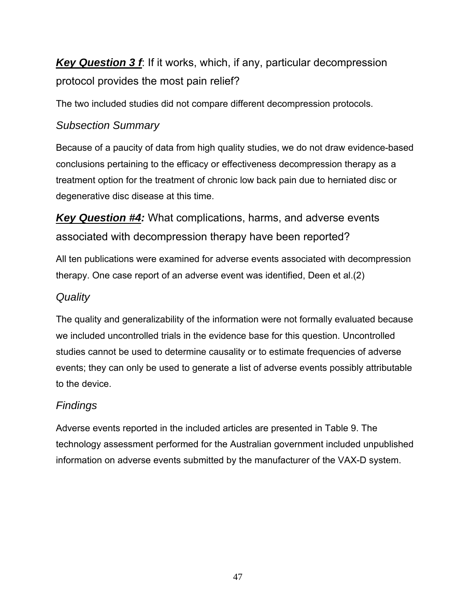*Key Question 3 f*: If it works, which, if any, particular decompression protocol provides the most pain relief?

The two included studies did not compare different decompression protocols.

## *Subsection Summary*

Because of a paucity of data from high quality studies, we do not draw evidence-based conclusions pertaining to the efficacy or effectiveness decompression therapy as a treatment option for the treatment of chronic low back pain due to herniated disc or degenerative disc disease at this time.

*Key Question #4:* What complications, harms, and adverse events associated with decompression therapy have been reported?

All ten publications were examined for adverse events associated with decompression therapy. One case report of an adverse event was identified, Deen et al.(2)

## *Quality*

The quality and generalizability of the information were not formally evaluated because we included uncontrolled trials in the evidence base for this question. Uncontrolled studies cannot be used to determine causality or to estimate frequencies of adverse events; they can only be used to generate a list of adverse events possibly attributable to the device.

# *Findings*

Adverse events reported in the included articles are presented in Table 9. The technology assessment performed for the Australian government included unpublished information on adverse events submitted by the manufacturer of the VAX-D system.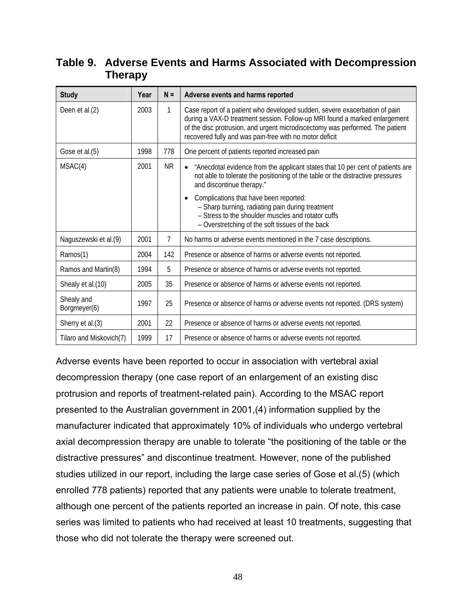## **Table 9. Adverse Events and Harms Associated with Decompression Therapy**

| <b>Study</b>               | Year | $N =$          | Adverse events and harms reported                                                                                                                                                                                                                                                                    |
|----------------------------|------|----------------|------------------------------------------------------------------------------------------------------------------------------------------------------------------------------------------------------------------------------------------------------------------------------------------------------|
| Deen et al.(2)             | 2003 | $\mathbf{1}$   | Case report of a patient who developed sudden, severe exacerbation of pain<br>during a VAX-D treatment session. Follow-up MRI found a marked enlargement<br>of the disc protrusion, and urgent microdiscectomy was performed. The patient<br>recovered fully and was pain-free with no motor deficit |
| Gose et al.(5)             | 1998 | 778            | One percent of patients reported increased pain                                                                                                                                                                                                                                                      |
| MSAC(4)                    | 2001 | <b>NR</b>      | "Anecdotal evidence from the applicant states that 10 per cent of patients are<br>not able to tolerate the positioning of the table or the distractive pressures<br>and discontinue therapy."                                                                                                        |
|                            |      |                | Complications that have been reported:<br>- Sharp burning, radiating pain during treatment<br>- Stress to the shoulder muscles and rotator cuffs<br>- Overstretching of the soft tissues of the back                                                                                                 |
| Naguszewski et al.(9)      | 2001 | $\overline{7}$ | No harms or adverse events mentioned in the 7 case descriptions.                                                                                                                                                                                                                                     |
| Ramos(1)                   | 2004 | 142            | Presence or absence of harms or adverse events not reported.                                                                                                                                                                                                                                         |
| Ramos and Martin(8)        | 1994 | 5              | Presence or absence of harms or adverse events not reported.                                                                                                                                                                                                                                         |
| Shealy et al.(10)          | 2005 | 35             | Presence or absence of harms or adverse events not reported.                                                                                                                                                                                                                                         |
| Shealy and<br>Borgmeyer(6) | 1997 | 25             | Presence or absence of harms or adverse events not reported. (DRS system)                                                                                                                                                                                                                            |
| Sherry et al.(3)           | 2001 | 22             | Presence or absence of harms or adverse events not reported.                                                                                                                                                                                                                                         |
| Tilaro and Miskovich(7)    | 1999 | 17             | Presence or absence of harms or adverse events not reported.                                                                                                                                                                                                                                         |

Adverse events have been reported to occur in association with vertebral axial decompression therapy (one case report of an enlargement of an existing disc protrusion and reports of treatment-related pain). According to the MSAC report presented to the Australian government in 2001,(4) information supplied by the manufacturer indicated that approximately 10% of individuals who undergo vertebral axial decompression therapy are unable to tolerate "the positioning of the table or the distractive pressures" and discontinue treatment. However, none of the published studies utilized in our report, including the large case series of Gose et al.(5) (which enrolled 778 patients) reported that any patients were unable to tolerate treatment, although one percent of the patients reported an increase in pain. Of note, this case series was limited to patients who had received at least 10 treatments, suggesting that those who did not tolerate the therapy were screened out.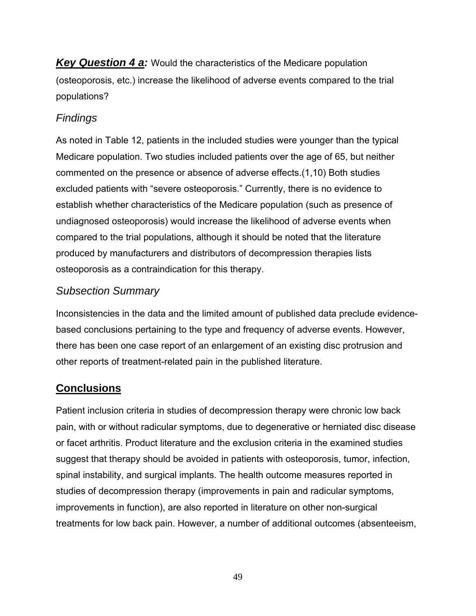*Key Question 4 a:* Would the characteristics of the Medicare population (osteoporosis, etc.) increase the likelihood of adverse events compared to the trial populations?

## *Findings*

As noted in Table 12, patients in the included studies were younger than the typical Medicare population. Two studies included patients over the age of 65, but neither commented on the presence or absence of adverse effects.(1,10) Both studies excluded patients with "severe osteoporosis." Currently, there is no evidence to establish whether characteristics of the Medicare population (such as presence of undiagnosed osteoporosis) would increase the likelihood of adverse events when compared to the trial populations, although it should be noted that the literature produced by manufacturers and distributors of decompression therapies lists osteoporosis as a contraindication for this therapy.

## *Subsection Summary*

Inconsistencies in the data and the limited amount of published data preclude evidencebased conclusions pertaining to the type and frequency of adverse events. However, there has been one case report of an enlargement of an existing disc protrusion and other reports of treatment-related pain in the published literature.

# **Conclusions**

Patient inclusion criteria in studies of decompression therapy were chronic low back pain, with or without radicular symptoms, due to degenerative or herniated disc disease or facet arthritis. Product literature and the exclusion criteria in the examined studies suggest that therapy should be avoided in patients with osteoporosis, tumor, infection, spinal instability, and surgical implants. The health outcome measures reported in studies of decompression therapy (improvements in pain and radicular symptoms, improvements in function), are also reported in literature on other non-surgical treatments for low back pain. However, a number of additional outcomes (absenteeism,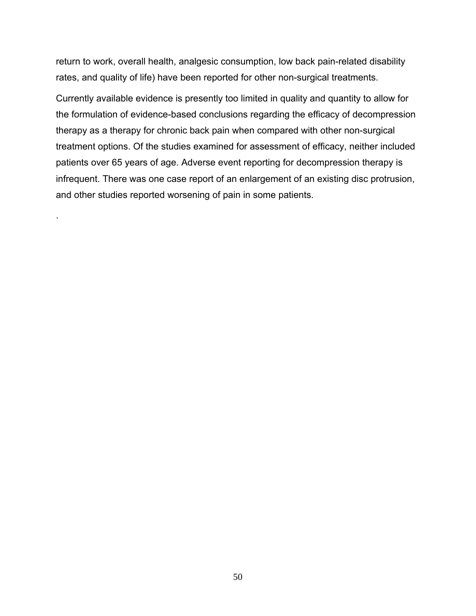return to work, overall health, analgesic consumption, low back pain-related disability rates, and quality of life) have been reported for other non-surgical treatments.

Currently available evidence is presently too limited in quality and quantity to allow for the formulation of evidence-based conclusions regarding the efficacy of decompression therapy as a therapy for chronic back pain when compared with other non-surgical treatment options. Of the studies examined for assessment of efficacy, neither included patients over 65 years of age. Adverse event reporting for decompression therapy is infrequent. There was one case report of an enlargement of an existing disc protrusion, and other studies reported worsening of pain in some patients.

.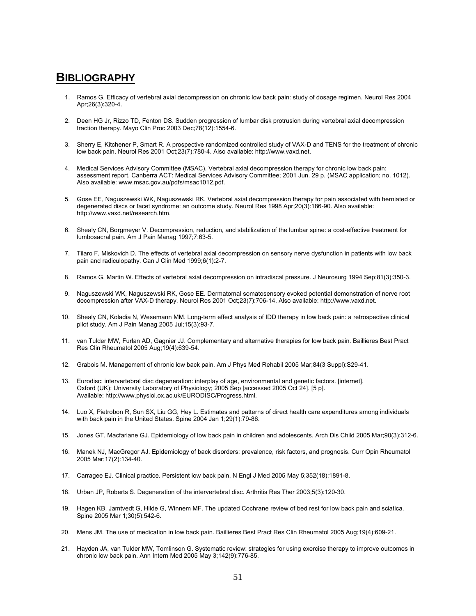#### **BIBLIOGRAPHY**

- 1. Ramos G. Efficacy of vertebral axial decompression on chronic low back pain: study of dosage regimen. Neurol Res 2004 Apr;26(3):320-4.
- 2. Deen HG Jr, Rizzo TD, Fenton DS. Sudden progression of lumbar disk protrusion during vertebral axial decompression traction therapy. Mayo Clin Proc 2003 Dec;78(12):1554-6.
- 3. Sherry E, Kitchener P, Smart R. A prospective randomized controlled study of VAX-D and TENS for the treatment of chronic low back pain. Neurol Res 2001 Oct;23(7):780-4. Also available: http://www.vaxd.net.
- 4. Medical Services Advisory Committee (MSAC). Vertebral axial decompression therapy for chronic low back pain: assessment report. Canberra ACT: Medical Services Advisory Committee; 2001 Jun. 29 p. (MSAC application; no. 1012). Also available: www.msac.gov.au/pdfs/msac1012.pdf.
- 5. Gose EE, Naguszewski WK, Naguszewski RK. Vertebral axial decompression therapy for pain associated with herniated or degenerated discs or facet syndrome: an outcome study. Neurol Res 1998 Apr;20(3):186-90. Also available: http://www.vaxd.net/research.htm.
- 6. Shealy CN, Borgmeyer V. Decompression, reduction, and stabilization of the lumbar spine: a cost-effective treatment for lumbosacral pain. Am J Pain Manag 1997;7:63-5.
- 7. Tilaro F, Miskovich D. The effects of vertebral axial decompression on sensory nerve dysfunction in patients with low back pain and radiculopathy. Can J Clin Med 1999;6(1):2-7.
- 8. Ramos G, Martin W. Effects of vertebral axial decompression on intradiscal pressure. J Neurosurg 1994 Sep;81(3):350-3.
- 9. Naguszewski WK, Naguszewski RK, Gose EE. Dermatomal somatosensory evoked potential demonstration of nerve root decompression after VAX-D therapy. Neurol Res 2001 Oct;23(7):706-14. Also available: http://www.vaxd.net.
- 10. Shealy CN, Koladia N, Wesemann MM. Long-term effect analysis of IDD therapy in low back pain: a retrospective clinical pilot study. Am J Pain Manag 2005 Jul;15(3):93-7.
- 11. van Tulder MW, Furlan AD, Gagnier JJ. Complementary and alternative therapies for low back pain. Baillieres Best Pract Res Clin Rheumatol 2005 Aug;19(4):639-54.
- 12. Grabois M. Management of chronic low back pain. Am J Phys Med Rehabil 2005 Mar;84(3 Suppl):S29-41.
- 13. Eurodisc; intervertebral disc degeneration: interplay of age, environmental and genetic factors. [internet]. Oxford (UK): University Laboratory of Physiology; 2005 Sep [accessed 2005 Oct 24]. [5 p]. Available: http://www.physiol.ox.ac.uk/EURODISC/Progress.html.
- 14. Luo X, Pietrobon R, Sun SX, Liu GG, Hey L. Estimates and patterns of direct health care expenditures among individuals with back pain in the United States. Spine 2004 Jan 1;29(1):79-86.
- 15. Jones GT, Macfarlane GJ. Epidemiology of low back pain in children and adolescents. Arch Dis Child 2005 Mar;90(3):312-6.
- 16. Manek NJ, MacGregor AJ. Epidemiology of back disorders: prevalence, risk factors, and prognosis. Curr Opin Rheumatol 2005 Mar;17(2):134-40.
- 17. Carragee EJ. Clinical practice. Persistent low back pain. N Engl J Med 2005 May 5;352(18):1891-8.
- 18. Urban JP, Roberts S. Degeneration of the intervertebral disc. Arthritis Res Ther 2003;5(3):120-30.
- 19. Hagen KB, Jamtvedt G, Hilde G, Winnem MF. The updated Cochrane review of bed rest for low back pain and sciatica. Spine 2005 Mar 1;30(5):542-6.
- 20. Mens JM. The use of medication in low back pain. Baillieres Best Pract Res Clin Rheumatol 2005 Aug;19(4):609-21.
- 21. Hayden JA, van Tulder MW, Tomlinson G. Systematic review: strategies for using exercise therapy to improve outcomes in chronic low back pain. Ann Intern Med 2005 May 3;142(9):776-85.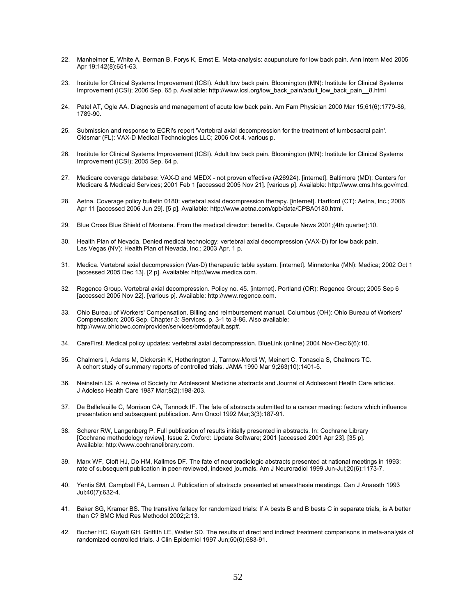- 22. Manheimer E, White A, Berman B, Forys K, Ernst E. Meta-analysis: acupuncture for low back pain. Ann Intern Med 2005 Apr 19;142(8):651-63.
- 23. Institute for Clinical Systems Improvement (ICSI). Adult low back pain. Bloomington (MN): Institute for Clinical Systems Improvement (ICSI); 2006 Sep. 65 p. Available: http://www.icsi.org/low\_back\_pain/adult\_low\_back\_pain\_\_8.html
- 24. Patel AT, Ogle AA. Diagnosis and management of acute low back pain. Am Fam Physician 2000 Mar 15;61(6):1779-86, 1789-90.
- 25. Submission and response to ECRI's report 'Vertebral axial decompression for the treatment of lumbosacral pain'. Oldsmar (FL): VAX-D Medical Technologies LLC; 2006 Oct 4. various p.
- 26. Institute for Clinical Systems Improvement (ICSI). Adult low back pain. Bloomington (MN): Institute for Clinical Systems Improvement (ICSI); 2005 Sep. 64 p.
- 27. Medicare coverage database: VAX-D and MEDX not proven effective (A26924). [internet]. Baltimore (MD): Centers for Medicare & Medicaid Services; 2001 Feb 1 [accessed 2005 Nov 21]. [various p]. Available: http://www.cms.hhs.gov/mcd.
- 28. Aetna. Coverage policy bulletin 0180: vertebral axial decompression therapy. [internet]. Hartford (CT): Aetna, Inc.; 2006 Apr 11 [accessed 2006 Jun 29]. [5 p]. Available: http://www.aetna.com/cpb/data/CPBA0180.html.
- 29. Blue Cross Blue Shield of Montana. From the medical director: benefits. Capsule News 2001;(4th quarter):10.
- 30. Health Plan of Nevada. Denied medical technology: vertebral axial decompression (VAX-D) for low back pain. Las Vegas (NV): Health Plan of Nevada, Inc.; 2003 Apr. 1 p.
- 31. Medica. Vertebral axial decompression (Vax-D) therapeutic table system. [internet]. Minnetonka (MN): Medica; 2002 Oct 1 [accessed 2005 Dec 13]. [2 p]. Available: http://www.medica.com.
- 32. Regence Group. Vertebral axial decompression. Policy no. 45. [internet]. Portland (OR): Regence Group; 2005 Sep 6 [accessed 2005 Nov 22]. [various p]. Available: http://www.regence.com.
- 33. Ohio Bureau of Workers' Compensation. Billing and reimbursement manual. Columbus (OH): Ohio Bureau of Workers' Compensation; 2005 Sep. Chapter 3: Services. p. 3-1 to 3-86. Also available: http://www.ohiobwc.com/provider/services/brmdefault.asp#.
- 34. CareFirst. Medical policy updates: vertebral axial decompression. BlueLink (online) 2004 Nov-Dec;6(6):10.
- 35. Chalmers I, Adams M, Dickersin K, Hetherington J, Tarnow-Mordi W, Meinert C, Tonascia S, Chalmers TC. A cohort study of summary reports of controlled trials. JAMA 1990 Mar 9;263(10):1401-5.
- 36. Neinstein LS. A review of Society for Adolescent Medicine abstracts and Journal of Adolescent Health Care articles. J Adolesc Health Care 1987 Mar;8(2):198-203.
- 37. De Bellefeuille C, Morrison CA, Tannock IF. The fate of abstracts submitted to a cancer meeting: factors which influence presentation and subsequent publication. Ann Oncol 1992 Mar;3(3):187-91.
- 38. Scherer RW, Langenberg P. Full publication of results initially presented in abstracts. In: Cochrane Library [Cochrane methodology review]. Issue 2. Oxford: Update Software; 2001 [accessed 2001 Apr 23]. [35 p]. Available: http://www.cochranelibrary.com.
- 39. Marx WF, Cloft HJ, Do HM, Kallmes DF. The fate of neuroradiologic abstracts presented at national meetings in 1993: rate of subsequent publication in peer-reviewed, indexed journals. Am J Neuroradiol 1999 Jun-Jul;20(6):1173-7.
- 40. Yentis SM, Campbell FA, Lerman J. Publication of abstracts presented at anaesthesia meetings. Can J Anaesth 1993 Jul;40(7):632-4.
- 41. Baker SG, Kramer BS. The transitive fallacy for randomized trials: If A bests B and B bests C in separate trials, is A better than C? BMC Med Res Methodol 2002;2:13.
- 42. Bucher HC, Guyatt GH, Griffith LE, Walter SD. The results of direct and indirect treatment comparisons in meta-analysis of randomized controlled trials. J Clin Epidemiol 1997 Jun;50(6):683-91.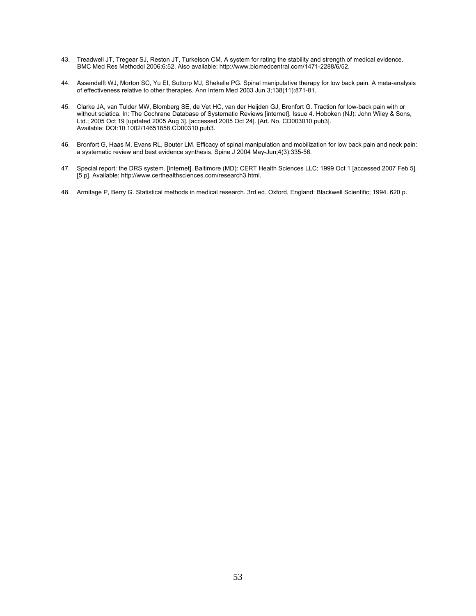- 43. Treadwell JT, Tregear SJ, Reston JT, Turkelson CM. A system for rating the stability and strength of medical evidence. BMC Med Res Methodol 2006;6:52. Also available: http://www.biomedcentral.com/1471-2288/6/52.
- 44. Assendelft WJ, Morton SC, Yu EI, Suttorp MJ, Shekelle PG. Spinal manipulative therapy for low back pain. A meta-analysis of effectiveness relative to other therapies. Ann Intern Med 2003 Jun 3;138(11):871-81.
- 45. Clarke JA, van Tulder MW, Blomberg SE, de Vet HC, van der Heijden GJ, Bronfort G. Traction for low-back pain with or without sciatica. In: The Cochrane Database of Systematic Reviews [internet]. Issue 4. Hoboken (NJ): John Wiley & Sons, Ltd.; 2005 Oct 19 [updated 2005 Aug 3]. [accessed 2005 Oct 24]. [Art. No. CD003010.pub3]. Available: DOI:10.1002/14651858.CD00310.pub3.
- 46. Bronfort G, Haas M, Evans RL, Bouter LM. Efficacy of spinal manipulation and mobilization for low back pain and neck pain: a systematic review and best evidence synthesis. Spine J 2004 May-Jun;4(3):335-56.
- 47. Special report: the DRS system. [internet]. Baltimore (MD): CERT Health Sciences LLC; 1999 Oct 1 [accessed 2007 Feb 5]. [5 p]. Available: http://www.certhealthsciences.com/research3.html.
- 48. Armitage P, Berry G. Statistical methods in medical research. 3rd ed. Oxford, England: Blackwell Scientific; 1994. 620 p.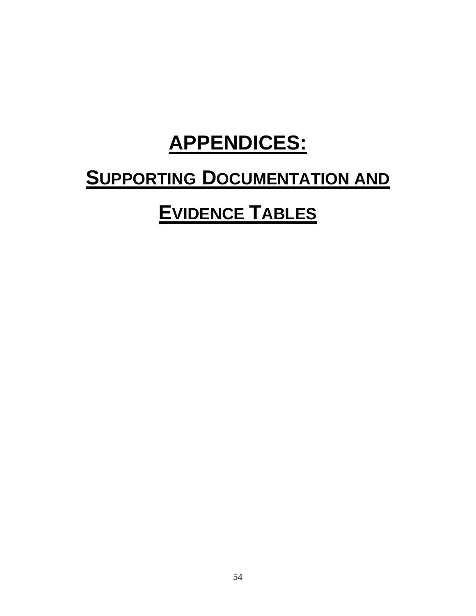# **APPENDICES:**

# **SUPPORTING DOCUMENTATION AND**

# **EVIDENCE TABLES**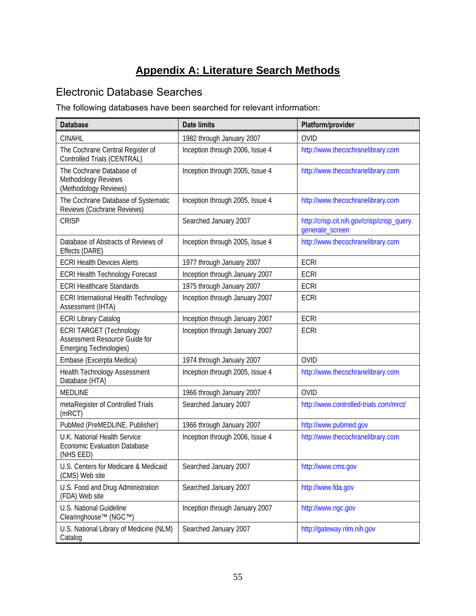# **Appendix A: Literature Search Methods**

## Electronic Database Searches

The following databases have been searched for relevant information:

| <b>Database</b>                                                                                  | <b>Date limits</b>              | Platform/provider                                              |
|--------------------------------------------------------------------------------------------------|---------------------------------|----------------------------------------------------------------|
| <b>CINAHL</b>                                                                                    | 1982 through January 2007       | <b>OVID</b>                                                    |
| The Cochrane Central Register of<br>Controlled Trials (CENTRAL)                                  | Inception through 2006, Issue 4 | http://www.thecochranelibrary.com                              |
| The Cochrane Database of<br>Methodology Reviews<br>(Methodology Reviews)                         | Inception through 2005, Issue 4 | http://www.thecochranelibrary.com                              |
| The Cochrane Database of Systematic<br>Reviews (Cochrane Reviews)                                | Inception through 2005, Issue 4 | http://www.thecochranelibrary.com                              |
| <b>CRISP</b>                                                                                     | Searched January 2007           | http://crisp.cit.nih.gov/crisp/crisp_query.<br>generate_screen |
| Database of Abstracts of Reviews of<br>Effects (DARE)                                            | Inception through 2005, Issue 4 | http://www.thecochranelibrary.com                              |
| <b>ECRI Health Devices Alerts</b>                                                                | 1977 through January 2007       | <b>ECRI</b>                                                    |
| ECRI Health Technology Forecast                                                                  | Inception through January 2007  | ECRI                                                           |
| <b>ECRI Healthcare Standards</b>                                                                 | 1975 through January 2007       | <b>ECRI</b>                                                    |
| <b>ECRI International Health Technology</b><br>Assessment (IHTA)                                 | Inception through January 2007  | <b>ECRI</b>                                                    |
| <b>ECRI Library Catalog</b>                                                                      | Inception through January 2007  | <b>ECRI</b>                                                    |
| <b>ECRI TARGET (Technology</b><br>Assessment Resource Guide for<br><b>Emerging Technologies)</b> | Inception through January 2007  | <b>ECRI</b>                                                    |
| Embase (Excerpta Medica)                                                                         | 1974 through January 2007       | <b>OVID</b>                                                    |
| <b>Health Technology Assessment</b><br>Database (HTA)                                            | Inception through 2005, Issue 4 | http://www.thecochranelibrary.com                              |
| <b>MEDLINE</b>                                                                                   | 1966 through January 2007       | <b>OVID</b>                                                    |
| metaRegister of Controlled Trials<br>(mRCT)                                                      | Searched January 2007           | http://www.controlled-trials.com/mrct/                         |
| PubMed (PreMEDLINE, Publisher)                                                                   | 1966 through January 2007       | http://www.pubmed.gov                                          |
| U.K. National Health Service<br><b>Economic Evaluation Database</b><br>(NHS EED)                 | Inception through 2006, Issue 4 | http://www.thecochranelibrary.com                              |
| U.S. Centers for Medicare & Medicaid<br>(CMS) Web site                                           | Searched January 2007           | http://www.cms.gov                                             |
| U.S. Food and Drug Administration<br>(FDA) Web site                                              | Searched January 2007           | http://www.fda.gov                                             |
| U.S. National Guideline<br>Clearinghouse™ (NGC™)                                                 | Inception through January 2007  | http://www.ngc.gov                                             |
| U.S. National Library of Medicine (NLM)<br>Catalog                                               | Searched January 2007           | http://gateway.nlm.nih.gov                                     |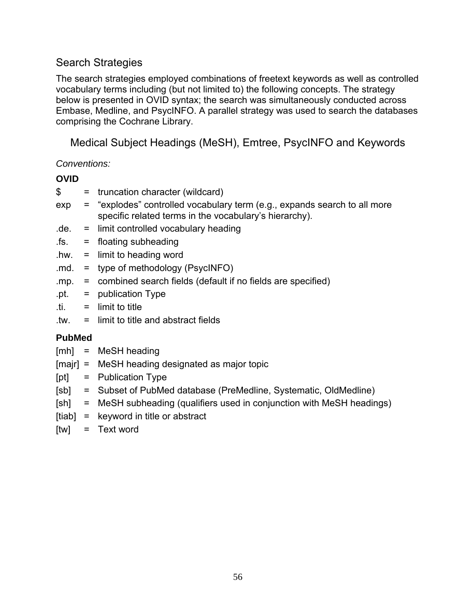### Search Strategies

The search strategies employed combinations of freetext keywords as well as controlled vocabulary terms including (but not limited to) the following concepts. The strategy below is presented in OVID syntax; the search was simultaneously conducted across Embase, Medline, and PsycINFO. A parallel strategy was used to search the databases comprising the Cochrane Library.

Medical Subject Headings (MeSH), Emtree, PsycINFO and Keywords

*Conventions:* 

#### **OVID**

- \$ = truncation character (wildcard)
- exp = "explodes" controlled vocabulary term (e.g., expands search to all more specific related terms in the vocabulary's hierarchy).
- $de. =$  limit controlled vocabulary heading
- .fs. = floating subheading
- $h$ w. = limit to heading word
- .md. = type of methodology (PsycINFO)
- .mp. = combined search fields (default if no fields are specified)
- $.pt. = publication Type$
- .ti. = limit to title
- .tw. = limit to title and abstract fields

#### **PubMed**

- [mh] = MeSH heading
- [majr] = MeSH heading designated as major topic
- [pt] = Publication Type
- [sb] = Subset of PubMed database (PreMedline, Systematic, OldMedline)
- [sh] = MeSH subheading (qualifiers used in conjunction with MeSH headings)
- $[tiab] = keyword in title or abstract$
- [tw] = Text word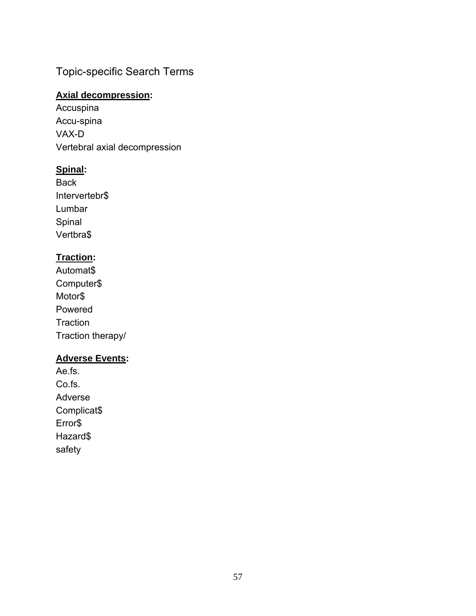## Topic-specific Search Terms

#### **Axial decompression:**

Accuspina Accu-spina VAX-D Vertebral axial decompression

#### **Spinal:**

Back Intervertebr\$ Lumbar Spinal Vertbra\$

#### **Traction:**

Automat\$ Computer\$ Motor\$ Powered **Traction** Traction therapy/

#### **Adverse Events:**

Ae.fs. Co.fs. Adverse Complicat\$ Error\$ Hazard\$ safety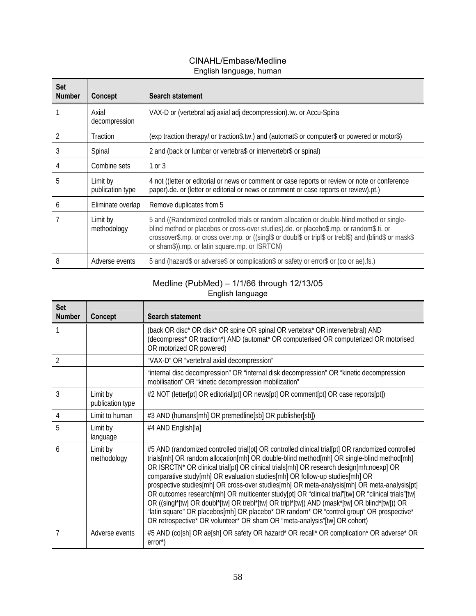#### CINAHL/Embase/Medline English language, human

| <b>Set</b><br><b>Number</b> | Concept                      | Search statement                                                                                                                                                                                                                                                                                                                                    |
|-----------------------------|------------------------------|-----------------------------------------------------------------------------------------------------------------------------------------------------------------------------------------------------------------------------------------------------------------------------------------------------------------------------------------------------|
|                             | Axial<br>decompression       | VAX-D or (vertebral adj axial adj decompression).tw. or Accu-Spina                                                                                                                                                                                                                                                                                  |
|                             | Traction                     | (exp traction therapy/ or traction\$.tw.) and (automat\$ or computer\$ or powered or motor\$)                                                                                                                                                                                                                                                       |
| 3                           | Spinal                       | 2 and (back or lumbar or vertebra\$ or intervertebr\$ or spinal)                                                                                                                                                                                                                                                                                    |
|                             | Combine sets                 | 1 or 3                                                                                                                                                                                                                                                                                                                                              |
| 5                           | Limit by<br>publication type | 4 not ((letter or editorial or news or comment or case reports or review or note or conference<br>paper).de. or (letter or editorial or news or comment or case reports or review).pt.)                                                                                                                                                             |
| 6                           | Eliminate overlap            | Remove duplicates from 5                                                                                                                                                                                                                                                                                                                            |
|                             | Limit by<br>methodology      | 5 and ((Randomized controlled trials or random allocation or double-blind method or single-<br>blind method or placebos or cross-over studies).de. or placebo\$.mp. or random\$.ti. or<br>crossover\$.mp. or cross over.mp. or ((singl\$ or doubl\$ or tripl\$ or trebl\$) and (blind\$ or mask\$<br>or sham\$)).mp. or latin square.mp. or ISRTCN) |
| 8                           | Adverse events               | 5 and (hazard\$ or adverse\$ or complication\$ or safety or error\$ or (co or ae).fs.)                                                                                                                                                                                                                                                              |

#### Medline (PubMed) – 1/1/66 through 12/13/05 English language

| <b>Set</b><br><b>Number</b> | Concept                      | <b>Search statement</b>                                                                                                                                                                                                                                                                                                                                                                                                                                                                                                                                                                                                                                                                                                                                                                                                                                |
|-----------------------------|------------------------------|--------------------------------------------------------------------------------------------------------------------------------------------------------------------------------------------------------------------------------------------------------------------------------------------------------------------------------------------------------------------------------------------------------------------------------------------------------------------------------------------------------------------------------------------------------------------------------------------------------------------------------------------------------------------------------------------------------------------------------------------------------------------------------------------------------------------------------------------------------|
|                             |                              | (back OR disc* OR disk* OR spine OR spinal OR vertebra* OR intervertebral) AND<br>(decompress* OR traction*) AND (automat* OR computerised OR computerized OR motorised<br>OR motorized OR powered)                                                                                                                                                                                                                                                                                                                                                                                                                                                                                                                                                                                                                                                    |
| $\mathfrak{D}$              |                              | "VAX-D" OR "vertebral axial decompression"                                                                                                                                                                                                                                                                                                                                                                                                                                                                                                                                                                                                                                                                                                                                                                                                             |
|                             |                              | "internal disc decompression" OR "internal disk decompression" OR "kinetic decompression<br>mobilisation" OR "kinetic decompression mobilization"                                                                                                                                                                                                                                                                                                                                                                                                                                                                                                                                                                                                                                                                                                      |
| 3                           | Limit by<br>publication type | #2 NOT (letter[pt] OR editorial[pt] OR news[pt] OR comment[pt] OR case reports[pt])                                                                                                                                                                                                                                                                                                                                                                                                                                                                                                                                                                                                                                                                                                                                                                    |
| 4                           | Limit to human               | #3 AND (humans[mh] OR premedline[sb] OR publisher[sb])                                                                                                                                                                                                                                                                                                                                                                                                                                                                                                                                                                                                                                                                                                                                                                                                 |
| 5                           | Limit by<br>language         | #4 AND English[la]                                                                                                                                                                                                                                                                                                                                                                                                                                                                                                                                                                                                                                                                                                                                                                                                                                     |
| 6                           | Limit by<br>methodology      | #5 AND (randomized controlled trial[pt] OR controlled clinical trial[pt] OR randomized controlled<br>trials[mh] OR random allocation[mh] OR double-blind method[mh] OR single-blind method[mh]<br>OR ISRCTN* OR clinical trial[pt] OR clinical trials[mh] OR research design[mh:noexp] OR<br>comparative study[mh] OR evaluation studies[mh] OR follow-up studies[mh] OR<br>prospective studies[mh] OR cross-over studies[mh] OR meta-analysis[mh] OR meta-analysis[pt]<br>OR outcomes research[mh] OR multicenter study[pt] OR "clinical trial"[tw] OR "clinical trials"[tw]<br>OR ((singl*[tw] OR doubl*[tw] OR trebl*[tw] OR tripl*[tw]) AND (mask*[tw] OR blind*[tw])) OR<br>"latin square" OR placebos[mh] OR placebo* OR random* OR "control group" OR prospective*<br>OR retrospective* OR volunteer* OR sham OR "meta-analysis"[tw] OR cohort) |
| 7                           | Adverse events               | #5 AND (co[sh] OR ae[sh] OR safety OR hazard* OR recall* OR complication* OR adverse* OR<br>$error^*$ )                                                                                                                                                                                                                                                                                                                                                                                                                                                                                                                                                                                                                                                                                                                                                |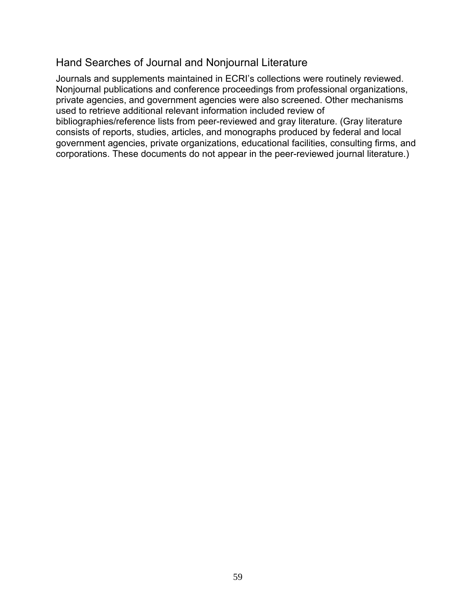#### Hand Searches of Journal and Nonjournal Literature

Journals and supplements maintained in ECRI's collections were routinely reviewed. Nonjournal publications and conference proceedings from professional organizations, private agencies, and government agencies were also screened. Other mechanisms used to retrieve additional relevant information included review of bibliographies/reference lists from peer-reviewed and gray literature. (Gray literature consists of reports, studies, articles, and monographs produced by federal and local government agencies, private organizations, educational facilities, consulting firms, and corporations. These documents do not appear in the peer-reviewed journal literature.)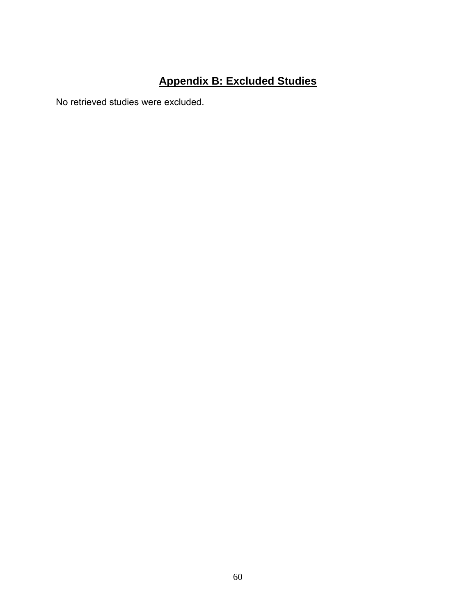# **Appendix B: Excluded Studies**

No retrieved studies were excluded.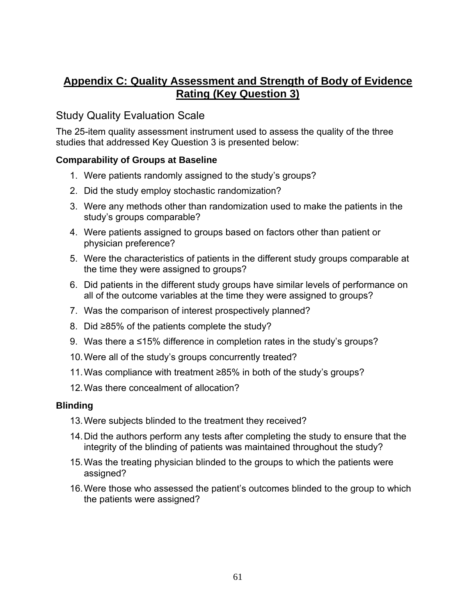## **Appendix C: Quality Assessment and Strength of Body of Evidence Rating (Key Question 3)**

### Study Quality Evaluation Scale

The 25-item quality assessment instrument used to assess the quality of the three studies that addressed Key Question 3 is presented below:

#### **Comparability of Groups at Baseline**

- 1. Were patients randomly assigned to the study's groups?
- 2. Did the study employ stochastic randomization?
- 3. Were any methods other than randomization used to make the patients in the study's groups comparable?
- 4. Were patients assigned to groups based on factors other than patient or physician preference?
- 5. Were the characteristics of patients in the different study groups comparable at the time they were assigned to groups?
- 6. Did patients in the different study groups have similar levels of performance on all of the outcome variables at the time they were assigned to groups?
- 7. Was the comparison of interest prospectively planned?
- 8. Did ≥85% of the patients complete the study?
- 9. Was there a ≤15% difference in completion rates in the study's groups?
- 10.Were all of the study's groups concurrently treated?
- 11.Was compliance with treatment ≥85% in both of the study's groups?
- 12. Was there concealment of allocation?

#### **Blinding**

- 13.Were subjects blinded to the treatment they received?
- 14.Did the authors perform any tests after completing the study to ensure that the integrity of the blinding of patients was maintained throughout the study?
- 15.Was the treating physician blinded to the groups to which the patients were assigned?
- 16.Were those who assessed the patient's outcomes blinded to the group to which the patients were assigned?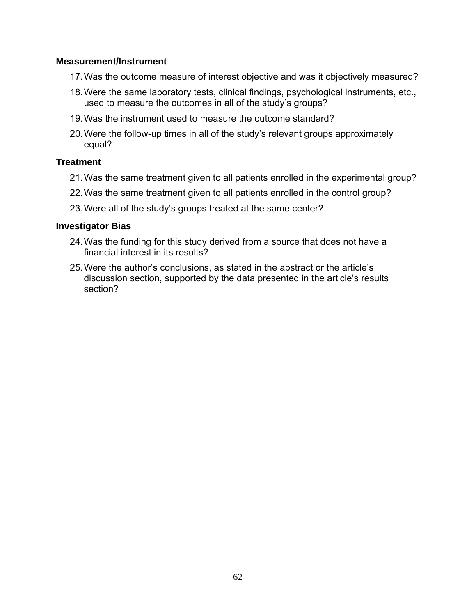#### **Measurement/Instrument**

- 17.Was the outcome measure of interest objective and was it objectively measured?
- 18.Were the same laboratory tests, clinical findings, psychological instruments, etc., used to measure the outcomes in all of the study's groups?
- 19.Was the instrument used to measure the outcome standard?
- 20.Were the follow-up times in all of the study's relevant groups approximately equal?

#### **Treatment**

- 21.Was the same treatment given to all patients enrolled in the experimental group?
- 22.Was the same treatment given to all patients enrolled in the control group?
- 23.Were all of the study's groups treated at the same center?

#### **Investigator Bias**

- 24.Was the funding for this study derived from a source that does not have a financial interest in its results?
- 25.Were the author's conclusions, as stated in the abstract or the article's discussion section, supported by the data presented in the article's results section?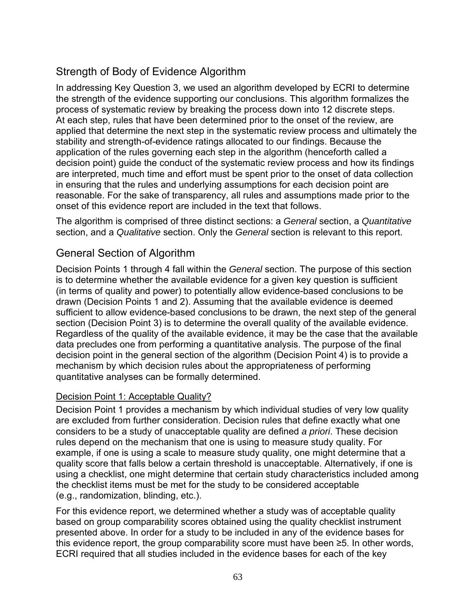# Strength of Body of Evidence Algorithm

In addressing Key Question 3, we used an algorithm developed by ECRI to determine the strength of the evidence supporting our conclusions. This algorithm formalizes the process of systematic review by breaking the process down into 12 discrete steps. At each step, rules that have been determined prior to the onset of the review, are applied that determine the next step in the systematic review process and ultimately the stability and strength-of-evidence ratings allocated to our findings. Because the application of the rules governing each step in the algorithm (henceforth called a decision point) guide the conduct of the systematic review process and how its findings are interpreted, much time and effort must be spent prior to the onset of data collection in ensuring that the rules and underlying assumptions for each decision point are reasonable. For the sake of transparency, all rules and assumptions made prior to the onset of this evidence report are included in the text that follows.

The algorithm is comprised of three distinct sections: a *General* section, a *Quantitative*  section, and a *Qualitative* section. Only the *General* section is relevant to this report.

### General Section of Algorithm

Decision Points 1 through 4 fall within the *General* section. The purpose of this section is to determine whether the available evidence for a given key question is sufficient (in terms of quality and power) to potentially allow evidence-based conclusions to be drawn (Decision Points 1 and 2). Assuming that the available evidence is deemed sufficient to allow evidence-based conclusions to be drawn, the next step of the general section (Decision Point 3) is to determine the overall quality of the available evidence. Regardless of the quality of the available evidence, it may be the case that the available data precludes one from performing a quantitative analysis. The purpose of the final decision point in the general section of the algorithm (Decision Point 4) is to provide a mechanism by which decision rules about the appropriateness of performing quantitative analyses can be formally determined.

#### Decision Point 1: Acceptable Quality?

Decision Point 1 provides a mechanism by which individual studies of very low quality are excluded from further consideration. Decision rules that define exactly what one considers to be a study of unacceptable quality are defined *a priori*. These decision rules depend on the mechanism that one is using to measure study quality. For example, if one is using a scale to measure study quality, one might determine that a quality score that falls below a certain threshold is unacceptable. Alternatively, if one is using a checklist, one might determine that certain study characteristics included among the checklist items must be met for the study to be considered acceptable (e.g., randomization, blinding, etc.).

For this evidence report, we determined whether a study was of acceptable quality based on group comparability scores obtained using the quality checklist instrument presented above. In order for a study to be included in any of the evidence bases for this evidence report, the group comparability score must have been ≥5. In other words, ECRI required that all studies included in the evidence bases for each of the key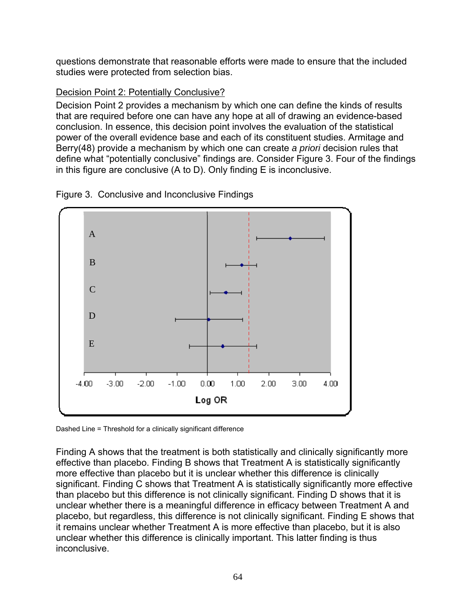questions demonstrate that reasonable efforts were made to ensure that the included studies were protected from selection bias.

#### Decision Point 2: Potentially Conclusive?

Decision Point 2 provides a mechanism by which one can define the kinds of results that are required before one can have any hope at all of drawing an evidence-based conclusion. In essence, this decision point involves the evaluation of the statistical power of the overall evidence base and each of its constituent studies. Armitage and Berry(48) provide a mechanism by which one can create *a priori* decision rules that define what "potentially conclusive" findings are. Consider Figure 3. Four of the findings in this figure are conclusive (A to D). Only finding E is inconclusive.





Dashed Line = Threshold for a clinically significant difference

Finding A shows that the treatment is both statistically and clinically significantly more effective than placebo. Finding B shows that Treatment A is statistically significantly more effective than placebo but it is unclear whether this difference is clinically significant. Finding C shows that Treatment A is statistically significantly more effective than placebo but this difference is not clinically significant. Finding D shows that it is unclear whether there is a meaningful difference in efficacy between Treatment A and placebo, but regardless, this difference is not clinically significant. Finding E shows that it remains unclear whether Treatment A is more effective than placebo, but it is also unclear whether this difference is clinically important. This latter finding is thus inconclusive.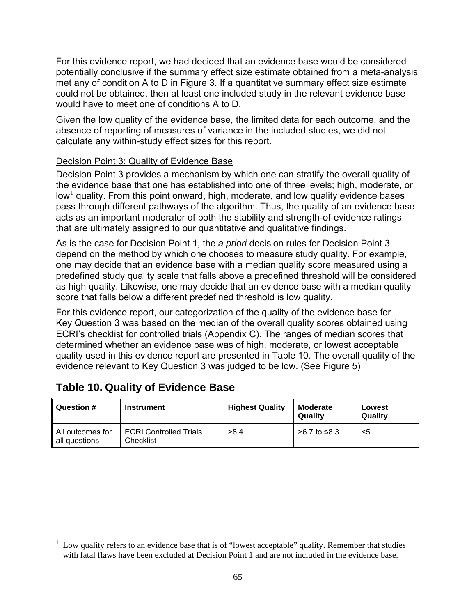For this evidence report, we had decided that an evidence base would be considered potentially conclusive if the summary effect size estimate obtained from a meta-analysis met any of condition A to D in Figure 3. If a quantitative summary effect size estimate could not be obtained, then at least one included study in the relevant evidence base would have to meet one of conditions A to D.

Given the low quality of the evidence base, the limited data for each outcome, and the absence of reporting of measures of variance in the included studies, we did not calculate any within-study effect sizes for this report.

#### Decision Point 3: Quality of Evidence Base

Decision Point 3 provides a mechanism by which one can stratify the overall quality of the evidence base that one has established into one of three levels; high, moderate, or low<sup>1</sup> quality. From this point onward, high, moderate, and low quality evidence bases pass through different pathways of the algorithm. Thus, the quality of an evidence base acts as an important moderator of both the stability and strength-of-evidence ratings that are ultimately assigned to our quantitative and qualitative findings.

As is the case for Decision Point 1, the *a priori* decision rules for Decision Point 3 depend on the method by which one chooses to measure study quality. For example, one may decide that an evidence base with a median quality score measured using a predefined study quality scale that falls above a predefined threshold will be considered as high quality. Likewise, one may decide that an evidence base with a median quality score that falls below a different predefined threshold is low quality.

For this evidence report, our categorization of the quality of the evidence base for Key Question 3 was based on the median of the overall quality scores obtained using ECRI's checklist for controlled trials (Appendix C). The ranges of median scores that determined whether an evidence base was of high, moderate, or lowest acceptable quality used in this evidence report are presented in Table 10. The overall quality of the evidence relevant to Key Question 3 was judged to be low. (See Figure 5)

| Question #                        | <b>Instrument</b>                          | <b>Highest Quality</b> | Moderate<br>Quality | Lowest<br>Quality |
|-----------------------------------|--------------------------------------------|------------------------|---------------------|-------------------|
| All outcomes for<br>all questions | <b>ECRI Controlled Trials</b><br>Checklist | >8.4                   | >6.7 to ≤8.3        | <5                |

#### **Table 10. Quality of Evidence Base**

 $\frac{1}{1}$  Low quality refers to an evidence base that is of "lowest acceptable" quality. Remember that studies with fatal flaws have been excluded at Decision Point 1 and are not included in the evidence base.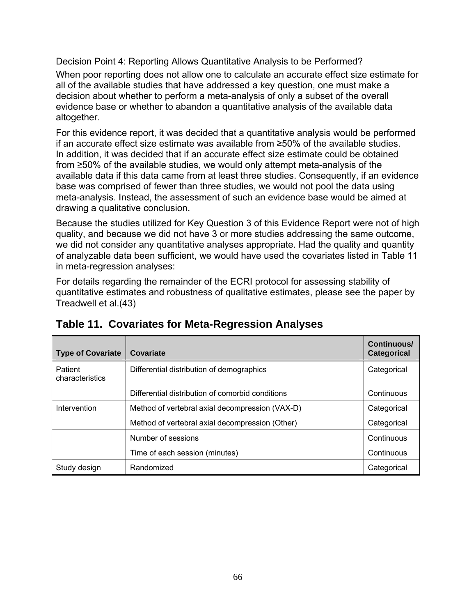#### Decision Point 4: Reporting Allows Quantitative Analysis to be Performed?

When poor reporting does not allow one to calculate an accurate effect size estimate for all of the available studies that have addressed a key question, one must make a decision about whether to perform a meta-analysis of only a subset of the overall evidence base or whether to abandon a quantitative analysis of the available data altogether.

For this evidence report, it was decided that a quantitative analysis would be performed if an accurate effect size estimate was available from ≥50% of the available studies. In addition, it was decided that if an accurate effect size estimate could be obtained from ≥50% of the available studies, we would only attempt meta-analysis of the available data if this data came from at least three studies. Consequently, if an evidence base was comprised of fewer than three studies, we would not pool the data using meta-analysis. Instead, the assessment of such an evidence base would be aimed at drawing a qualitative conclusion.

Because the studies utilized for Key Question 3 of this Evidence Report were not of high quality, and because we did not have 3 or more studies addressing the same outcome, we did not consider any quantitative analyses appropriate. Had the quality and quantity of analyzable data been sufficient, we would have used the covariates listed in Table 11 in meta-regression analyses:

For details regarding the remainder of the ECRI protocol for assessing stability of quantitative estimates and robustness of qualitative estimates, please see the paper by Treadwell et al.(43)

| <b>Type of Covariate</b>   | Covariate                                        | Continuous/<br><b>Categorical</b> |
|----------------------------|--------------------------------------------------|-----------------------------------|
| Patient<br>characteristics | Differential distribution of demographics        | Categorical                       |
|                            | Differential distribution of comorbid conditions | Continuous                        |
| Intervention               | Method of vertebral axial decompression (VAX-D)  | Categorical                       |
|                            | Method of vertebral axial decompression (Other)  | Categorical                       |
|                            | Number of sessions                               | Continuous                        |
|                            | Time of each session (minutes)                   | Continuous                        |
| Study design               | Randomized                                       | Categorical                       |

### **Table 11. Covariates for Meta-Regression Analyses**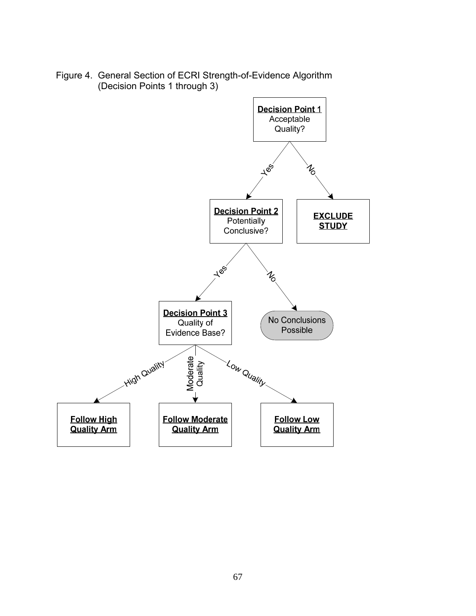

Figure 4. General Section of ECRI Strength-of-Evidence Algorithm (Decision Points 1 through 3)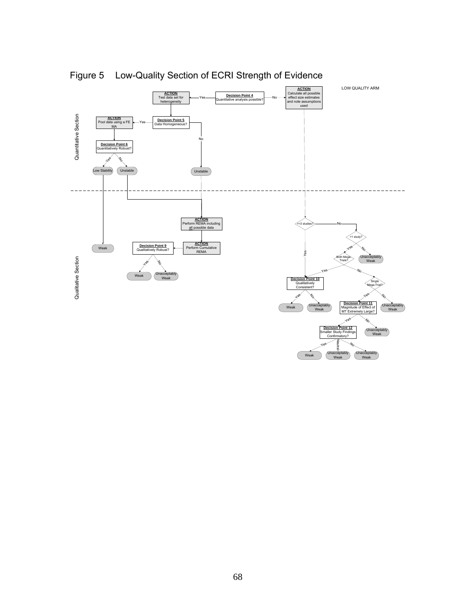

Figure 5 Low-Quality Section of ECRI Strength of Evidence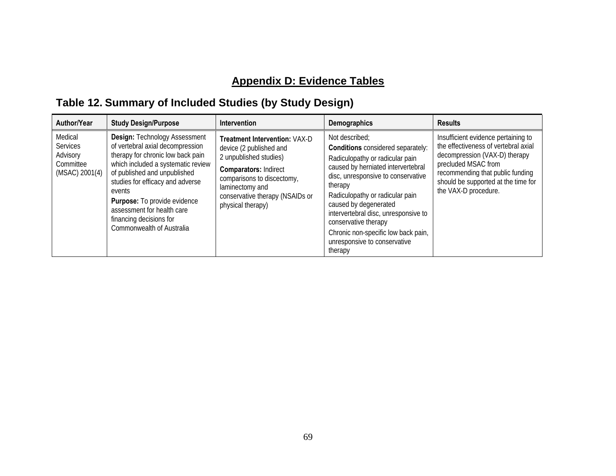## **Appendix D: Evidence Tables**

# **Table 12. Summary of Included Studies (by Study Design)**

| Author/Year                                                           | <b>Study Design/Purpose</b>                                                                                                                                                                                                                                                                                                                                    | Intervention                                                                                                                                                                                                                       | <b>Demographics</b>                                                                                                                                                                                                                                                                                                                                                                                | <b>Results</b>                                                                                                                                                                                                                         |
|-----------------------------------------------------------------------|----------------------------------------------------------------------------------------------------------------------------------------------------------------------------------------------------------------------------------------------------------------------------------------------------------------------------------------------------------------|------------------------------------------------------------------------------------------------------------------------------------------------------------------------------------------------------------------------------------|----------------------------------------------------------------------------------------------------------------------------------------------------------------------------------------------------------------------------------------------------------------------------------------------------------------------------------------------------------------------------------------------------|----------------------------------------------------------------------------------------------------------------------------------------------------------------------------------------------------------------------------------------|
| Medical<br><b>Services</b><br>Advisory<br>Committee<br>(MSAC) 2001(4) | <b>Design: Technology Assessment</b><br>of vertebral axial decompression<br>therapy for chronic low back pain<br>which included a systematic review<br>of published and unpublished<br>studies for efficacy and adverse<br>events<br><b>Purpose:</b> To provide evidence<br>assessment for health care<br>financing decisions for<br>Commonwealth of Australia | <b>Treatment Intervention: VAX-D</b><br>device (2 published and<br>2 unpublished studies)<br><b>Comparators: Indirect</b><br>comparisons to discectomy,<br>laminectomy and<br>conservative therapy (NSAIDs or<br>physical therapy) | Not described:<br><b>Conditions</b> considered separately:<br>Radiculopathy or radicular pain<br>caused by herniated intervertebral<br>disc, unresponsive to conservative<br>therapy<br>Radiculopathy or radicular pain<br>caused by degenerated<br>intervertebral disc, unresponsive to<br>conservative therapy<br>Chronic non-specific low back pain,<br>unresponsive to conservative<br>therapy | Insufficient evidence pertaining to<br>the effectiveness of vertebral axial<br>decompression (VAX-D) therapy<br>precluded MSAC from<br>recommending that public funding<br>should be supported at the time for<br>the VAX-D procedure. |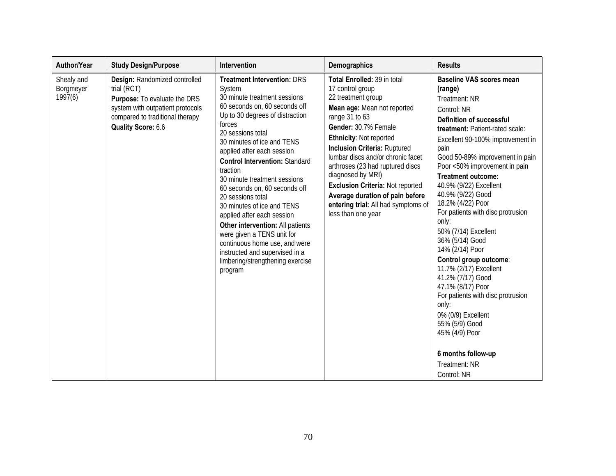| Author/Year                        | <b>Study Design/Purpose</b>                                                                                                                                               | Intervention                                                                                                                                                                                                                                                                                                                                                                                                                                                                                                                                                                                                                           | <b>Demographics</b>                                                                                                                                                                                                                                                                                                                                                                                                                                              | <b>Results</b>                                                                                                                                                                                                                                                                                                                                                                                                                                                                                                                                                                                                                                                                                                                            |
|------------------------------------|---------------------------------------------------------------------------------------------------------------------------------------------------------------------------|----------------------------------------------------------------------------------------------------------------------------------------------------------------------------------------------------------------------------------------------------------------------------------------------------------------------------------------------------------------------------------------------------------------------------------------------------------------------------------------------------------------------------------------------------------------------------------------------------------------------------------------|------------------------------------------------------------------------------------------------------------------------------------------------------------------------------------------------------------------------------------------------------------------------------------------------------------------------------------------------------------------------------------------------------------------------------------------------------------------|-------------------------------------------------------------------------------------------------------------------------------------------------------------------------------------------------------------------------------------------------------------------------------------------------------------------------------------------------------------------------------------------------------------------------------------------------------------------------------------------------------------------------------------------------------------------------------------------------------------------------------------------------------------------------------------------------------------------------------------------|
| Shealy and<br>Borgmeyer<br>1997(6) | Design: Randomized controlled<br>trial (RCT)<br>Purpose: To evaluate the DRS<br>system with outpatient protocols<br>compared to traditional therapy<br>Quality Score: 6.6 | <b>Treatment Intervention: DRS</b><br>System<br>30 minute treatment sessions<br>60 seconds on, 60 seconds off<br>Up to 30 degrees of distraction<br>forces<br>20 sessions total<br>30 minutes of ice and TENS<br>applied after each session<br><b>Control Intervention: Standard</b><br>traction<br>30 minute treatment sessions<br>60 seconds on, 60 seconds off<br>20 sessions total<br>30 minutes of ice and TENS<br>applied after each session<br>Other intervention: All patients<br>were given a TENS unit for<br>continuous home use, and were<br>instructed and supervised in a<br>limbering/strengthening exercise<br>program | Total Enrolled: 39 in total<br>17 control group<br>22 treatment group<br>Mean age: Mean not reported<br>range 31 to 63<br>Gender: 30.7% Female<br><b>Ethnicity: Not reported</b><br><b>Inclusion Criteria: Ruptured</b><br>lumbar discs and/or chronic facet<br>arthroses (23 had ruptured discs<br>diagnosed by MRI)<br><b>Exclusion Criteria: Not reported</b><br>Average duration of pain before<br>entering trial: All had symptoms of<br>less than one year | <b>Baseline VAS scores mean</b><br>(range)<br>Treatment: NR<br>Control: NR<br><b>Definition of successful</b><br>treatment: Patient-rated scale:<br>Excellent 90-100% improvement in<br>pain<br>Good 50-89% improvement in pain<br>Poor <50% improvement in pain<br><b>Treatment outcome:</b><br>40.9% (9/22) Excellent<br>40.9% (9/22) Good<br>18.2% (4/22) Poor<br>For patients with disc protrusion<br>only:<br>50% (7/14) Excellent<br>36% (5/14) Good<br>14% (2/14) Poor<br>Control group outcome:<br>11.7% (2/17) Excellent<br>41.2% (7/17) Good<br>47.1% (8/17) Poor<br>For patients with disc protrusion<br>only:<br>0% (0/9) Excellent<br>55% (5/9) Good<br>45% (4/9) Poor<br>6 months follow-up<br>Treatment: NR<br>Control: NR |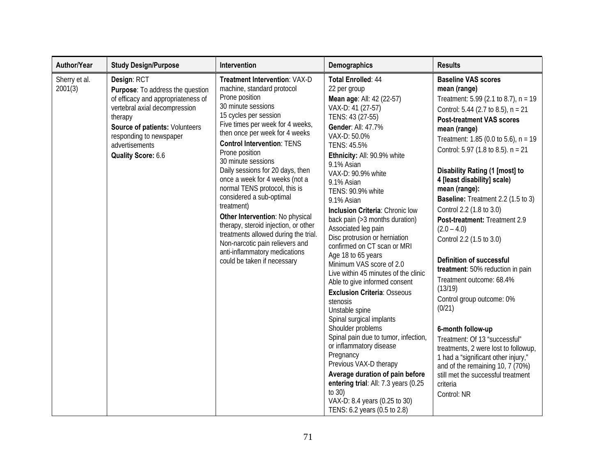| Author/Year              | <b>Study Design/Purpose</b>                                                                                                                                                                                                            | Intervention                                                                                                                                                                                                                                                                                                                                                                                                                                                                                                                                                                                                                                           | Demographics                                                                                                                                                                                                                                                                                                                                                                                                                                                                                                                                                                                                                                                                                                                                                                                                                                                                                                                                                            | <b>Results</b>                                                                                                                                                                                                                                                                                                                                                                                                                                                                                                                                                                                                                                                                                                                                                                                                                                                                                         |
|--------------------------|----------------------------------------------------------------------------------------------------------------------------------------------------------------------------------------------------------------------------------------|--------------------------------------------------------------------------------------------------------------------------------------------------------------------------------------------------------------------------------------------------------------------------------------------------------------------------------------------------------------------------------------------------------------------------------------------------------------------------------------------------------------------------------------------------------------------------------------------------------------------------------------------------------|-------------------------------------------------------------------------------------------------------------------------------------------------------------------------------------------------------------------------------------------------------------------------------------------------------------------------------------------------------------------------------------------------------------------------------------------------------------------------------------------------------------------------------------------------------------------------------------------------------------------------------------------------------------------------------------------------------------------------------------------------------------------------------------------------------------------------------------------------------------------------------------------------------------------------------------------------------------------------|--------------------------------------------------------------------------------------------------------------------------------------------------------------------------------------------------------------------------------------------------------------------------------------------------------------------------------------------------------------------------------------------------------------------------------------------------------------------------------------------------------------------------------------------------------------------------------------------------------------------------------------------------------------------------------------------------------------------------------------------------------------------------------------------------------------------------------------------------------------------------------------------------------|
| Sherry et al.<br>2001(3) | Design: RCT<br>Purpose: To address the question<br>of efficacy and appropriateness of<br>vertebral axial decompression<br>therapy<br>Source of patients: Volunteers<br>responding to newspaper<br>advertisements<br>Quality Score: 6.6 | Treatment Intervention: VAX-D<br>machine, standard protocol<br>Prone position<br>30 minute sessions<br>15 cycles per session<br>Five times per week for 4 weeks,<br>then once per week for 4 weeks<br><b>Control Intervention: TENS</b><br>Prone position<br>30 minute sessions<br>Daily sessions for 20 days, then<br>once a week for 4 weeks (not a<br>normal TENS protocol, this is<br>considered a sub-optimal<br>treatment)<br>Other Intervention: No physical<br>therapy, steroid injection, or other<br>treatments allowed during the trial.<br>Non-narcotic pain relievers and<br>anti-inflammatory medications<br>could be taken if necessary | Total Enrolled: 44<br>22 per group<br>Mean age: All: 42 (22-57)<br>VAX-D: 41 (27-57)<br>TENS: 43 (27-55)<br><b>Gender: All: 47.7%</b><br>VAX-D: 50.0%<br>TENS: 45.5%<br>Ethnicity: All: 90.9% white<br>9.1% Asian<br>VAX-D: 90.9% white<br>9.1% Asian<br>TENS: 90.9% white<br>9.1% Asian<br>Inclusion Criteria: Chronic low<br>back pain (>3 months duration)<br>Associated leg pain<br>Disc protrusion or herniation<br>confirmed on CT scan or MRI<br>Age 18 to 65 years<br>Minimum VAS score of 2.0<br>Live within 45 minutes of the clinic<br>Able to give informed consent<br><b>Exclusion Criteria: Osseous</b><br>stenosis<br>Unstable spine<br>Spinal surgical implants<br>Shoulder problems<br>Spinal pain due to tumor, infection,<br>or inflammatory disease<br>Pregnancy<br>Previous VAX-D therapy<br>Average duration of pain before<br>entering trial: All: 7.3 years (0.25<br>to $30$ )<br>VAX-D: 8.4 years (0.25 to 30)<br>TENS: 6.2 years (0.5 to 2.8) | <b>Baseline VAS scores</b><br>mean (range)<br>Treatment: 5.99 (2.1 to 8.7), $n = 19$<br>Control: 5.44 (2.7 to 8.5), n = 21<br><b>Post-treatment VAS scores</b><br>mean (range)<br>Treatment: 1.85 (0.0 to 5.6), $n = 19$<br>Control: 5.97 (1.8 to 8.5). n = 21<br>Disability Rating (1 [most] to<br>4 [least disability] scale)<br>mean (range):<br><b>Baseline:</b> Treatment 2.2 (1.5 to 3)<br>Control 2.2 (1.8 to 3.0)<br>Post-treatment: Treatment 2.9<br>$(2.0 - 4.0)$<br>Control 2.2 (1.5 to 3.0)<br><b>Definition of successful</b><br>treatment: 50% reduction in pain<br>Treatment outcome: 68.4%<br>(13/19)<br>Control group outcome: 0%<br>(0/21)<br>6-month follow-up<br>Treatment: Of 13 "successful"<br>treatments, 2 were lost to followup,<br>1 had a "significant other injury,"<br>and of the remaining 10, 7 (70%)<br>still met the successful treatment<br>criteria<br>Control: NR |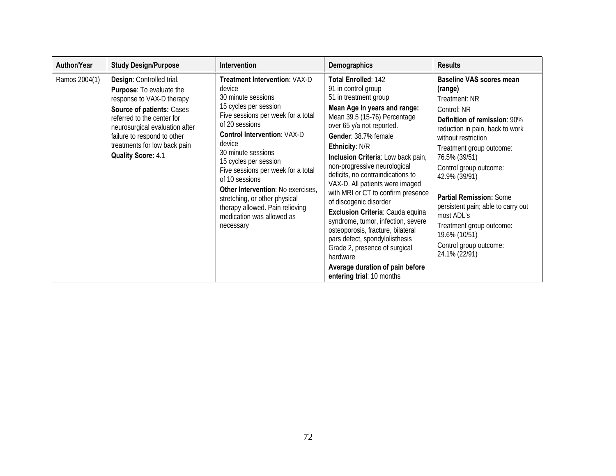| Author/Year   | <b>Study Design/Purpose</b>                                                                                                                                                                                                                                                        | <b>Intervention</b>                                                                                                                                                                                                                                                                                                                                                                                                                                      | Demographics                                                                                                                                                                                                                                                                                                                                                                                                                                                                                                                                                                                                                                                                                         | <b>Results</b>                                                                                                                                                                                                                                                                                                                                                                                                                      |
|---------------|------------------------------------------------------------------------------------------------------------------------------------------------------------------------------------------------------------------------------------------------------------------------------------|----------------------------------------------------------------------------------------------------------------------------------------------------------------------------------------------------------------------------------------------------------------------------------------------------------------------------------------------------------------------------------------------------------------------------------------------------------|------------------------------------------------------------------------------------------------------------------------------------------------------------------------------------------------------------------------------------------------------------------------------------------------------------------------------------------------------------------------------------------------------------------------------------------------------------------------------------------------------------------------------------------------------------------------------------------------------------------------------------------------------------------------------------------------------|-------------------------------------------------------------------------------------------------------------------------------------------------------------------------------------------------------------------------------------------------------------------------------------------------------------------------------------------------------------------------------------------------------------------------------------|
| Ramos 2004(1) | Design: Controlled trial.<br><b>Purpose:</b> To evaluate the<br>response to VAX-D therapy<br>Source of patients: Cases<br>referred to the center for<br>neurosurgical evaluation after<br>failure to respond to other<br>treatments for low back pain<br><b>Quality Score: 4.1</b> | Treatment Intervention: VAX-D<br>device<br>30 minute sessions<br>15 cycles per session<br>Five sessions per week for a total<br>of 20 sessions<br><b>Control Intervention: VAX-D</b><br>device<br>30 minute sessions<br>15 cycles per session<br>Five sessions per week for a total<br>of 10 sessions<br>Other Intervention: No exercises,<br>stretching, or other physical<br>therapy allowed. Pain relieving<br>medication was allowed as<br>necessary | <b>Total Enrolled: 142</b><br>91 in control group<br>51 in treatment group<br>Mean Age in years and range:<br>Mean 39.5 (15-76) Percentage<br>over 65 y/a not reported.<br>Gender: 38.7% female<br><b>Ethnicity: N/R</b><br>Inclusion Criteria: Low back pain,<br>non-progressive neurological<br>deficits, no contraindications to<br>VAX-D. All patients were imaged<br>with MRI or CT to confirm presence<br>of discogenic disorder<br>Exclusion Criteria: Cauda equina<br>syndrome, tumor, infection, severe<br>osteoporosis, fracture, bilateral<br>pars defect, spondylolisthesis<br>Grade 2, presence of surgical<br>hardware<br>Average duration of pain before<br>entering trial: 10 months | <b>Baseline VAS scores mean</b><br>(range)<br>Treatment: NR<br>Control: NR<br>Definition of remission: 90%<br>reduction in pain, back to work<br>without restriction<br>Treatment group outcome:<br>76.5% (39/51)<br>Control group outcome:<br>42.9% (39/91)<br>Partial Remission: Some<br>persistent pain; able to carry out<br>most ADL's<br>Treatment group outcome:<br>19.6% (10/51)<br>Control group outcome:<br>24.1% (22/91) |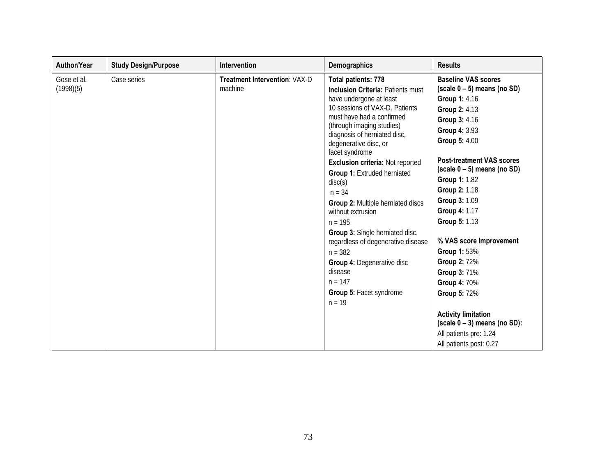| Author/Year              | <b>Study Design/Purpose</b> | <b>Intervention</b>                             | Demographics                                                                                                                                                                                                                                                                                                                                                                                                                                                                                                                                                                                                                        | <b>Results</b>                                                                                                                                                                                                                                                                                                                                                                                                                                                                                                                             |
|--------------------------|-----------------------------|-------------------------------------------------|-------------------------------------------------------------------------------------------------------------------------------------------------------------------------------------------------------------------------------------------------------------------------------------------------------------------------------------------------------------------------------------------------------------------------------------------------------------------------------------------------------------------------------------------------------------------------------------------------------------------------------------|--------------------------------------------------------------------------------------------------------------------------------------------------------------------------------------------------------------------------------------------------------------------------------------------------------------------------------------------------------------------------------------------------------------------------------------------------------------------------------------------------------------------------------------------|
| Gose et al.<br>(1998)(5) | Case series                 | <b>Treatment Intervention: VAX-D</b><br>machine | Total patients: 778<br>Inclusion Criteria: Patients must<br>have undergone at least<br>10 sessions of VAX-D. Patients<br>must have had a confirmed<br>(through imaging studies)<br>diagnosis of herniated disc,<br>degenerative disc, or<br>facet syndrome<br>Exclusion criteria: Not reported<br><b>Group 1: Extruded herniated</b><br>disc(s)<br>$n = 34$<br>Group 2: Multiple herniated discs<br>without extrusion<br>$n = 195$<br><b>Group 3:</b> Single herniated disc,<br>regardless of degenerative disease<br>$n = 382$<br><b>Group 4: Degenerative disc</b><br>disease<br>$n = 147$<br>Group 5: Facet syndrome<br>$n = 19$ | <b>Baseline VAS scores</b><br>$(scale 0 - 5)$ means (no SD)<br>Group 1: 4.16<br>Group 2: 4.13<br>Group 3: 4.16<br>Group 4: 3.93<br>Group 5: 4.00<br><b>Post-treatment VAS scores</b><br>$(scale 0 - 5)$ means (no SD)<br>Group 1: 1.82<br>Group 2: 1.18<br>Group 3: 1.09<br>Group 4: 1.17<br>Group 5: 1.13<br>% VAS score Improvement<br>Group 1: 53%<br>Group 2: 72%<br>Group 3: 71%<br>Group 4: 70%<br>Group 5: 72%<br><b>Activity limitation</b><br>$(scale 0 - 3)$ means (no SD):<br>All patients pre: 1.24<br>All patients post: 0.27 |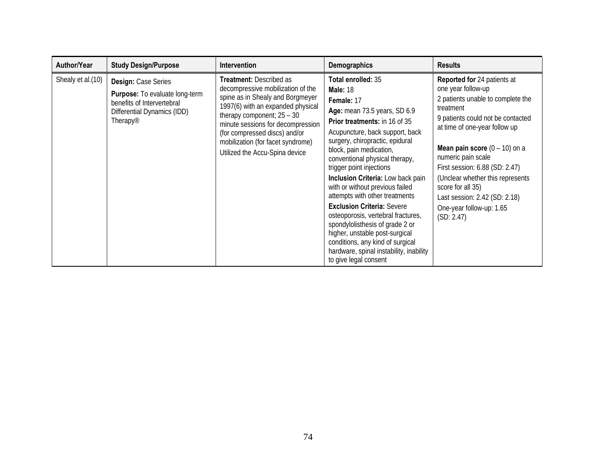| Author/Year       | <b>Study Design/Purpose</b>                                                                                                                       | Intervention                                                                                                                                                                                                                                                                                                       | Demographics                                                                                                                                                                                                                                                                                                                                                                                                                                                                                                                                                                                                                                                 | <b>Results</b>                                                                                                                                                                                                                                                                                                                                                                                                  |
|-------------------|---------------------------------------------------------------------------------------------------------------------------------------------------|--------------------------------------------------------------------------------------------------------------------------------------------------------------------------------------------------------------------------------------------------------------------------------------------------------------------|--------------------------------------------------------------------------------------------------------------------------------------------------------------------------------------------------------------------------------------------------------------------------------------------------------------------------------------------------------------------------------------------------------------------------------------------------------------------------------------------------------------------------------------------------------------------------------------------------------------------------------------------------------------|-----------------------------------------------------------------------------------------------------------------------------------------------------------------------------------------------------------------------------------------------------------------------------------------------------------------------------------------------------------------------------------------------------------------|
| Shealy et al.(10) | Design: Case Series<br><b>Purpose:</b> To evaluate long-term<br>benefits of Intervertebral<br>Differential Dynamics (IDD)<br>Therapy <sup>®</sup> | Treatment: Described as<br>decompressive mobilization of the<br>spine as in Shealy and Borgmeyer<br>1997(6) with an expanded physical<br>therapy component; $25 - 30$<br>minute sessions for decompression<br>(for compressed discs) and/or<br>mobilization (for facet syndrome)<br>Utilized the Accu-Spina device | Total enrolled: 35<br><b>Male: 18</b><br>Female: 17<br>Age: mean 73.5 years, SD 6.9<br><b>Prior treatments:</b> in 16 of 35<br>Acupuncture, back support, back<br>surgery, chiropractic, epidural<br>block, pain medication,<br>conventional physical therapy,<br>trigger point injections<br>Inclusion Criteria: Low back pain<br>with or without previous failed<br>attempts with other treatments<br><b>Exclusion Criteria: Severe</b><br>osteoporosis, vertebral fractures,<br>spondylolisthesis of grade 2 or<br>higher, unstable post-surgical<br>conditions, any kind of surgical<br>hardware, spinal instability, inability<br>to give legal consent | Reported for 24 patients at<br>one year follow-up<br>2 patients unable to complete the<br>treatment<br>9 patients could not be contacted<br>at time of one-year follow up<br><b>Mean pain score</b> $(0 - 10)$ on a<br>numeric pain scale<br>First session: 6.88 (SD: 2.47)<br>(Unclear whether this represents<br>score for all 35)<br>Last session: 2.42 (SD: 2.18)<br>One-year follow-up: 1.65<br>(SD: 2.47) |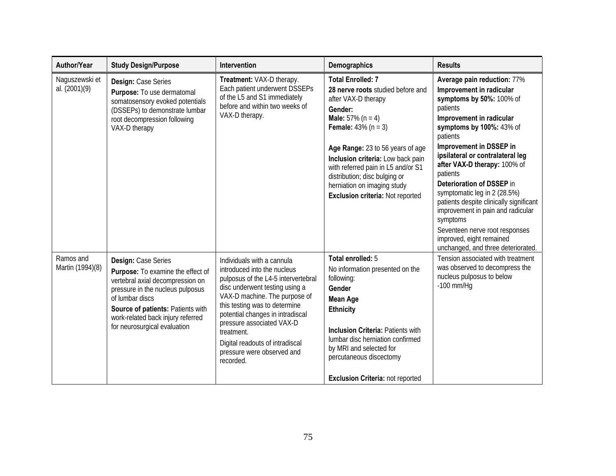| Author/Year                     | <b>Study Design/Purpose</b>                                                                                                                                                                                                                                   | <b>Intervention</b>                                                                                                                                                                                                                                                                                                                                               | Demographics                                                                                                                                                                                                                                                                                                                                                                       | <b>Results</b>                                                                                                                                                                                                                                                                                                                                                                                                                                                                                                                              |
|---------------------------------|---------------------------------------------------------------------------------------------------------------------------------------------------------------------------------------------------------------------------------------------------------------|-------------------------------------------------------------------------------------------------------------------------------------------------------------------------------------------------------------------------------------------------------------------------------------------------------------------------------------------------------------------|------------------------------------------------------------------------------------------------------------------------------------------------------------------------------------------------------------------------------------------------------------------------------------------------------------------------------------------------------------------------------------|---------------------------------------------------------------------------------------------------------------------------------------------------------------------------------------------------------------------------------------------------------------------------------------------------------------------------------------------------------------------------------------------------------------------------------------------------------------------------------------------------------------------------------------------|
| Naguszewski et<br>al. (2001)(9) | Design: Case Series<br>Purpose: To use dermatomal<br>somatosensory evoked potentials<br>(DSSEPs) to demonstrate lumbar<br>root decompression following<br>VAX-D therapy                                                                                       | Treatment: VAX-D therapy.<br>Each patient underwent DSSEPs<br>of the L5 and S1 immediately<br>before and within two weeks of<br>VAX-D therapy.                                                                                                                                                                                                                    | <b>Total Enrolled: 7</b><br>28 nerve roots studied before and<br>after VAX-D therapy<br>Gender:<br><b>Male:</b> $57\%$ (n = 4)<br><b>Female:</b> $43\%$ (n = 3)<br>Age Range: 23 to 56 years of age<br>Inclusion criteria: Low back pain<br>with referred pain in L5 and/or S1<br>distribution; disc bulging or<br>herniation on imaging study<br>Exclusion criteria: Not reported | Average pain reduction: 77%<br>Improvement in radicular<br>symptoms by 50%: 100% of<br>patients<br>Improvement in radicular<br>symptoms by 100%: 43% of<br>patients<br>Improvement in DSSEP in<br>ipsilateral or contralateral leg<br>after VAX-D therapy: 100% of<br>patients<br>Deterioration of DSSEP in<br>symptomatic leg in 2 (28.5%)<br>patients despite clinically significant<br>improvement in pain and radicular<br>symptoms<br>Seventeen nerve root responses<br>improved, eight remained<br>unchanged, and three deteriorated. |
| Ramos and<br>Martin (1994)(8)   | Design: Case Series<br>Purpose: To examine the effect of<br>vertebral axial decompression on<br>pressure in the nucleus pulposus<br>of lumbar discs<br>Source of patients: Patients with<br>work-related back injury referred<br>for neurosurgical evaluation | Individuals with a cannula<br>introduced into the nucleus<br>pulposus of the L4-5 intervertebral<br>disc underwent testing using a<br>VAX-D machine. The purpose of<br>this testing was to determine<br>potential changes in intradiscal<br>pressure associated VAX-D<br>treatment.<br>Digital readouts of intradiscal<br>pressure were observed and<br>recorded. | Total enrolled: 5<br>No information presented on the<br>following:<br>Gender<br><b>Mean Age</b><br><b>Ethnicity</b><br><b>Inclusion Criteria: Patients with</b><br>lumbar disc herniation confirmed<br>by MRI and selected for<br>percutaneous discectomy<br><b>Exclusion Criteria: not reported</b>                                                                               | Tension associated with treatment<br>was observed to decompress the<br>nucleus pulposus to below<br>$-100$ mm/Hg                                                                                                                                                                                                                                                                                                                                                                                                                            |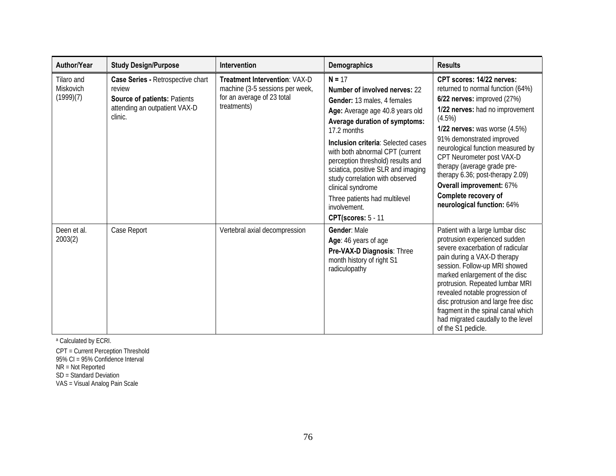| Author/Year                          | <b>Study Design/Purpose</b>                                                                                             | Intervention                                                                                                         | Demographics                                                                                                                                                                                                                                                                                                                                                                                                                                                        | <b>Results</b>                                                                                                                                                                                                                                                                                                                                                                                                                           |
|--------------------------------------|-------------------------------------------------------------------------------------------------------------------------|----------------------------------------------------------------------------------------------------------------------|---------------------------------------------------------------------------------------------------------------------------------------------------------------------------------------------------------------------------------------------------------------------------------------------------------------------------------------------------------------------------------------------------------------------------------------------------------------------|------------------------------------------------------------------------------------------------------------------------------------------------------------------------------------------------------------------------------------------------------------------------------------------------------------------------------------------------------------------------------------------------------------------------------------------|
| Tilaro and<br>Miskovich<br>(1999)(7) | Case Series - Retrospective chart<br>review<br>Source of patients: Patients<br>attending an outpatient VAX-D<br>clinic. | <b>Treatment Intervention: VAX-D</b><br>machine (3-5 sessions per week,<br>for an average of 23 total<br>treatments) | $N = 17$<br><b>Number of involved nerves: 22</b><br>Gender: 13 males, 4 females<br>Age: Average age 40.8 years old<br>Average duration of symptoms:<br>17.2 months<br><b>Inclusion criteria: Selected cases</b><br>with both abnormal CPT (current<br>perception threshold) results and<br>sciatica, positive SLR and imaging<br>study correlation with observed<br>clinical syndrome<br>Three patients had multilevel<br>involvement.<br><b>CPT(scores: 5 - 11</b> | CPT scores: 14/22 nerves:<br>returned to normal function (64%)<br>6/22 nerves: improved (27%)<br>1/22 nerves: had no improvement<br>(4.5%)<br><b>1/22 nerves:</b> was worse $(4.5%)$<br>91% demonstrated improved<br>neurological function measured by<br>CPT Neurometer post VAX-D<br>therapy (average grade pre-<br>therapy 6.36; post-therapy 2.09)<br>Overall improvement: 67%<br>Complete recovery of<br>neurological function: 64% |
| Deen et al.<br>2003(2)               | Case Report                                                                                                             | Vertebral axial decompression                                                                                        | Gender: Male<br>Age: 46 years of age<br>Pre-VAX-D Diagnosis: Three<br>month history of right S1<br>radiculopathy                                                                                                                                                                                                                                                                                                                                                    | Patient with a large lumbar disc<br>protrusion experienced sudden<br>severe exacerbation of radicular<br>pain during a VAX-D therapy<br>session. Follow-up MRI showed<br>marked enlargement of the disc<br>protrusion. Repeated lumbar MRI<br>revealed notable progression of<br>disc protrusion and large free disc<br>fragment in the spinal canal which<br>had migrated caudally to the level<br>of the S1 pedicle.                   |

a Calculated by ECRI.

CPT = Current Perception Threshold 95% CI = 95% Confidence Interval NR = Not Reported SD = Standard Deviation<br>VAS = Visual Analog Pain Scale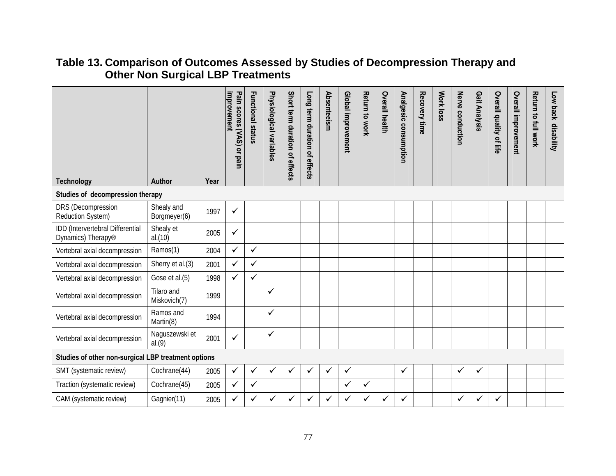#### **Table 13. Comparison of Outcomes Assessed by Studies of Decompression Therapy and Other Non Surgical LBP Treatments**

| <b>Technology</b>                                      | Author                     | Year | improvement<br>Pain scores (VAS) or pain | <b>Functional status</b> | Physiological variables | Short term duration of effects | Long term duration of effects | Absenteeism  | Global improvement | Return to work | <b>Overall health</b> | Analgesic consumption | Recovery time | Work loss | Nerve conduction | Gait Analysis | Overall quality of life | Overall improvement | Return to full work | Low back disability |
|--------------------------------------------------------|----------------------------|------|------------------------------------------|--------------------------|-------------------------|--------------------------------|-------------------------------|--------------|--------------------|----------------|-----------------------|-----------------------|---------------|-----------|------------------|---------------|-------------------------|---------------------|---------------------|---------------------|
| Studies of decompression therapy                       |                            |      |                                          |                          |                         |                                |                               |              |                    |                |                       |                       |               |           |                  |               |                         |                     |                     |                     |
| DRS (Decompression<br>Reduction System)                | Shealy and<br>Borgmeyer(6) | 1997 | ✓                                        |                          |                         |                                |                               |              |                    |                |                       |                       |               |           |                  |               |                         |                     |                     |                     |
| IDD (Intervertebral Differential<br>Dynamics) Therapy® | Shealy et<br>al.(10)       | 2005 | ✓                                        |                          |                         |                                |                               |              |                    |                |                       |                       |               |           |                  |               |                         |                     |                     |                     |
| Vertebral axial decompression                          | Ramos(1)                   | 2004 | ✓                                        | ✓                        |                         |                                |                               |              |                    |                |                       |                       |               |           |                  |               |                         |                     |                     |                     |
| Vertebral axial decompression                          | Sherry et al.(3)           | 2001 | ✓                                        | ✓                        |                         |                                |                               |              |                    |                |                       |                       |               |           |                  |               |                         |                     |                     |                     |
| Vertebral axial decompression                          | Gose et al.(5)             | 1998 | ✓                                        | ✓                        |                         |                                |                               |              |                    |                |                       |                       |               |           |                  |               |                         |                     |                     |                     |
| Vertebral axial decompression                          | Tilaro and<br>Miskovich(7) | 1999 |                                          |                          | ✓                       |                                |                               |              |                    |                |                       |                       |               |           |                  |               |                         |                     |                     |                     |
| Vertebral axial decompression                          | Ramos and<br>Martin(8)     | 1994 |                                          |                          | ✓                       |                                |                               |              |                    |                |                       |                       |               |           |                  |               |                         |                     |                     |                     |
| Vertebral axial decompression                          | Naguszewski et<br>al.(9)   | 2001 | ✓                                        |                          | ✓                       |                                |                               |              |                    |                |                       |                       |               |           |                  |               |                         |                     |                     |                     |
| Studies of other non-surgical LBP treatment options    |                            |      |                                          |                          |                         |                                |                               |              |                    |                |                       |                       |               |           |                  |               |                         |                     |                     |                     |
| SMT (systematic review)                                | Cochrane(44)               | 2005 | $\checkmark$                             | ✓                        | ✓                       | ✓                              | ✓                             | $\checkmark$ | $\checkmark$       |                |                       | ✓                     |               |           | ✓                | ✓             |                         |                     |                     |                     |
| Traction (systematic review)                           | Cochrane(45)               | 2005 | ✓                                        | ✓                        |                         |                                |                               |              | ✓                  | ✓              |                       |                       |               |           |                  |               |                         |                     |                     |                     |
| CAM (systematic review)                                | Gagnier(11)                | 2005 | ✓                                        | ✓                        | $\checkmark$            | $\checkmark$                   | ✓                             | ✓            | ✓                  |                | ✓                     | $\checkmark$          |               |           | ✓                | ✓             | ✓                       |                     |                     |                     |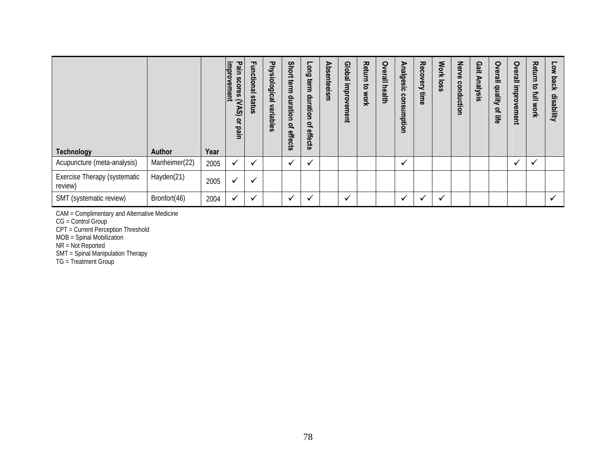| <b>Technology</b>                       | <b>Author</b> | Year | improvement<br>Pain scores (VAS)<br>ă<br>pain | Functional<br><b>status</b> | Physiological<br>variables | <b>Short</b><br>term<br>duration<br>$\mathbf{a}$<br>effects | Long term<br>duration<br>٩<br>effects | Absenteeism | <b>Isdol</b> <sub>5</sub><br>improvement | <b>Return</b><br>ಕ<br>work | Overall<br><b>health</b> | Analgesic<br>consumptio<br>5 | Recovery<br>time | Work loss    | Nerve<br>conduction | Gait Analysis | <b>Overall</b><br>quality<br>ዹ<br>뺥 | Overall<br>improvement | <b>Return</b><br>ಕ<br>르<br>Work | Low<br>back<br>disability |
|-----------------------------------------|---------------|------|-----------------------------------------------|-----------------------------|----------------------------|-------------------------------------------------------------|---------------------------------------|-------------|------------------------------------------|----------------------------|--------------------------|------------------------------|------------------|--------------|---------------------|---------------|-------------------------------------|------------------------|---------------------------------|---------------------------|
| Acupuncture (meta-analysis)             | Manheimer(22) | 2005 | $\checkmark$                                  | $\checkmark$                |                            | ✔                                                           |                                       |             |                                          |                            |                          | $\checkmark$                 |                  |              |                     |               |                                     | $\checkmark$           | $\checkmark$                    |                           |
| Exercise Therapy (systematic<br>review) | Hayden(21)    | 2005 | ✔                                             | ✔                           |                            |                                                             |                                       |             |                                          |                            |                          |                              |                  |              |                     |               |                                     |                        |                                 |                           |
| SMT (systematic review)                 | Bronfort(46)  | 2004 | $\checkmark$                                  | ✔                           |                            | $\checkmark$                                                |                                       |             | $\checkmark$                             |                            |                          | $\mathbf{v}$                 |                  | $\checkmark$ |                     |               |                                     |                        |                                 | $\checkmark$              |

CAM = Complimentary and Alternative Medicine

CG = Control Group

CPT = Current Perception Threshold

MOB = Spinal Mobilization

NR = Not Reported

SMT = Spinal Manipulation Therapy

TG = Treatment Group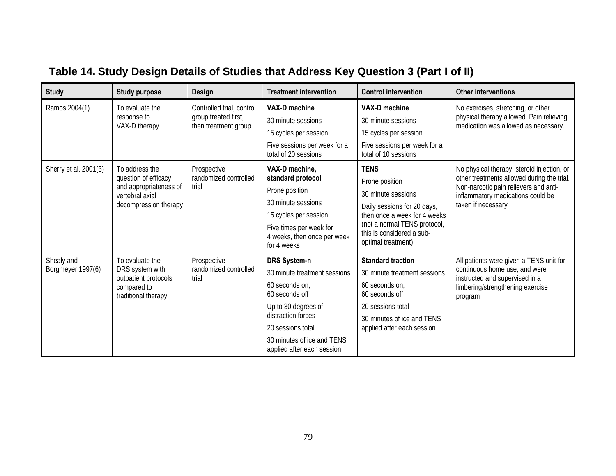| <b>Study</b>                    | <b>Study purpose</b>                                                                                         | Design                                                                    | <b>Treatment intervention</b>                                                                                                                                                                                         | <b>Control intervention</b>                                                                                                                                                                           | <b>Other interventions</b>                                                                                                                                                                   |
|---------------------------------|--------------------------------------------------------------------------------------------------------------|---------------------------------------------------------------------------|-----------------------------------------------------------------------------------------------------------------------------------------------------------------------------------------------------------------------|-------------------------------------------------------------------------------------------------------------------------------------------------------------------------------------------------------|----------------------------------------------------------------------------------------------------------------------------------------------------------------------------------------------|
| Ramos 2004(1)                   | To evaluate the<br>response to<br>VAX-D therapy                                                              | Controlled trial, control<br>group treated first,<br>then treatment group | VAX-D machine<br>30 minute sessions<br>15 cycles per session<br>Five sessions per week for a<br>total of 20 sessions                                                                                                  | VAX-D machine<br>30 minute sessions<br>15 cycles per session<br>Five sessions per week for a<br>total of 10 sessions                                                                                  | No exercises, stretching, or other<br>physical therapy allowed. Pain relieving<br>medication was allowed as necessary.                                                                       |
| Sherry et al. 2001(3)           | To address the<br>question of efficacy<br>and appropriateness of<br>vertebral axial<br>decompression therapy | Prospective<br>randomized controlled<br>trial                             | VAX-D machine,<br>standard protocol<br>Prone position<br>30 minute sessions<br>15 cycles per session<br>Five times per week for<br>4 weeks, then once per week<br>for 4 weeks                                         | <b>TENS</b><br>Prone position<br>30 minute sessions<br>Daily sessions for 20 days,<br>then once a week for 4 weeks<br>(not a normal TENS protocol,<br>this is considered a sub-<br>optimal treatment) | No physical therapy, steroid injection, or<br>other treatments allowed during the trial.<br>Non-narcotic pain relievers and anti-<br>inflammatory medications could be<br>taken if necessary |
| Shealy and<br>Borgmeyer 1997(6) | To evaluate the<br>DRS system with<br>outpatient protocols<br>compared to<br>traditional therapy             | Prospective<br>randomized controlled<br>trial                             | <b>DRS System-n</b><br>30 minute treatment sessions<br>60 seconds on,<br>60 seconds off<br>Up to 30 degrees of<br>distraction forces<br>20 sessions total<br>30 minutes of ice and TENS<br>applied after each session | <b>Standard traction</b><br>30 minute treatment sessions<br>60 seconds on,<br>60 seconds off<br>20 sessions total<br>30 minutes of ice and TENS<br>applied after each session                         | All patients were given a TENS unit for<br>continuous home use, and were<br>instructed and supervised in a<br>limbering/strengthening exercise<br>program                                    |

# **Table 14. Study Design Details of Studies that Address Key Question 3 (Part I of II)**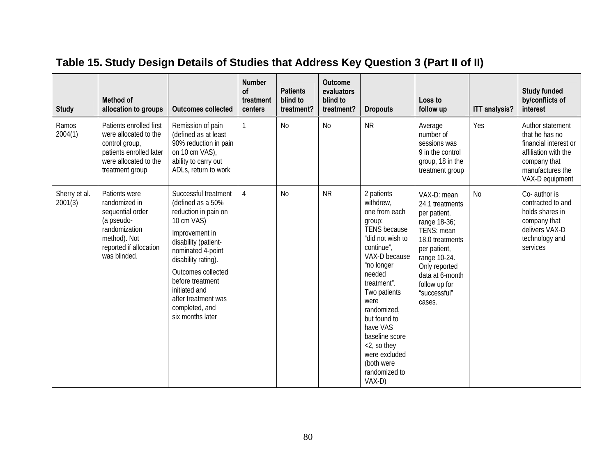| <b>Study</b>             | <b>Method of</b><br>allocation to groups                                                                                                    | <b>Outcomes collected</b>                                                                                                                                                                                                                                                                     | <b>Number</b><br>of<br>treatment<br>centers | <b>Patients</b><br>blind to<br>treatment? | <b>Outcome</b><br>evaluators<br>blind to<br>treatment? | <b>Dropouts</b>                                                                                                                                                                                                                                                                                                                   | Loss to<br>follow up                                                                                                                                                                                           | <b>ITT analysis?</b> | <b>Study funded</b><br>by/conflicts of<br>interest                                                                                         |
|--------------------------|---------------------------------------------------------------------------------------------------------------------------------------------|-----------------------------------------------------------------------------------------------------------------------------------------------------------------------------------------------------------------------------------------------------------------------------------------------|---------------------------------------------|-------------------------------------------|--------------------------------------------------------|-----------------------------------------------------------------------------------------------------------------------------------------------------------------------------------------------------------------------------------------------------------------------------------------------------------------------------------|----------------------------------------------------------------------------------------------------------------------------------------------------------------------------------------------------------------|----------------------|--------------------------------------------------------------------------------------------------------------------------------------------|
| Ramos<br>2004(1)         | Patients enrolled first<br>were allocated to the<br>control group,<br>patients enrolled later<br>were allocated to the<br>treatment group   | Remission of pain<br>(defined as at least<br>90% reduction in pain<br>on 10 cm VAS),<br>ability to carry out<br>ADLs, return to work                                                                                                                                                          | 1                                           | <b>No</b>                                 | <b>No</b>                                              | ${\sf NR}$                                                                                                                                                                                                                                                                                                                        | Average<br>number of<br>sessions was<br>9 in the control<br>group, 18 in the<br>treatment group                                                                                                                | Yes                  | Author statement<br>that he has no<br>financial interest or<br>affiliation with the<br>company that<br>manufactures the<br>VAX-D equipment |
| Sherry et al.<br>2001(3) | Patients were<br>randomized in<br>sequential order<br>(a pseudo-<br>randomization<br>method). Not<br>reported if allocation<br>was blinded. | Successful treatment<br>(defined as a 50%<br>reduction in pain on<br>10 cm VAS)<br>Improvement in<br>disability (patient-<br>nominated 4-point<br>disability rating).<br>Outcomes collected<br>before treatment<br>initiated and<br>after treatment was<br>completed, and<br>six months later | $\overline{4}$                              | <b>No</b>                                 | <b>NR</b>                                              | 2 patients<br>withdrew,<br>one from each<br>group:<br><b>TENS</b> because<br>"did not wish to<br>continue",<br>VAX-D because<br>"no longer<br>needed<br>treatment".<br>Two patients<br>were<br>randomized,<br>but found to<br>have VAS<br>baseline score<br><2, so they<br>were excluded<br>(both were<br>randomized to<br>VAX-D) | VAX-D: mean<br>24.1 treatments<br>per patient,<br>range 18-36;<br>TENS: mean<br>18.0 treatments<br>per patient,<br>range 10-24.<br>Only reported<br>data at 6-month<br>follow up for<br>"successful"<br>cases. | N <sub>0</sub>       | Co- author is<br>contracted to and<br>holds shares in<br>company that<br>delivers VAX-D<br>technology and<br>services                      |

## **Table 15. Study Design Details of Studies that Address Key Question 3 (Part II of II)**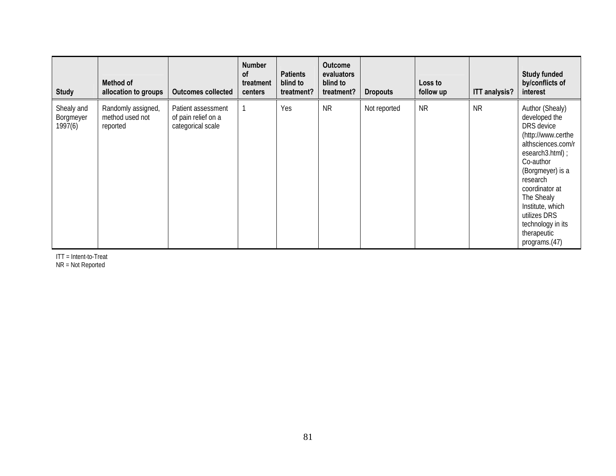| <b>Study</b>                       | Method of<br>allocation to groups                 | <b>Outcomes collected</b>                                      | <b>Number</b><br>of<br>treatment<br>centers | <b>Patients</b><br>blind to<br>treatment? | <b>Outcome</b><br>evaluators<br>blind to<br>treatment? | <b>Dropouts</b> | Loss to<br>follow up | <b>ITT analysis?</b> | <b>Study funded</b><br>by/conflicts of<br>interest                                                                                                                                                                                                                                  |
|------------------------------------|---------------------------------------------------|----------------------------------------------------------------|---------------------------------------------|-------------------------------------------|--------------------------------------------------------|-----------------|----------------------|----------------------|-------------------------------------------------------------------------------------------------------------------------------------------------------------------------------------------------------------------------------------------------------------------------------------|
| Shealy and<br>Borgmeyer<br>1997(6) | Randomly assigned,<br>method used not<br>reported | Patient assessment<br>of pain relief on a<br>categorical scale |                                             | Yes                                       | <b>NR</b>                                              | Not reported    | <b>NR</b>            | <b>NR</b>            | Author (Shealy)<br>developed the<br>DRS device<br>(http://www.certhe<br>althsciences.com/r<br>esearch3.html);<br>Co-author<br>(Borgmeyer) is a<br>research<br>coordinator at<br>The Shealy<br>Institute, which<br>utilizes DRS<br>technology in its<br>therapeutic<br>programs.(47) |

ITT = Intent-to-Treat<br>NR = Not Reported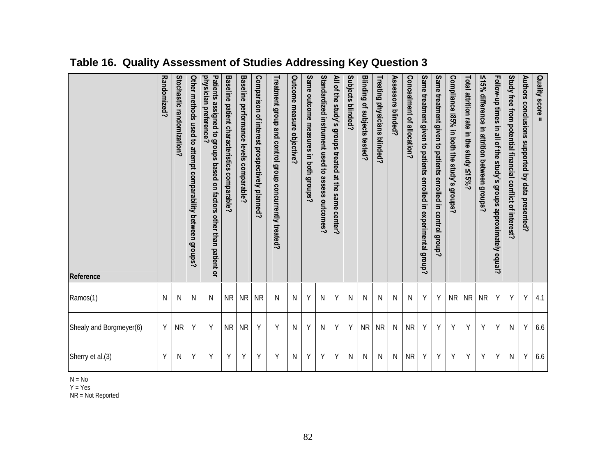| Patients assigned to groups<br>physician preference?<br>Stochastic randomization?<br>Other methods used to attempt comparability between groups?<br>based<br>on factors<br>other than patient or<br>N<br>N<br>N<br>Y<br><b>NR</b><br>Υ |
|----------------------------------------------------------------------------------------------------------------------------------------------------------------------------------------------------------------------------------------|
| Same outcome measures in both groups?<br>Υ<br><b>NR</b><br><b>NR</b><br><b>NR</b><br>N<br>N<br><b>NR</b><br><b>NR</b><br>Υ<br>Υ<br>Υ<br>N                                                                                              |
| Outcome measure objective?                                                                                                                                                                                                             |
| Baseline patient characteristics comparable?<br>Baseline performance levels comparable?<br>Comparison of interest prospectively planned?<br>Treatment group and control group concurrently treated?                                    |
|                                                                                                                                                                                                                                        |
|                                                                                                                                                                                                                                        |
|                                                                                                                                                                                                                                        |
|                                                                                                                                                                                                                                        |
|                                                                                                                                                                                                                                        |
|                                                                                                                                                                                                                                        |
|                                                                                                                                                                                                                                        |
| Randomized?<br>Ν<br>Y                                                                                                                                                                                                                  |

**Table 16. Quality Assessment of Studies Addressing Key Question 3** 

N = No

Y = Yes

NR = Not Reported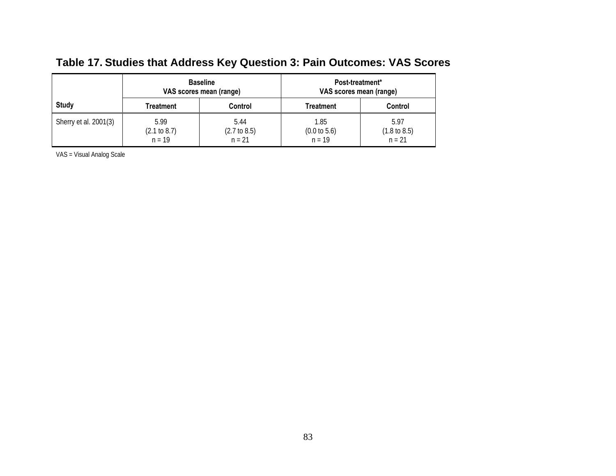|                       | <b>Baseline</b><br>VAS scores mean (range) |                                             | Post-treatment*<br>VAS scores mean (range)  |                                             |  |
|-----------------------|--------------------------------------------|---------------------------------------------|---------------------------------------------|---------------------------------------------|--|
| <b>Study</b>          | Treatment                                  | Control                                     | Treatment                                   | Control                                     |  |
| Sherry et al. 2001(3) | 5.99<br>(2.1 to 8.7)<br>$n = 19$           | 5.44<br>$(2.7 \text{ to } 8.5)$<br>$n = 21$ | 1.85<br>$(0.0 \text{ to } 5.6)$<br>$n = 19$ | 5.97<br>$(1.8 \text{ to } 8.5)$<br>$n = 21$ |  |

## **Table 17. Studies that Address Key Question 3: Pain Outcomes: VAS Scores**

VAS = Visual Analog Scale